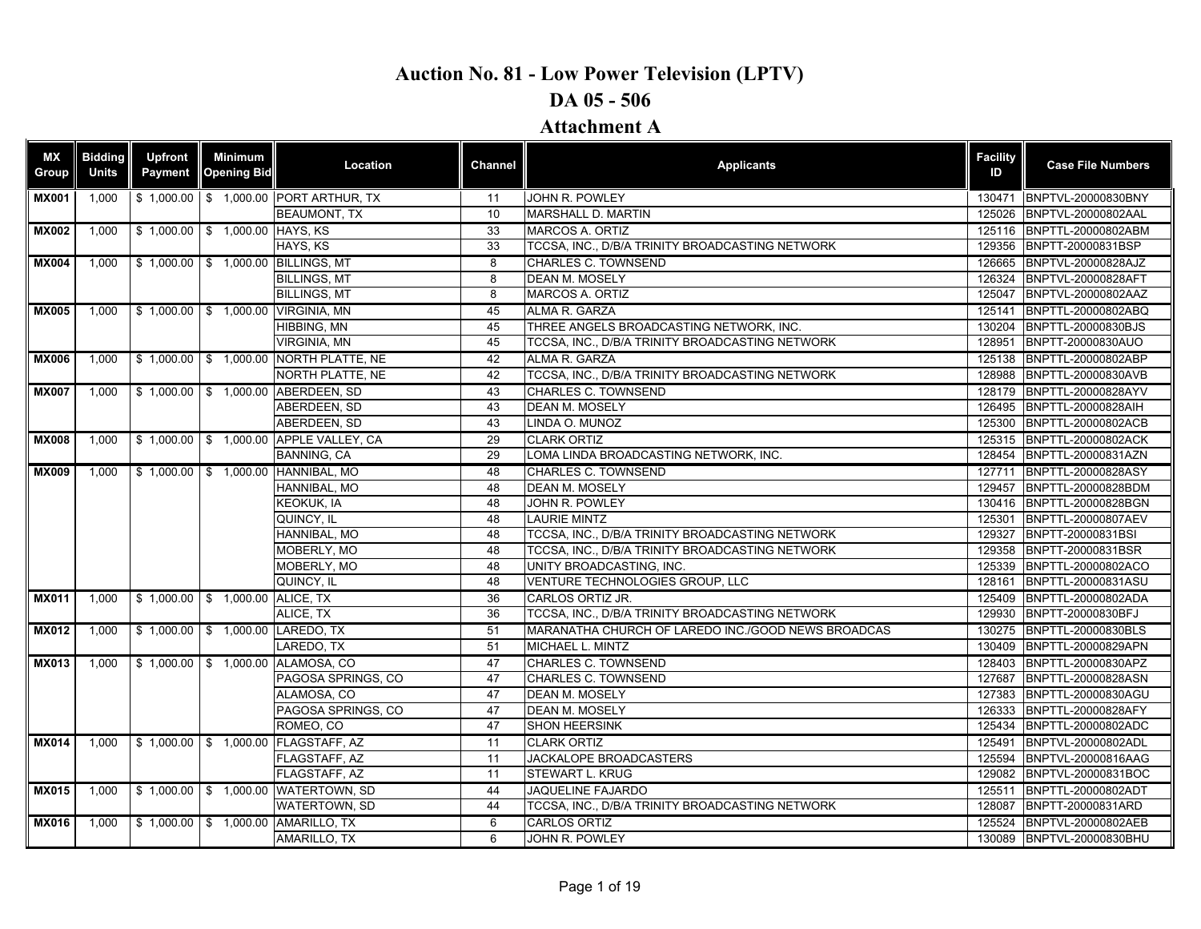| <b>MX</b><br>Group | <b>Bidding</b><br><b>Units</b> | <b>Upfront</b><br>Payment | <b>Minimum</b><br><b>Opening Bid</b> | Location                               | <b>Channel</b> | <b>Applicants</b>                                  | <b>Facility</b><br>ID | <b>Case File Numbers</b>  |
|--------------------|--------------------------------|---------------------------|--------------------------------------|----------------------------------------|----------------|----------------------------------------------------|-----------------------|---------------------------|
| <b>MX001</b>       | 1,000                          |                           |                                      | \$1,000.00 \$1,000.00 PORT ARTHUR, TX  | 11             | JOHN R. POWLEY                                     |                       | 130471 BNPTVL-20000830BNY |
|                    |                                |                           |                                      | <b>BEAUMONT, TX</b>                    | 10             | MARSHALL D. MARTIN                                 | 125026                | BNPTVL-20000802AAL        |
| <b>MX002</b>       | 1,000                          |                           | \$1,000.00 \$1,000.00 HAYS, KS       |                                        | 33             | MARCOS A. ORTIZ                                    |                       | 125116 BNPTTL-20000802ABM |
|                    |                                |                           |                                      | HAYS, KS                               | 33             | TCCSA, INC., D/B/A TRINITY BROADCASTING NETWORK    | 129356                | BNPTT-20000831BSP         |
| <b>MX004</b>       | 1,000                          |                           |                                      | \$1,000.00 \$1,000.00 BILLINGS, MT     | 8              | <b>CHARLES C. TOWNSEND</b>                         | 126665                | BNPTVL-20000828AJZ        |
|                    |                                |                           |                                      | <b>BILLINGS, MT</b>                    | 8              | <b>DEAN M. MOSELY</b>                              | 126324                | BNPTVL-20000828AFT        |
|                    |                                |                           |                                      | <b>BILLINGS, MT</b>                    | 8              | MARCOS A. ORTIZ                                    | 125047                | BNPTVL-20000802AAZ        |
| <b>MX005</b>       | 1.000                          |                           |                                      | \$1,000.00 \$1,000.00 VIRGINIA, MN     | 45             | ALMA R. GARZA                                      | 125141                | BNPTTL-20000802ABQ        |
|                    |                                |                           |                                      | HIBBING, MN                            | 45             | THREE ANGELS BROADCASTING NETWORK, INC.            | 130204                | BNPTTL-20000830BJS        |
|                    |                                |                           |                                      | <b>VIRGINIA, MN</b>                    | 45             | TCCSA, INC., D/B/A TRINITY BROADCASTING NETWORK    | 128951                | BNPTT-20000830AUO         |
| <b>MX006</b>       | 1,000                          |                           |                                      | \$1,000.00 \$1,000.00 NORTH PLATTE, NE | 42             | ALMA R. GARZA                                      | 125138                | BNPTTL-20000802ABP        |
|                    |                                |                           |                                      | NORTH PLATTE, NE                       | 42             | TCCSA, INC., D/B/A TRINITY BROADCASTING NETWORK    | 128988                | BNPTTL-20000830AVB        |
| <b>MX007</b>       | 1,000                          |                           |                                      | \$1,000.00 \$1,000.00 ABERDEEN, SD     | 43             | <b>CHARLES C. TOWNSEND</b>                         | 128179                | BNPTTL-20000828AYV        |
|                    |                                |                           |                                      | ABERDEEN, SD                           | 43             | DEAN M. MOSELY                                     | 126495                | <b>BNPTTL-20000828AIH</b> |
|                    |                                |                           |                                      | ABERDEEN, SD                           | 43             | LINDA O. MUNOZ                                     | 125300                | BNPTTL-20000802ACB        |
| <b>MX008</b>       | 1,000                          |                           |                                      | \$1,000.00 \$1,000.00 APPLE VALLEY, CA | 29             | <b>CLARK ORTIZ</b>                                 | 125315                | BNPTTL-20000802ACK        |
|                    |                                |                           |                                      | <b>BANNING, CA</b>                     | 29             | LOMA LINDA BROADCASTING NETWORK, INC.              | 128454                | BNPTTL-20000831AZN        |
| <b>MX009</b>       | 1,000                          |                           |                                      | \$1,000.00 \$1,000.00 HANNIBAL, MO     | 48             | <b>CHARLES C. TOWNSEND</b>                         | 127711                | BNPTTL-20000828ASY        |
|                    |                                |                           |                                      | HANNIBAL, MO                           | 48             | DEAN M. MOSELY                                     | 129457                | BNPTTL-20000828BDM        |
|                    |                                |                           |                                      | <b>KEOKUK, IA</b>                      | 48             | JOHN R. POWLEY                                     |                       | 130416 BNPTTL-20000828BGN |
|                    |                                |                           |                                      | QUINCY, IL                             | 48             | <b>LAURIE MINTZ</b>                                | 125301                | BNPTTL-20000807AEV        |
|                    |                                |                           |                                      | HANNIBAL, MO                           | 48             | TCCSA, INC., D/B/A TRINITY BROADCASTING NETWORK    | 129327                | BNPTT-20000831BSI         |
|                    |                                |                           |                                      | MOBERLY, MO                            | 48             | TCCSA, INC., D/B/A TRINITY BROADCASTING NETWORK    | 129358                | BNPTT-20000831BSR         |
|                    |                                |                           |                                      | MOBERLY, MO                            | 48             | UNITY BROADCASTING, INC.                           | 125339                | BNPTTL-20000802ACO        |
|                    |                                |                           |                                      | QUINCY, IL                             | 48             | VENTURE TECHNOLOGIES GROUP, LLC                    | 128161                | BNPTTL-20000831ASU        |
| <b>MX011</b>       | 1,000                          |                           | \$1,000.00 \$1,000.00 ALICE, TX      |                                        | 36             | CARLOS ORTIZ JR.                                   | 125409                | BNPTTL-20000802ADA        |
|                    |                                |                           |                                      | ALICE, TX                              | 36             | TCCSA, INC., D/B/A TRINITY BROADCASTING NETWORK    | 129930                | BNPTT-20000830BFJ         |
| <b>MX012</b>       | 1,000                          |                           |                                      | \$1,000.00 \$1,000.00 LAREDO, TX       | 51             | MARANATHA CHURCH OF LAREDO INC./GOOD NEWS BROADCAS | 130275                | BNPTTL-20000830BLS        |
|                    |                                |                           |                                      | LAREDO, TX                             | 51             | MICHAEL L. MINTZ                                   | 130409                | BNPTTL-20000829APN        |
| <b>MX013</b>       | 1,000                          |                           |                                      | \$1,000.00 \$1,000.00 ALAMOSA, CO      | 47             | CHARLES C. TOWNSEND                                | 128403                | BNPTTL-20000830APZ        |
|                    |                                |                           |                                      | PAGOSA SPRINGS, CO                     | 47             | <b>CHARLES C. TOWNSEND</b>                         | 127687                | BNPTTL-20000828ASN        |
|                    |                                |                           |                                      | ALAMOSA, CO                            | 47             | DEAN M. MOSELY                                     | 127383                | BNPTTL-20000830AGU        |
|                    |                                |                           |                                      | PAGOSA SPRINGS, CO                     | 47             | DEAN M. MOSELY                                     | 126333                | BNPTTL-20000828AFY        |
|                    |                                |                           |                                      | ROMEO, CO                              | 47             | <b>SHON HEERSINK</b>                               | 125434                | BNPTTL-20000802ADC        |
| <b>MX014</b>       | 1.000                          |                           |                                      | \$1,000.00 \$1,000.00 FLAGSTAFF, AZ    | 11             | <b>CLARK ORTIZ</b>                                 | 125491                | BNPTVL-20000802ADL        |
|                    |                                |                           |                                      | FLAGSTAFF, AZ                          | 11             | JACKALOPE BROADCASTERS                             | 125594                | BNPTVL-20000816AAG        |
|                    |                                |                           |                                      | FLAGSTAFF, AZ                          | 11             | STEWART L. KRUG                                    | 129082                | BNPTVL-20000831BOC        |
| <b>MX015</b>       | 1,000                          |                           |                                      | \$ 1,000.00 \$ 1,000.00 WATERTOWN, SD  | 44             | JAQUELINE FAJARDO                                  | 125511                | BNPTTL-20000802ADT        |
|                    |                                |                           |                                      | WATERTOWN, SD                          | 44             | TCCSA, INC., D/B/A TRINITY BROADCASTING NETWORK    | 128087                | BNPTT-20000831ARD         |
| <b>MX016</b>       | 1,000                          |                           |                                      | \$1,000.00 \$1,000.00 AMARILLO, TX     | 6              | CARLOS ORTIZ                                       | 125524                | BNPTVL-20000802AEB        |
|                    |                                |                           |                                      | AMARILLO, TX                           | 6              | JOHN R. POWLEY                                     |                       | 130089 BNPTVL-20000830BHU |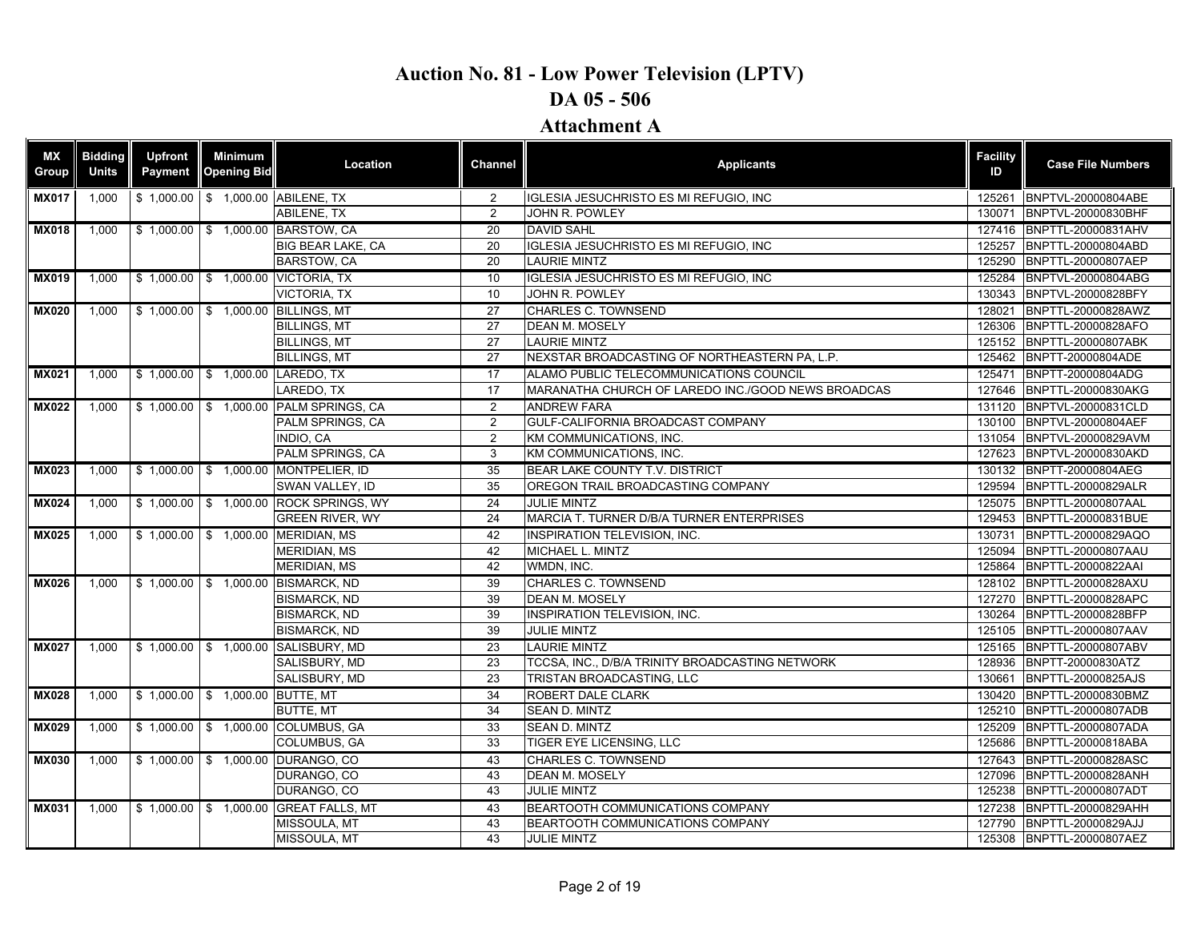| МX<br>Group  | <b>Bidding</b><br><b>Units</b> | <b>Upfront</b><br>Payment | Minimum<br><b>Opening Bid</b>    | Location                               | <b>Channel</b>  | <b>Applicants</b>                                  | <b>Facility</b><br>ID | <b>Case File Numbers</b>                                                                                                                                                                                                                                                                                                                                                                                                                                                                                                                                                                                                                                                                                                                                                                                                                                                          |
|--------------|--------------------------------|---------------------------|----------------------------------|----------------------------------------|-----------------|----------------------------------------------------|-----------------------|-----------------------------------------------------------------------------------------------------------------------------------------------------------------------------------------------------------------------------------------------------------------------------------------------------------------------------------------------------------------------------------------------------------------------------------------------------------------------------------------------------------------------------------------------------------------------------------------------------------------------------------------------------------------------------------------------------------------------------------------------------------------------------------------------------------------------------------------------------------------------------------|
| <b>MX017</b> | 1,000                          |                           |                                  | \$1,000.00 \$1,000.00 ABILENE, TX      | $\overline{2}$  | IGLESIA JESUCHRISTO ES MI REFUGIO, INC             | 125261                |                                                                                                                                                                                                                                                                                                                                                                                                                                                                                                                                                                                                                                                                                                                                                                                                                                                                                   |
|              |                                |                           |                                  | <b>ABILENE, TX</b>                     | 2               | JOHN R. POWLEY                                     | 130071                | BNPTVL-20000830BHF                                                                                                                                                                                                                                                                                                                                                                                                                                                                                                                                                                                                                                                                                                                                                                                                                                                                |
| <b>MX018</b> | 1.000                          |                           |                                  | \$1,000.00 \$1,000.00 BARSTOW, CA      | 20              | <b>DAVID SAHL</b>                                  | 127416                |                                                                                                                                                                                                                                                                                                                                                                                                                                                                                                                                                                                                                                                                                                                                                                                                                                                                                   |
|              |                                |                           |                                  | <b>BIG BEAR LAKE, CA</b>               | 20              | IGLESIA JESUCHRISTO ES MI REFUGIO, INC             | 125257                | BNPTVL-20000804ABE<br>BNPTTL-20000831AHV<br>BNPTTL-20000804ABD<br>BNPTTL-20000807AEP<br>125284 BNPTVL-20000804ABG<br>BNPTVL-20000828BFY<br>BNPTTL-20000828AWZ<br>BNPTTL-20000828AFO<br>BNPTTL-20000807ABK<br>BNPTT-20000804ADE<br>BNPTT-20000804ADG<br>BNPTTL-20000830AKG<br>BNPTVL-20000831CLD<br>130100 BNPTVL-20000804AEF<br>BNPTVL-20000829AVM<br>BNPTVL-20000830AKD<br>130132 BNPTT-20000804AEG<br>BNPTTL-20000829ALR<br>BNPTTL-20000807AAL<br>BNPTTL-20000831BUE<br>BNPTTL-20000829AQO<br>BNPTTL-20000807AAU<br>BNPTTL-20000822AAI<br>BNPTTL-20000828AXU<br>BNPTTL-20000828APC<br>BNPTTL-20000828BFP<br>BNPTTL-20000807AAV<br>BNPTTL-20000807ABV<br>BNPTT-20000830ATZ<br>BNPTTL-20000825AJS<br>BNPTTL-20000830BMZ<br>BNPTTL-20000807ADB<br>BNPTTL-20000807ADA<br>BNPTTL-20000818ABA<br>BNPTTL-20000828ASC<br>BNPTTL-20000828ANH<br>BNPTTL-20000807ADT<br>BNPTTL-20000829AHH |
|              |                                |                           |                                  | BARSTOW, CA                            | 20              | <b>LAURIE MINTZ</b>                                | 125290                |                                                                                                                                                                                                                                                                                                                                                                                                                                                                                                                                                                                                                                                                                                                                                                                                                                                                                   |
| <b>MX019</b> | 1,000                          |                           |                                  | \$1,000.00 \$1,000.00 VICTORIA, TX     | 10              | IGLESIA JESUCHRISTO ES MI REFUGIO, INC             |                       |                                                                                                                                                                                                                                                                                                                                                                                                                                                                                                                                                                                                                                                                                                                                                                                                                                                                                   |
|              |                                |                           |                                  | <b>VICTORIA. TX</b>                    | 10              | <b>JOHN R. POWLEY</b>                              | 130343                |                                                                                                                                                                                                                                                                                                                                                                                                                                                                                                                                                                                                                                                                                                                                                                                                                                                                                   |
| <b>MX020</b> | 1,000                          |                           |                                  | \$1,000.00 \$1,000.00 BILLINGS, MT     | 27              | <b>CHARLES C. TOWNSEND</b>                         | 128021                |                                                                                                                                                                                                                                                                                                                                                                                                                                                                                                                                                                                                                                                                                                                                                                                                                                                                                   |
|              |                                |                           |                                  | <b>BILLINGS, MT</b>                    | 27              | <b>DEAN M. MOSELY</b>                              | 126306                |                                                                                                                                                                                                                                                                                                                                                                                                                                                                                                                                                                                                                                                                                                                                                                                                                                                                                   |
|              |                                |                           |                                  | <b>BILLINGS, MT</b>                    | 27              | <b>LAURIE MINTZ</b>                                | 125152                |                                                                                                                                                                                                                                                                                                                                                                                                                                                                                                                                                                                                                                                                                                                                                                                                                                                                                   |
|              |                                |                           |                                  | <b>BILLINGS, MT</b>                    | 27              | NEXSTAR BROADCASTING OF NORTHEASTERN PA, L.P.      | 125462                |                                                                                                                                                                                                                                                                                                                                                                                                                                                                                                                                                                                                                                                                                                                                                                                                                                                                                   |
| <b>MX021</b> | 1,000                          |                           | \$1,000.00 \$1,000.00 LAREDO, TX |                                        | 17              | ALAMO PUBLIC TELECOMMUNICATIONS COUNCIL            | 125471                |                                                                                                                                                                                                                                                                                                                                                                                                                                                                                                                                                                                                                                                                                                                                                                                                                                                                                   |
|              |                                |                           |                                  | LAREDO. TX                             | 17              | MARANATHA CHURCH OF LAREDO INC./GOOD NEWS BROADCAS | 127646                |                                                                                                                                                                                                                                                                                                                                                                                                                                                                                                                                                                                                                                                                                                                                                                                                                                                                                   |
| <b>MX022</b> | 1,000                          |                           |                                  | \$1,000.00 \$1,000.00 PALM SPRINGS, CA | 2               | <b>ANDREW FARA</b>                                 | 131120                |                                                                                                                                                                                                                                                                                                                                                                                                                                                                                                                                                                                                                                                                                                                                                                                                                                                                                   |
|              |                                |                           |                                  | PALM SPRINGS, CA                       | 2               | GULF-CALIFORNIA BROADCAST COMPANY                  |                       |                                                                                                                                                                                                                                                                                                                                                                                                                                                                                                                                                                                                                                                                                                                                                                                                                                                                                   |
|              |                                |                           |                                  | INDIO. CA                              | 2               | KM COMMUNICATIONS. INC.                            | 131054                |                                                                                                                                                                                                                                                                                                                                                                                                                                                                                                                                                                                                                                                                                                                                                                                                                                                                                   |
|              |                                |                           |                                  | PALM SPRINGS, CA                       | 3               | KM COMMUNICATIONS, INC.                            | 127623                |                                                                                                                                                                                                                                                                                                                                                                                                                                                                                                                                                                                                                                                                                                                                                                                                                                                                                   |
| <b>MX023</b> | 1.000                          |                           |                                  | \$1,000.00 \$1,000.00 MONTPELIER, ID   | 35              | BEAR LAKE COUNTY T.V. DISTRICT                     |                       |                                                                                                                                                                                                                                                                                                                                                                                                                                                                                                                                                                                                                                                                                                                                                                                                                                                                                   |
|              |                                |                           |                                  | SWAN VALLEY. ID                        | 35              | OREGON TRAIL BROADCASTING COMPANY                  | 129594                |                                                                                                                                                                                                                                                                                                                                                                                                                                                                                                                                                                                                                                                                                                                                                                                                                                                                                   |
| <b>MX024</b> | 1.000                          |                           |                                  | \$1,000.00 \$1,000.00 ROCK SPRINGS, WY | 24              | <b>JULIE MINTZ</b>                                 | 125075                |                                                                                                                                                                                                                                                                                                                                                                                                                                                                                                                                                                                                                                                                                                                                                                                                                                                                                   |
|              |                                |                           |                                  | <b>GREEN RIVER, WY</b>                 | 24              | MARCIA T. TURNER D/B/A TURNER ENTERPRISES          | 129453                |                                                                                                                                                                                                                                                                                                                                                                                                                                                                                                                                                                                                                                                                                                                                                                                                                                                                                   |
| <b>MX025</b> | 1.000                          |                           |                                  | \$1,000.00 \$1,000.00 MERIDIAN, MS     | 42              | <b>INSPIRATION TELEVISION. INC.</b>                | 130731                |                                                                                                                                                                                                                                                                                                                                                                                                                                                                                                                                                                                                                                                                                                                                                                                                                                                                                   |
|              |                                |                           |                                  | <b>MERIDIAN, MS</b>                    | 42              | MICHAEL L. MINTZ                                   | 125094                |                                                                                                                                                                                                                                                                                                                                                                                                                                                                                                                                                                                                                                                                                                                                                                                                                                                                                   |
|              |                                |                           |                                  | <b>MERIDIAN, MS</b>                    | 42              | WMDN, INC.                                         | 125864                |                                                                                                                                                                                                                                                                                                                                                                                                                                                                                                                                                                                                                                                                                                                                                                                                                                                                                   |
| <b>MX026</b> | 1.000                          |                           |                                  | \$1,000.00 \$1,000.00 BISMARCK, ND     | 39              | <b>CHARLES C. TOWNSEND</b>                         | 128102                |                                                                                                                                                                                                                                                                                                                                                                                                                                                                                                                                                                                                                                                                                                                                                                                                                                                                                   |
|              |                                |                           |                                  | <b>BISMARCK, ND</b>                    | 39              | <b>DEAN M. MOSELY</b>                              | 127270                |                                                                                                                                                                                                                                                                                                                                                                                                                                                                                                                                                                                                                                                                                                                                                                                                                                                                                   |
|              |                                |                           |                                  | <b>BISMARCK, ND</b>                    | 39              | <b>INSPIRATION TELEVISION, INC.</b>                | 130264                |                                                                                                                                                                                                                                                                                                                                                                                                                                                                                                                                                                                                                                                                                                                                                                                                                                                                                   |
|              |                                |                           |                                  | <b>BISMARCK, ND</b>                    | 39              | <b>JULIE MINTZ</b>                                 | 125105                |                                                                                                                                                                                                                                                                                                                                                                                                                                                                                                                                                                                                                                                                                                                                                                                                                                                                                   |
| <b>MX027</b> | 1.000                          |                           |                                  | \$1,000.00 \$1,000.00 SALISBURY, MD    | 23              | <b>LAURIE MINTZ</b>                                | 125165                |                                                                                                                                                                                                                                                                                                                                                                                                                                                                                                                                                                                                                                                                                                                                                                                                                                                                                   |
|              |                                |                           |                                  | SALISBURY, MD                          | 23              | TCCSA, INC., D/B/A TRINITY BROADCASTING NETWORK    | 128936                |                                                                                                                                                                                                                                                                                                                                                                                                                                                                                                                                                                                                                                                                                                                                                                                                                                                                                   |
|              |                                |                           |                                  | SALISBURY, MD                          | 23              | TRISTAN BROADCASTING, LLC                          | 130661                |                                                                                                                                                                                                                                                                                                                                                                                                                                                                                                                                                                                                                                                                                                                                                                                                                                                                                   |
| <b>MX028</b> | 1.000                          |                           | \$1,000.00 \$1,000.00 BUTTE, MT  |                                        | $\overline{34}$ | ROBERT DALE CLARK                                  | 130420                |                                                                                                                                                                                                                                                                                                                                                                                                                                                                                                                                                                                                                                                                                                                                                                                                                                                                                   |
|              |                                |                           |                                  | <b>BUTTE, MT</b>                       | 34              | SEAN D. MINTZ                                      | 125210                |                                                                                                                                                                                                                                                                                                                                                                                                                                                                                                                                                                                                                                                                                                                                                                                                                                                                                   |
| <b>MX029</b> | 1.000                          |                           |                                  | \$1,000.00 \$1,000.00 COLUMBUS, GA     | 33              | <b>SEAN D. MINTZ</b>                               | 125209                |                                                                                                                                                                                                                                                                                                                                                                                                                                                                                                                                                                                                                                                                                                                                                                                                                                                                                   |
|              |                                |                           |                                  | COLUMBUS, GA                           | 33              | TIGER EYE LICENSING, LLC                           | 125686                |                                                                                                                                                                                                                                                                                                                                                                                                                                                                                                                                                                                                                                                                                                                                                                                                                                                                                   |
| <b>MX030</b> | 1.000                          |                           |                                  | \$1,000.00 \$1,000.00 DURANGO, CO      | 43              | <b>CHARLES C. TOWNSEND</b>                         | 127643                |                                                                                                                                                                                                                                                                                                                                                                                                                                                                                                                                                                                                                                                                                                                                                                                                                                                                                   |
|              |                                |                           |                                  | DURANGO, CO                            | 43              | <b>DEAN M. MOSELY</b>                              | 127096                |                                                                                                                                                                                                                                                                                                                                                                                                                                                                                                                                                                                                                                                                                                                                                                                                                                                                                   |
|              |                                |                           |                                  | DURANGO, CO                            | 43              | <b>JULIE MINTZ</b>                                 | 125238                |                                                                                                                                                                                                                                                                                                                                                                                                                                                                                                                                                                                                                                                                                                                                                                                                                                                                                   |
| <b>MX031</b> | 1,000                          |                           |                                  | \$1,000.00 \$1,000.00 GREAT FALLS, MT  | 43              | BEARTOOTH COMMUNICATIONS COMPANY                   | 127238                |                                                                                                                                                                                                                                                                                                                                                                                                                                                                                                                                                                                                                                                                                                                                                                                                                                                                                   |
|              |                                |                           |                                  | MISSOULA, MT                           | 43              | BEARTOOTH COMMUNICATIONS COMPANY                   |                       | 127790 BNPTTL-20000829AJJ                                                                                                                                                                                                                                                                                                                                                                                                                                                                                                                                                                                                                                                                                                                                                                                                                                                         |
|              |                                |                           |                                  | MISSOULA, MT                           | 43              | <b>JULIE MINTZ</b>                                 |                       | 125308 BNPTTL-20000807AEZ                                                                                                                                                                                                                                                                                                                                                                                                                                                                                                                                                                                                                                                                                                                                                                                                                                                         |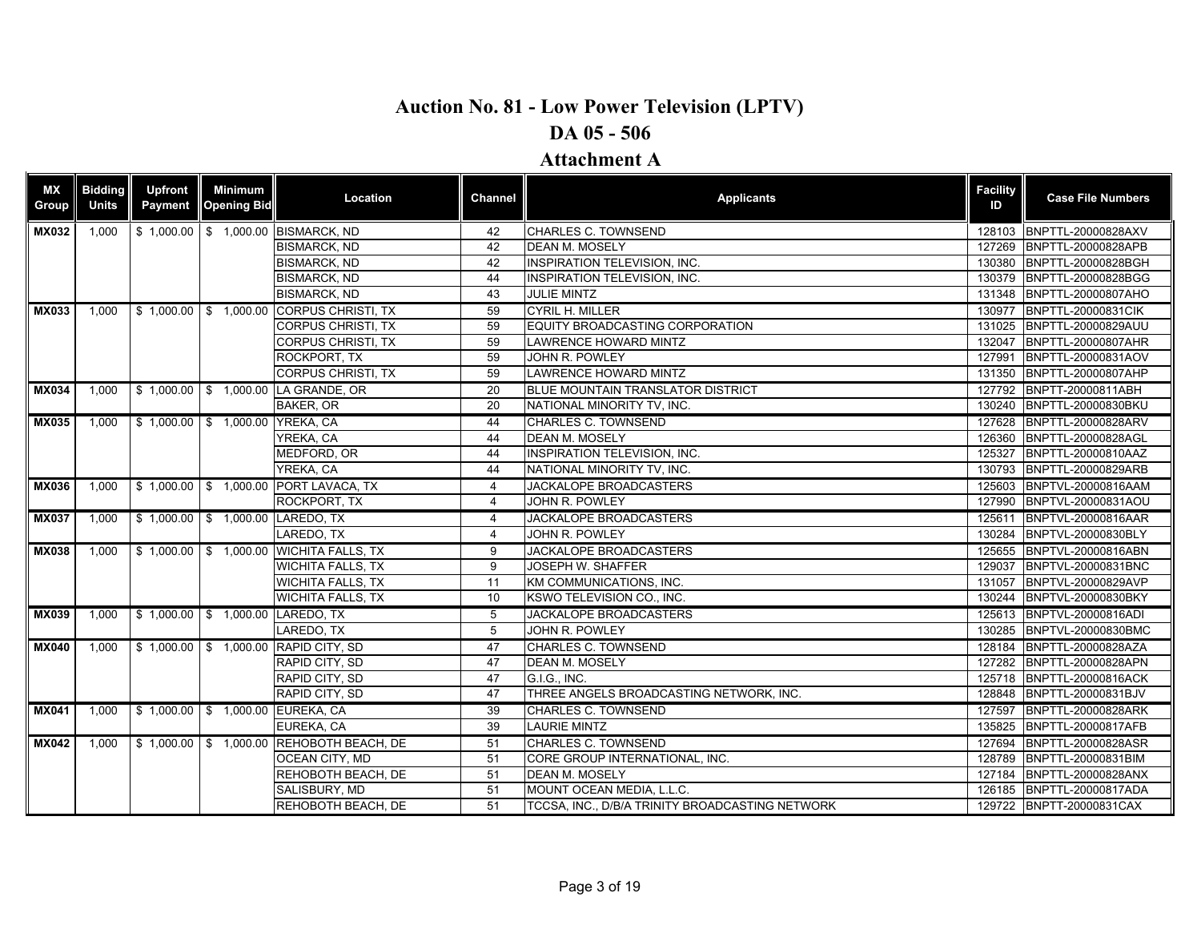| <b>MX</b><br><b>Group</b> | <b>Bidding</b><br><b>Units</b> | <b>Upfront</b><br>Payment | Minimum<br><b>Opening Bid</b>   | Location                                 | <b>Channel</b> | <b>Applicants</b>                               | <b>Facility</b><br>ID | <b>Case File Numbers</b>  |
|---------------------------|--------------------------------|---------------------------|---------------------------------|------------------------------------------|----------------|-------------------------------------------------|-----------------------|---------------------------|
| <b>MX032</b>              | 1,000                          | \$1,000.00                |                                 | \$ 1,000.00 BISMARCK, ND                 | 42             | CHARLES C. TOWNSEND                             | 128103                | BNPTTL-20000828AXV        |
|                           |                                |                           |                                 | <b>BISMARCK, ND</b>                      | 42             | <b>DEAN M. MOSELY</b>                           | 127269                | BNPTTL-20000828APB        |
|                           |                                |                           |                                 | <b>BISMARCK, ND</b>                      | 42             | <b>INSPIRATION TELEVISION, INC.</b>             | 130380                | BNPTTL-20000828BGH        |
|                           |                                |                           |                                 | <b>BISMARCK, ND</b>                      | 44             | <b>INSPIRATION TELEVISION, INC.</b>             |                       | 130379 BNPTTL-20000828BGG |
|                           |                                |                           |                                 | <b>BISMARCK, ND</b>                      | 43             | <b>JULIE MINTZ</b>                              |                       | 131348 BNPTTL-20000807AHO |
| <b>MX033</b>              | 1,000                          |                           |                                 | \$1,000.00 \$1,000.00 CORPUS CHRISTI, TX | 59             | <b>CYRIL H. MILLER</b>                          | 130977                | <b>BNPTTL-20000831CIK</b> |
|                           |                                |                           |                                 | <b>CORPUS CHRISTI, TX</b>                | 59             | EQUITY BROADCASTING CORPORATION                 |                       | 131025 BNPTTL-20000829AUU |
|                           |                                |                           |                                 | <b>CORPUS CHRISTI, TX</b>                | 59             | <b>LAWRENCE HOWARD MINTZ</b>                    |                       | 132047 BNPTTL-20000807AHR |
|                           |                                |                           |                                 | ROCKPORT. TX                             | 59             | JOHN R. POWLEY                                  | 127991                | BNPTTL-20000831AOV        |
|                           |                                |                           |                                 | <b>CORPUS CHRISTI, TX</b>                | 59             | <b>LAWRENCE HOWARD MINTZ</b>                    |                       | 131350 BNPTTL-20000807AHP |
| <b>MX034</b>              | 1,000                          |                           |                                 | \$1,000.00 \$1,000.00 LA GRANDE, OR      | 20             | <b>BLUE MOUNTAIN TRANSLATOR DISTRICT</b>        |                       | 127792 BNPTT-20000811ABH  |
|                           |                                |                           |                                 | <b>BAKER, OR</b>                         | 20             | NATIONAL MINORITY TV, INC.                      |                       | 130240 BNPTTL-20000830BKU |
| <b>MX035</b>              | 1,000                          |                           | \$1,000.00 \$1,000.00 YREKA, CA |                                          | 44             | <b>CHARLES C. TOWNSEND</b>                      |                       | 127628 BNPTTL-20000828ARV |
|                           |                                |                           |                                 | YREKA, CA                                | 44             | <b>DEAN M. MOSELY</b>                           | 126360                | BNPTTL-20000828AGL        |
|                           |                                |                           |                                 | MEDFORD, OR                              | 44             | <b>INSPIRATION TELEVISION, INC.</b>             |                       | 125327 BNPTTL-20000810AAZ |
|                           |                                |                           |                                 | YREKA, CA                                | 44             | NATIONAL MINORITY TV, INC.                      |                       | 130793 BNPTTL-20000829ARB |
| <b>MX036</b>              | 1,000                          |                           |                                 | \$1,000.00 \$1,000.00 PORT LAVACA, TX    | 4              | JACKALOPE BROADCASTERS                          |                       | 125603 BNPTVL-20000816AAM |
|                           |                                |                           |                                 | ROCKPORT, TX                             | $\overline{4}$ | JOHN R. POWLEY                                  |                       | 127990 BNPTVL-20000831AOU |
| <b>MX037</b>              | 1,000                          |                           |                                 | \$1,000.00 \$1,000.00 LAREDO, TX         | $\overline{4}$ | JACKALOPE BROADCASTERS                          |                       | 125611 BNPTVL-20000816AAR |
|                           |                                |                           |                                 | LAREDO, TX                               | $\overline{4}$ | JOHN R. POWLEY                                  |                       | 130284 BNPTVL-20000830BLY |
| <b>MX038</b>              | 1.000                          |                           |                                 | \$1,000.00 \$1,000.00 WICHITA FALLS, TX  | 9              | <b>JACKALOPE BROADCASTERS</b>                   |                       | 125655 BNPTVL-20000816ABN |
|                           |                                |                           |                                 | <b>WICHITA FALLS, TX</b>                 | 9              | JOSEPH W. SHAFFER                               | 129037                | BNPTVL-20000831BNC        |
|                           |                                |                           |                                 | <b>WICHITA FALLS, TX</b>                 | 11             | KM COMMUNICATIONS, INC.                         |                       | 131057 BNPTVL-20000829AVP |
|                           |                                |                           |                                 | <b>WICHITA FALLS, TX</b>                 | 10             | KSWO TELEVISION CO., INC.                       |                       | 130244 BNPTVL-20000830BKY |
| <b>MX039</b>              | 1,000                          |                           |                                 | \$1,000.00 \$1,000.00 LAREDO, TX         | 5              | <b>JACKALOPE BROADCASTERS</b>                   |                       | 125613 BNPTVL-20000816ADI |
|                           |                                |                           |                                 | LAREDO, TX                               | 5              | JOHN R. POWLEY                                  |                       | 130285 BNPTVL-20000830BMC |
| <b>MX040</b>              | 1,000                          |                           |                                 | \$1,000.00 \$1,000.00 RAPID CITY, SD     | 47             | <b>CHARLES C. TOWNSEND</b>                      |                       | 128184 BNPTTL-20000828AZA |
|                           |                                |                           |                                 | RAPID CITY, SD                           | 47             | <b>DEAN M. MOSELY</b>                           |                       | 127282 BNPTTL-20000828APN |
|                           |                                |                           |                                 | RAPID CITY, SD                           | 47             | G.I.G., INC.                                    |                       | 125718 BNPTTL-20000816ACK |
|                           |                                |                           |                                 | RAPID CITY, SD                           | 47             | THREE ANGELS BROADCASTING NETWORK, INC.         |                       | 128848 BNPTTL-20000831BJV |
| <b>MX041</b>              | 1,000                          |                           |                                 | \$1,000.00 \$1,000.00 EUREKA, CA         | 39             | <b>CHARLES C. TOWNSEND</b>                      |                       | 127597 BNPTTL-20000828ARK |
|                           |                                |                           |                                 | EUREKA, CA                               | 39             | <b>LAURIE MINTZ</b>                             |                       | 135825 BNPTTL-20000817AFB |
| <b>MX042</b>              | 1.000                          |                           |                                 | \$1,000.00 \$1,000.00 REHOBOTH BEACH, DE | 51             | <b>CHARLES C. TOWNSEND</b>                      |                       | 127694 BNPTTL-20000828ASR |
|                           |                                |                           |                                 | OCEAN CITY, MD                           | 51             | CORE GROUP INTERNATIONAL, INC.                  |                       | 128789 BNPTTL-20000831BIM |
|                           |                                |                           |                                 | REHOBOTH BEACH, DE                       | 51             | <b>DEAN M. MOSELY</b>                           |                       | 127184 BNPTTL-20000828ANX |
|                           |                                |                           |                                 | SALISBURY, MD                            | 51             | MOUNT OCEAN MEDIA, L.L.C.                       |                       | 126185 BNPTTL-20000817ADA |
|                           |                                |                           |                                 | REHOBOTH BEACH. DE                       | 51             | TCCSA. INC., D/B/A TRINITY BROADCASTING NETWORK |                       | 129722 BNPTT-20000831CAX  |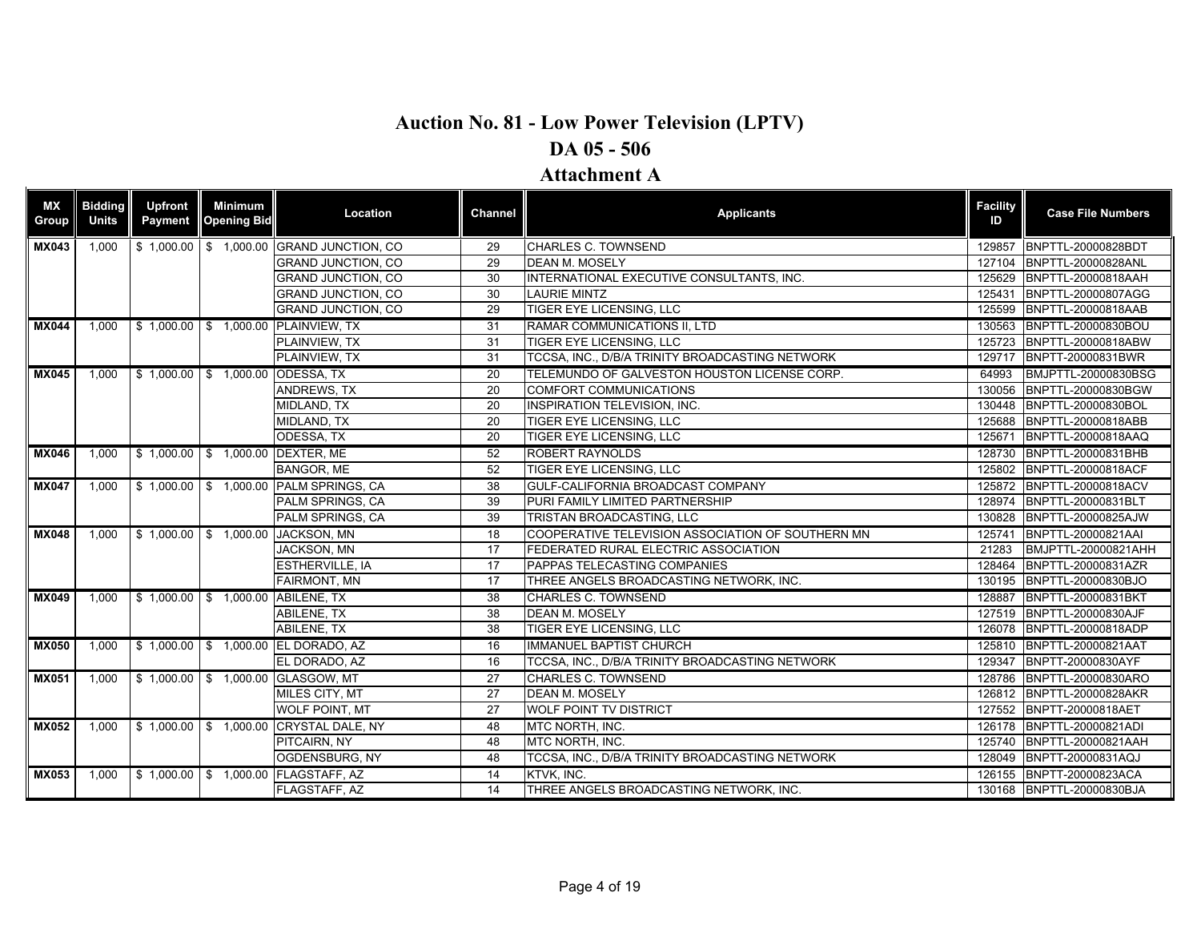| <b>MX</b><br><b>Group</b> | <b>Bidding</b><br><b>Units</b> | <b>Upfront</b><br>Payment | <b>Minimum</b><br><b>Opening Bid</b> | Location                                 | Channel         | <b>Applicants</b>                                 | <b>Facility</b><br>ID | <b>Case File Numbers</b>  |
|---------------------------|--------------------------------|---------------------------|--------------------------------------|------------------------------------------|-----------------|---------------------------------------------------|-----------------------|---------------------------|
| <b>MX043</b>              | 1,000                          |                           |                                      | \$1,000.00 \$1,000.00 GRAND JUNCTION, CO | 29              | CHARLES C. TOWNSEND                               | 129857                | BNPTTL-20000828BDT        |
|                           |                                |                           |                                      | <b>GRAND JUNCTION, CO</b>                | 29              | <b>DEAN M. MOSELY</b>                             | 127104                | BNPTTL-20000828ANL        |
|                           |                                |                           |                                      | <b>GRAND JUNCTION, CO</b>                | 30              | INTERNATIONAL EXECUTIVE CONSULTANTS, INC.         | 125629                | BNPTTL-20000818AAH        |
|                           |                                |                           |                                      | <b>GRAND JUNCTION, CO</b>                | 30              | <b>LAURIE MINTZ</b>                               | 125431                | BNPTTL-20000807AGG        |
|                           |                                |                           |                                      | <b>GRAND JUNCTION, CO</b>                | 29              | <b>TIGER EYE LICENSING, LLC</b>                   | 125599                | BNPTTL-20000818AAB        |
| <b>MX044</b>              | 1.000                          |                           |                                      | \$1,000.00 \$1,000.00 PLAINVIEW, TX      | 31              | <b>RAMAR COMMUNICATIONS II. LTD</b>               | 130563                | BNPTTL-20000830BOU        |
|                           |                                |                           |                                      | <b>PLAINVIEW. TX</b>                     | 31              | TIGER EYE LICENSING, LLC                          | 125723                | BNPTTL-20000818ABW        |
|                           |                                |                           |                                      | PLAINVIEW, TX                            | 31              | TCCSA, INC., D/B/A TRINITY BROADCASTING NETWORK   | 129717                | BNPTT-20000831BWR         |
| <b>MX045</b>              | 1.000                          |                           | \$1,000.00 \$1,000.00 ODESSA, TX     |                                          | 20              | TELEMUNDO OF GALVESTON HOUSTON LICENSE CORP.      | 64993                 | BMJPTTL-20000830BSG       |
|                           |                                |                           |                                      | <b>ANDREWS, TX</b>                       | 20              | COMFORT COMMUNICATIONS                            | 130056                | BNPTTL-20000830BGW        |
|                           |                                |                           |                                      | <b>MIDLAND, TX</b>                       | 20              | <b>INSPIRATION TELEVISION, INC.</b>               | 130448                | BNPTTL-20000830BOL        |
|                           |                                |                           |                                      | MIDLAND, TX                              | 20              | TIGER EYE LICENSING, LLC                          | 125688                | BNPTTL-20000818ABB        |
|                           |                                |                           |                                      | ODESSA, TX                               | $\overline{20}$ | <b>TIGER EYE LICENSING, LLC</b>                   | 125671                | BNPTTL-20000818AAQ        |
| <b>MX046</b>              | 1.000                          |                           | \$1,000.00 \$1,000.00 DEXTER, ME     |                                          | $\overline{52}$ | <b>ROBERT RAYNOLDS</b>                            |                       | 128730 BNPTTL-20000831BHB |
|                           |                                |                           |                                      | <b>BANGOR, ME</b>                        | 52              | <b>TIGER EYE LICENSING. LLC</b>                   | 125802                | BNPTTL-20000818ACF        |
| <b>MX047</b>              | 1,000                          |                           |                                      | \$1,000.00 \$1,000.00 PALM SPRINGS, CA   | 38              | GULF-CALIFORNIA BROADCAST COMPANY                 | 125872                | BNPTTL-20000818ACV        |
|                           |                                |                           |                                      | PALM SPRINGS, CA                         | 39              | PURI FAMILY LIMITED PARTNERSHIP                   | 128974                | BNPTTL-20000831BLT        |
|                           |                                |                           |                                      | PALM SPRINGS, CA                         | 39              | TRISTAN BROADCASTING, LLC                         | 130828                | BNPTTL-20000825AJW        |
| <b>MX048</b>              | 1.000                          |                           |                                      | \$1.000.00 \$1.000.00 JACKSON. MN        | 18              | COOPERATIVE TELEVISION ASSOCIATION OF SOUTHERN MN | 125741                | BNPTTL-20000821AAI        |
|                           |                                |                           |                                      | <b>JACKSON, MN</b>                       | 17              | FEDERATED RURAL ELECTRIC ASSOCIATION              | 21283                 | BMJPTTL-20000821AHH       |
|                           |                                |                           |                                      | <b>ESTHERVILLE, IA</b>                   | 17              | PAPPAS TELECASTING COMPANIES                      | 128464                | BNPTTL-20000831AZR        |
|                           |                                |                           |                                      | <b>FAIRMONT, MN</b>                      | 17              | THREE ANGELS BROADCASTING NETWORK, INC.           | 130195                | BNPTTL-20000830BJO        |
| <b>MX049</b>              | 1.000                          |                           | \$1,000.00 \$1,000.00 ABILENE, TX    |                                          | 38              | <b>CHARLES C. TOWNSEND</b>                        | 128887                | BNPTTL-20000831BKT        |
|                           |                                |                           |                                      | <b>ABILENE, TX</b>                       | 38              | <b>DEAN M. MOSELY</b>                             | 127519                | BNPTTL-20000830AJF        |
|                           |                                |                           |                                      | <b>ABILENE, TX</b>                       | 38              | TIGER EYE LICENSING, LLC                          | 126078                | BNPTTL-20000818ADP        |
| <b>MX050</b>              | 1.000                          |                           |                                      | \$1,000.00 \$1,000.00 EL DORADO, AZ      | 16              | <b>IMMANUEL BAPTIST CHURCH</b>                    | 125810                | BNPTTL-20000821AAT        |
|                           |                                |                           |                                      | EL DORADO, AZ                            | 16              | TCCSA, INC., D/B/A TRINITY BROADCASTING NETWORK   | 129347                | BNPTT-20000830AYF         |
| <b>MX051</b>              | 1,000                          |                           |                                      | \$1,000.00 \$1,000.00 GLASGOW, MT        | 27              | <b>CHARLES C. TOWNSEND</b>                        | 128786                | BNPTTL-20000830ARO        |
|                           |                                |                           |                                      | MILES CITY, MT                           | 27              | <b>DEAN M. MOSELY</b>                             |                       | 126812 BNPTTL-20000828AKR |
|                           |                                |                           |                                      | <b>WOLF POINT, MT</b>                    | 27              | <b>WOLF POINT TV DISTRICT</b>                     |                       | 127552 BNPTT-20000818AET  |
| <b>MX052</b>              | 1.000                          |                           |                                      | \$1,000.00 \$1,000.00 CRYSTAL DALE, NY   | 48              | MTC NORTH, INC.                                   |                       | 126178 BNPTTL-20000821ADI |
|                           |                                |                           |                                      | PITCAIRN, NY                             | 48              | MTC NORTH. INC.                                   | 125740                | BNPTTL-20000821AAH        |
|                           |                                |                           |                                      | OGDENSBURG, NY                           | 48              | TCCSA, INC., D/B/A TRINITY BROADCASTING NETWORK   | 128049                | BNPTT-20000831AQJ         |
| <b>MX053</b>              | 1.000                          |                           |                                      | \$1,000.00 \$1,000.00 FLAGSTAFF, AZ      | $\overline{14}$ | KTVK, INC.                                        |                       | 126155 BNPTT-20000823ACA  |
|                           |                                |                           |                                      | FLAGSTAFF, AZ                            | 14              | THREE ANGELS BROADCASTING NETWORK, INC.           |                       | 130168 BNPTTL-20000830BJA |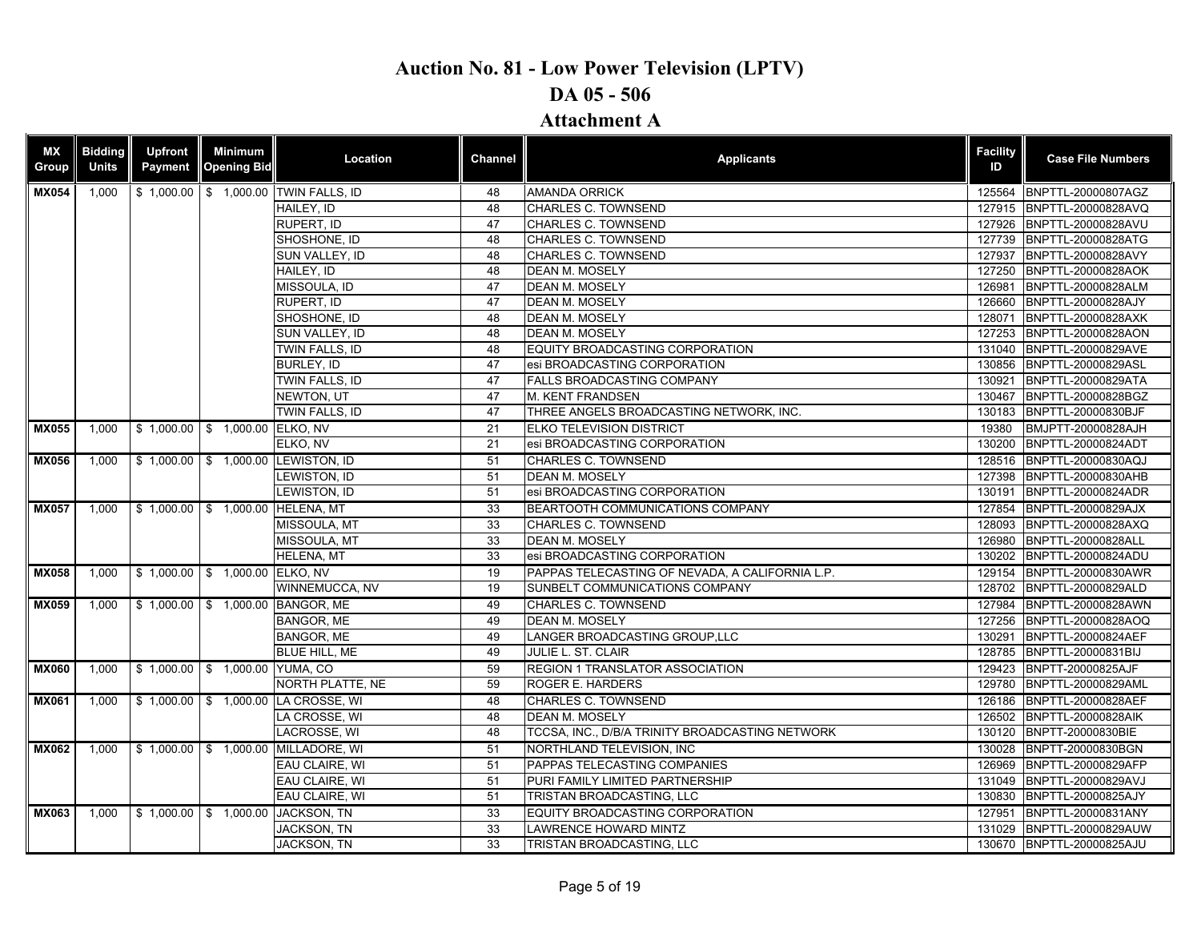### **DA 05 - 506**

### **Attachment A**

| <b>MX</b><br>Group | <b>Bidding</b><br><b>Units</b> | <b>Upfront</b><br>Payment | Minimum<br><b>Opening Bid</b>  | Location                                        | Channel | <b>Applicants</b>                               | <b>Facility</b><br>ID | <b>Case File Numbers</b>  |
|--------------------|--------------------------------|---------------------------|--------------------------------|-------------------------------------------------|---------|-------------------------------------------------|-----------------------|---------------------------|
| <b>MX054</b>       | 1,000                          |                           |                                | \$1,000.00 \$1,000.00 TWIN FALLS, ID            | 48      | <b>AMANDA ORRICK</b>                            | 125564                | BNPTTL-20000807AGZ        |
|                    |                                |                           |                                | HAILEY. ID                                      | 48      | <b>CHARLES C. TOWNSEND</b>                      | 127915                | BNPTTL-20000828AVQ        |
|                    |                                |                           |                                | RUPERT, ID                                      | 47      | <b>CHARLES C. TOWNSEND</b>                      |                       | 127926 BNPTTL-20000828AVU |
|                    |                                |                           |                                | SHOSHONE, ID                                    | 48      | CHARLES C. TOWNSEND                             |                       | 127739 BNPTTL-20000828ATG |
|                    |                                |                           |                                | SUN VALLEY, ID                                  | 48      | <b>CHARLES C. TOWNSEND</b>                      | 127937                | BNPTTL-20000828AVY        |
|                    |                                |                           |                                | HAILEY. ID                                      | 48      | <b>DEAN M. MOSELY</b>                           | 127250                | <b>BNPTTL-20000828AOK</b> |
|                    |                                |                           |                                | MISSOULA, ID                                    | 47      | <b>DEAN M. MOSELY</b>                           | 126981                | BNPTTL-20000828ALM        |
|                    |                                |                           |                                | RUPERT, ID                                      | 47      | <b>DEAN M. MOSELY</b>                           | 126660                | BNPTTL-20000828AJY        |
|                    |                                |                           |                                | SHOSHONE, ID                                    | 48      | <b>DEAN M. MOSELY</b>                           | 128071                | BNPTTL-20000828AXK        |
|                    |                                |                           |                                | SUN VALLEY, ID                                  | 48      | <b>DEAN M. MOSELY</b>                           | 127253                | BNPTTL-20000828AON        |
|                    |                                |                           |                                | <b>TWIN FALLS. ID</b>                           | 48      | EQUITY BROADCASTING CORPORATION                 | 131040                | BNPTTL-20000829AVE        |
|                    |                                |                           |                                | BURLEY, ID                                      | 47      | esi BROADCASTING CORPORATION                    | 130856                | BNPTTL-20000829ASL        |
|                    |                                |                           |                                | TWIN FALLS, ID                                  | 47      | <b>FALLS BROADCASTING COMPANY</b>               | 130921                | BNPTTL-20000829ATA        |
|                    |                                |                           |                                | <b>NEWTON, UT</b>                               | 47      | <b>M. KENT FRANDSEN</b>                         | 130467                | BNPTTL-20000828BGZ        |
|                    |                                |                           |                                | TWIN FALLS, ID                                  | 47      | THREE ANGELS BROADCASTING NETWORK, INC.         | 130183                | BNPTTL-20000830BJF        |
| <b>MX055</b>       | $1.000$                        |                           | \$1,000.00 \$1,000.00 ELKO, NV |                                                 | 21      | <b>ELKO TELEVISION DISTRICT</b>                 | 19380                 | BMJPTT-20000828AJH        |
|                    |                                |                           |                                | ELKO, NV                                        | 21      | esi BROADCASTING CORPORATION                    | 130200                | BNPTTL-20000824ADT        |
| <b>MX056</b>       | 1,000                          |                           |                                | \$1,000.00 \$1,000.00 LEWISTON, ID              | 51      | <b>CHARLES C. TOWNSEND</b>                      |                       | 128516 BNPTTL-20000830AQJ |
|                    |                                |                           |                                | LEWISTON, ID                                    | 51      | <b>DEAN M. MOSELY</b>                           | 127398                | BNPTTL-20000830AHB        |
|                    |                                |                           |                                | LEWISTON, ID                                    | 51      | esi BROADCASTING CORPORATION                    | 130191                | BNPTTL-20000824ADR        |
| <b>MX057</b>       | 1,000                          |                           |                                | \$1,000.00 \$1,000.00 HELENA, MT                | 33      | BEARTOOTH COMMUNICATIONS COMPANY                | 127854                | BNPTTL-20000829AJX        |
|                    |                                |                           |                                | MISSOULA, MT                                    | 33      | <b>CHARLES C. TOWNSEND</b>                      | 128093                | BNPTTL-20000828AXQ        |
|                    |                                |                           |                                | MISSOULA, MT                                    | 33      | <b>DEAN M. MOSELY</b>                           | 126980                | BNPTTL-20000828ALL        |
|                    |                                |                           |                                | <b>HELENA, MT</b>                               | 33      | esi BROADCASTING CORPORATION                    |                       | 130202 BNPTTL-20000824ADU |
| <b>MX058</b>       | 1,000                          |                           | \$1,000.00 \$1,000.00 ELKO, NV |                                                 | 19      | PAPPAS TELECASTING OF NEVADA. A CALIFORNIA L.P. | 129154                | BNPTTL-20000830AWR        |
|                    |                                |                           |                                | WINNEMUCCA, NV                                  | 19      | SUNBELT COMMUNICATIONS COMPANY                  | 128702                | BNPTTL-20000829ALD        |
| <b>MX059</b>       | 1,000                          |                           |                                | \$1,000.00   \$1,000.00 BANGOR, ME              | 49      | CHARLES C. TOWNSEND                             |                       | 127984 BNPTTL-20000828AWN |
|                    |                                |                           |                                | <b>BANGOR, ME</b>                               | 49      | <b>DEAN M. MOSELY</b>                           | 127256                | BNPTTL-20000828AOQ        |
|                    |                                |                           |                                | <b>BANGOR, ME</b>                               | 49      | LANGER BROADCASTING GROUP, LLC                  | 130291                | <b>BNPTTL-20000824AEF</b> |
|                    |                                |                           |                                | <b>BLUE HILL, ME</b>                            | 49      | JULIE L. ST. CLAIR                              | 128785                | BNPTTL-20000831BIJ        |
| <b>MX060</b>       | 1.000                          |                           | \$1,000.00 \$1,000.00 YUMA, CO |                                                 | 59      | <b>REGION 1 TRANSLATOR ASSOCIATION</b>          |                       | 129423 BNPTT-20000825AJF  |
|                    |                                |                           |                                | NORTH PLATTE, NE                                | 59      | <b>ROGER E. HARDERS</b>                         | 129780                | BNPTTL-20000829AML        |
| <b>MX061</b>       | 1,000                          |                           |                                | \$1,000.00 \$1,000.00 LA CROSSE, WI             | 48      | <b>CHARLES C. TOWNSEND</b>                      |                       | 126186 BNPTTL-20000828AEF |
|                    |                                |                           |                                | LA CROSSE. WI                                   | 48      | <b>DEAN M. MOSELY</b>                           | 126502                | BNPTTL-20000828AIK        |
|                    |                                |                           |                                | LACROSSE, WI                                    | 48      | TCCSA, INC., D/B/A TRINITY BROADCASTING NETWORK | 130120                | BNPTT-20000830BIE         |
| <b>MX062</b>       |                                |                           |                                | 1,000   \$ 1,000.00   \$ 1,000.00 MILLADORE, WI | 51      | NORTHLAND TELEVISION, INC                       |                       | 130028 BNPTT-20000830BGN  |
|                    |                                |                           |                                | EAU CLAIRE, WI                                  | 51      | PAPPAS TELECASTING COMPANIES                    | 126969                | BNPTTL-20000829AFP        |
|                    |                                |                           |                                | EAU CLAIRE, WI                                  | 51      | PURI FAMILY LIMITED PARTNERSHIP                 |                       | 131049 BNPTTL-20000829AVJ |
|                    |                                |                           |                                | <b>EAU CLAIRE. WI</b>                           | 51      | TRISTAN BROADCASTING, LLC                       | 130830                | BNPTTL-20000825AJY        |
| <b>MX063</b>       | 1.000                          |                           | $$1,000.00$ $$1,000.00$        | <b>JACKSON, TN</b>                              | 33      | EQUITY BROADCASTING CORPORATION                 | 127951                | BNPTTL-20000831ANY        |
|                    |                                |                           |                                | <b>JACKSON, TN</b>                              | 33      | LAWRENCE HOWARD MINTZ                           | 131029                | BNPTTL-20000829AUW        |
|                    |                                |                           |                                | JACKSON, TN                                     | 33      | TRISTAN BROADCASTING, LLC                       |                       | 130670 BNPTTL-20000825AJU |
|                    |                                |                           |                                |                                                 |         |                                                 |                       |                           |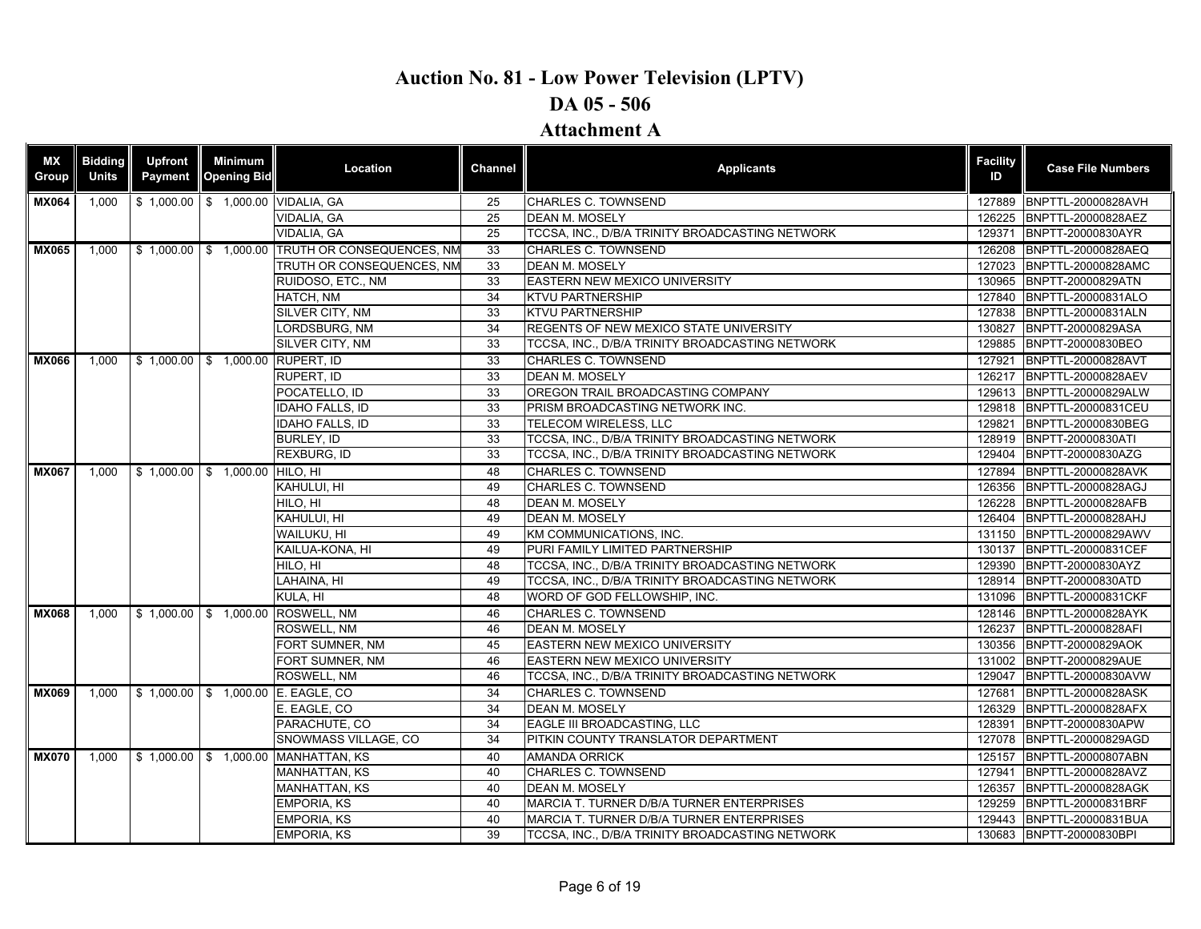| ΜX<br>Group  | <b>Bidding</b><br><b>Units</b> | <b>Upfront</b><br><b>Payment</b> | <b>Minimum</b><br><b>Opening Bid</b> | Location                                        | <b>Channel</b>  | <b>Applicants</b>                               | <b>Facility</b><br>ID | <b>Case File Numbers</b>  |
|--------------|--------------------------------|----------------------------------|--------------------------------------|-------------------------------------------------|-----------------|-------------------------------------------------|-----------------------|---------------------------|
| <b>MX064</b> | 1,000                          |                                  |                                      | \$1,000.00 \$1,000.00 VIDALIA, GA               | 25              | <b>CHARLES C. TOWNSEND</b>                      | 127889                | BNPTTL-20000828AVH        |
|              |                                |                                  |                                      | VIDALIA, GA                                     | 25              | <b>DEAN M. MOSELY</b>                           | 126225                | BNPTTL-20000828AEZ        |
|              |                                |                                  |                                      | VIDALIA, GA                                     | 25              | TCCSA, INC., D/B/A TRINITY BROADCASTING NETWORK | 129371                | BNPTT-20000830AYR         |
| <b>MX065</b> | 1.000                          |                                  |                                      | \$1,000.00 \$1,000.00 TRUTH OR CONSEQUENCES, NM | 33              | CHARLES C. TOWNSEND                             | 126208                | BNPTTL-20000828AEQ        |
|              |                                |                                  |                                      | TRUTH OR CONSEQUENCES, NM                       | 33              | <b>DEAN M. MOSELY</b>                           | 127023                | BNPTTL-20000828AMC        |
|              |                                |                                  |                                      | RUIDOSO, ETC., NM                               | 33              | <b>EASTERN NEW MEXICO UNIVERSITY</b>            | 130965                | BNPTT-20000829ATN         |
|              |                                |                                  |                                      | HATCH, NM                                       | $\overline{34}$ | <b>KTVU PARTNERSHIP</b>                         |                       | 127840 BNPTTL-20000831ALO |
|              |                                |                                  |                                      | SILVER CITY, NM                                 | 33              | <b>KTVU PARTNERSHIP</b>                         | 127838                | BNPTTL-20000831ALN        |
|              |                                |                                  |                                      | LORDSBURG, NM                                   | 34              | REGENTS OF NEW MEXICO STATE UNIVERSITY          | 130827                | BNPTT-20000829ASA         |
|              |                                |                                  |                                      | SILVER CITY, NM                                 | 33              | TCCSA, INC., D/B/A TRINITY BROADCASTING NETWORK | 129885                | BNPTT-20000830BEO         |
| <b>MX066</b> | 1.000                          |                                  | \$1,000.00 \$1,000.00 RUPERT, ID     |                                                 | 33              | CHARLES C. TOWNSEND                             | 127921                | BNPTTL-20000828AVT        |
|              |                                |                                  |                                      | RUPERT, ID                                      | 33              | <b>DEAN M. MOSELY</b>                           | 126217                | BNPTTL-20000828AEV        |
|              |                                |                                  |                                      | POCATELLO, ID                                   | 33              | OREGON TRAIL BROADCASTING COMPANY               | 129613                | BNPTTL-20000829ALW        |
|              |                                |                                  |                                      | <b>IDAHO FALLS. ID</b>                          | 33              | PRISM BROADCASTING NETWORK INC.                 | 129818                | <b>BNPTTL-20000831CEU</b> |
|              |                                |                                  |                                      | IDAHO FALLS, ID                                 | 33              | TELECOM WIRELESS, LLC                           | 129821                | BNPTTL-20000830BEG        |
|              |                                |                                  |                                      | BURLEY, ID                                      | 33              | TCCSA, INC., D/B/A TRINITY BROADCASTING NETWORK | 128919                | BNPTT-20000830ATI         |
|              |                                |                                  |                                      | REXBURG, ID                                     | 33              | TCCSA, INC., D/B/A TRINITY BROADCASTING NETWORK | 129404                | BNPTT-20000830AZG         |
| <b>MX067</b> | 1.000                          |                                  | \$1,000.00 \$1,000.00 HILO, HI       |                                                 | 48              | CHARLES C. TOWNSEND                             | 127894                | BNPTTL-20000828AVK        |
|              |                                |                                  |                                      | KAHULUI, HI                                     | 49              | CHARLES C. TOWNSEND                             | 126356                | BNPTTL-20000828AGJ        |
|              |                                |                                  |                                      | HILO, HI                                        | 48              | <b>DEAN M. MOSELY</b>                           | 126228                | BNPTTL-20000828AFB        |
|              |                                |                                  |                                      | KAHULUI. HI                                     | 49              | <b>DEAN M. MOSELY</b>                           | 126404                | BNPTTL-20000828AHJ        |
|              |                                |                                  |                                      | Wailuku. Hi                                     | 49              | KM COMMUNICATIONS, INC.                         | 131150                | BNPTTL-20000829AWV        |
|              |                                |                                  |                                      | KAILUA-KONA, HI                                 | 49              | PURI FAMILY LIMITED PARTNERSHIP                 | 130137                | BNPTTL-20000831CEF        |
|              |                                |                                  |                                      | HILO, HI                                        | 48              | TCCSA, INC., D/B/A TRINITY BROADCASTING NETWORK | 129390                | BNPTT-20000830AYZ         |
|              |                                |                                  |                                      | LAHAINA, HI                                     | 49              | TCCSA, INC., D/B/A TRINITY BROADCASTING NETWORK | 128914                | BNPTT-20000830ATD         |
|              |                                |                                  |                                      | KULA, HI                                        | 48              | WORD OF GOD FELLOWSHIP, INC.                    | 131096                | BNPTTL-20000831CKF        |
| <b>MX068</b> | 1.000                          |                                  |                                      | \$1,000.00 \$1,000.00 ROSWELL, NM               | 46              | <b>CHARLES C. TOWNSEND</b>                      | 128146                | BNPTTL-20000828AYK        |
|              |                                |                                  |                                      | ROSWELL, NM                                     | 46              | <b>DEAN M. MOSELY</b>                           | 126237                | BNPTTL-20000828AFI        |
|              |                                |                                  |                                      | FORT SUMNER, NM                                 | 45              | EASTERN NEW MEXICO UNIVERSITY                   | 130356                | BNPTT-20000829AOK         |
|              |                                |                                  |                                      | FORT SUMNER, NM                                 | 46              | <b>EASTERN NEW MEXICO UNIVERSITY</b>            | 131002                | BNPTT-20000829AUE         |
|              |                                |                                  |                                      | ROSWELL, NM                                     | 46              | TCCSA, INC., D/B/A TRINITY BROADCASTING NETWORK | 129047                | BNPTTL-20000830AVW        |
| <b>MX069</b> | 1.000                          |                                  |                                      | \$1,000.00 \$1,000.00 E. EAGLE, CO              | 34              | <b>CHARLES C. TOWNSEND</b>                      | 127681                | <b>BNPTTL-20000828ASK</b> |
|              |                                |                                  |                                      | E. EAGLE, CO                                    | 34              | <b>DEAN M. MOSELY</b>                           | 126329                | BNPTTL-20000828AFX        |
|              |                                |                                  |                                      | PARACHUTE, CO                                   | 34              | EAGLE III BROADCASTING, LLC                     | 128391                | BNPTT-20000830APW         |
|              |                                |                                  |                                      | SNOWMASS VILLAGE, CO                            | 34              | PITKIN COUNTY TRANSLATOR DEPARTMENT             | 127078                | BNPTTL-20000829AGD        |
| <b>MX070</b> | 1.000                          |                                  |                                      | \$1,000.00 \$1,000.00 MANHATTAN, KS             | 40              | <b>AMANDA ORRICK</b>                            | 125157                | BNPTTL-20000807ABN        |
|              |                                |                                  |                                      | <b>MANHATTAN, KS</b>                            | 40              | CHARLES C. TOWNSEND                             | 127941                | BNPTTL-20000828AVZ        |
|              |                                |                                  |                                      | <b>MANHATTAN, KS</b>                            | 40              | <b>DEAN M. MOSELY</b>                           | 126357                | BNPTTL-20000828AGK        |
|              |                                |                                  |                                      | <b>EMPORIA, KS</b>                              | 40              | MARCIA T. TURNER D/B/A TURNER ENTERPRISES       | 129259                | BNPTTL-20000831BRF        |
|              |                                |                                  |                                      | <b>EMPORIA, KS</b>                              | 40              | MARCIA T. TURNER D/B/A TURNER ENTERPRISES       | 129443                | BNPTTL-20000831BUA        |
|              |                                |                                  |                                      | <b>EMPORIA, KS</b>                              | 39              | TCCSA, INC., D/B/A TRINITY BROADCASTING NETWORK |                       | 130683 BNPTT-20000830BPI  |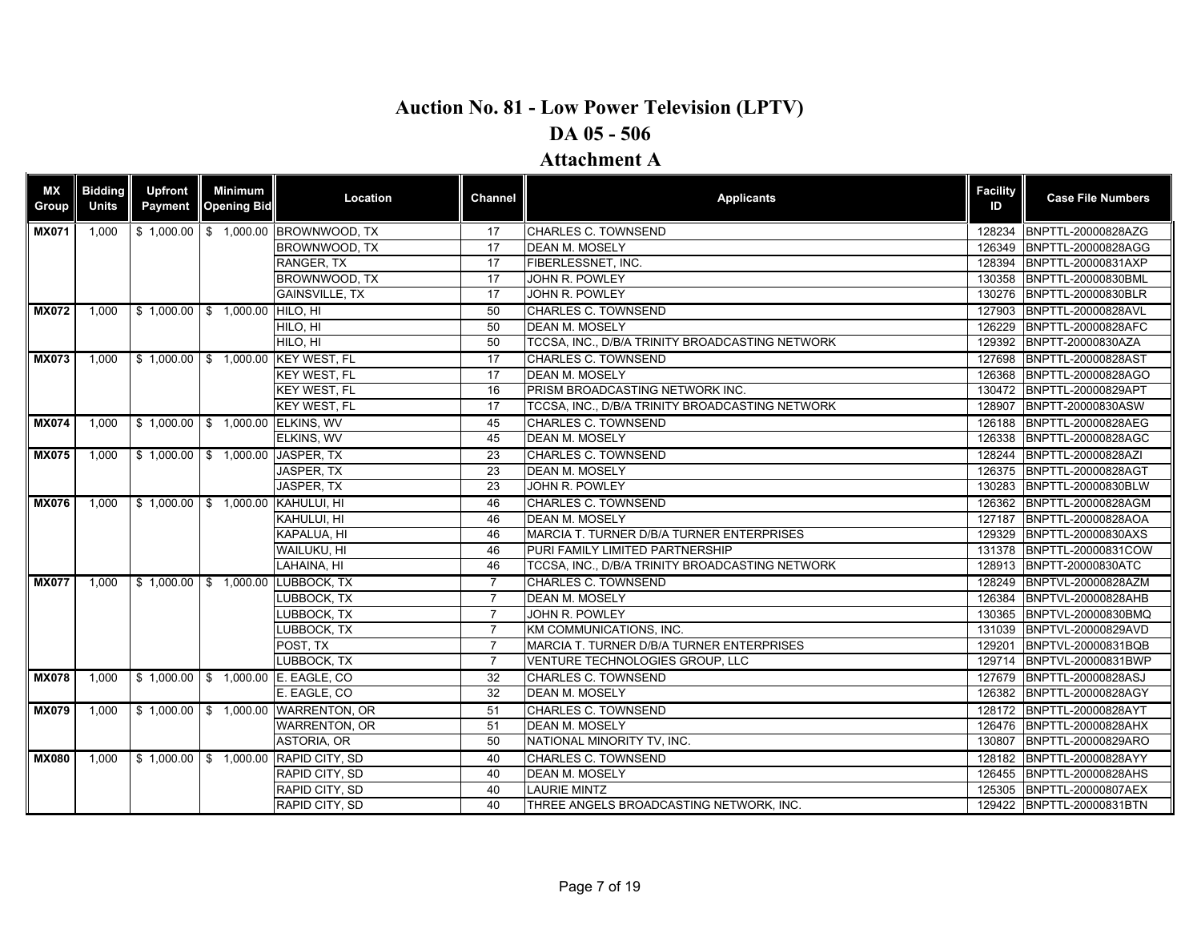### **Attachment A**

| ΜX<br>Group  | <b>Bidding</b><br><b>Units</b> | <b>Upfront</b><br>Payment | <b>Minimum</b><br><b>Opening Bid</b> | Location                             | Channel         | <b>Applicants</b>                               | <b>Facility</b><br>ID | <b>Case File Numbers</b>  |
|--------------|--------------------------------|---------------------------|--------------------------------------|--------------------------------------|-----------------|-------------------------------------------------|-----------------------|---------------------------|
| <b>MX071</b> | 1.000                          |                           |                                      | \$1,000.00 \$1,000.00 BROWNWOOD, TX  | 17              | <b>CHARLES C. TOWNSEND</b>                      | 128234                | BNPTTL-20000828AZG        |
|              |                                |                           |                                      | BROWNWOOD, TX                        | 17              | <b>DEAN M. MOSELY</b>                           | 126349                | BNPTTL-20000828AGG        |
|              |                                |                           |                                      | RANGER, TX                           | 17              | FIBERLESSNET, INC.                              | 128394                | BNPTTL-20000831AXP        |
|              |                                |                           |                                      | BROWNWOOD, TX                        | 17              | JOHN R. POWLEY                                  | 130358                | BNPTTL-20000830BML        |
|              |                                |                           |                                      | <b>GAINSVILLE, TX</b>                | 17              | JOHN R. POWLEY                                  | 130276                | BNPTTL-20000830BLR        |
| <b>MX072</b> | 1.000                          |                           | \$1,000.00 \$1,000.00 HILO, HI       |                                      | 50              | <b>CHARLES C. TOWNSEND</b>                      | 127903                | <b>BNPTTL-20000828AVL</b> |
|              |                                |                           |                                      | HILO, HI                             | 50              | <b>DEAN M. MOSELY</b>                           | 126229                | BNPTTL-20000828AFC        |
|              |                                |                           |                                      | HILO, HI                             | 50              | TCCSA, INC., D/B/A TRINITY BROADCASTING NETWORK | 129392                | BNPTT-20000830AZA         |
| <b>MX073</b> | 1.000                          |                           |                                      | \$1,000.00 \$1,000.00 KEY WEST, FL   | 17              | <b>CHARLES C. TOWNSEND</b>                      | 127698                | BNPTTL-20000828AST        |
|              |                                |                           |                                      | <b>KEY WEST, FL</b>                  | 17              | <b>DEAN M. MOSELY</b>                           | 126368                | BNPTTL-20000828AGO        |
|              |                                |                           |                                      | <b>KEY WEST, FL</b>                  | 16              | PRISM BROADCASTING NETWORK INC.                 | 130472                | BNPTTL-20000829APT        |
|              |                                |                           |                                      | KEY WEST, FL                         | 17              | TCCSA, INC., D/B/A TRINITY BROADCASTING NETWORK | 128907                | BNPTT-20000830ASW         |
| <b>MX074</b> | 1,000                          |                           | \$1,000.00 \$1,000.00 ELKINS, WV     |                                      | 45              | <b>CHARLES C. TOWNSEND</b>                      | 126188                | BNPTTL-20000828AEG        |
|              |                                |                           |                                      | ELKINS, WV                           | 45              | <b>DEAN M. MOSELY</b>                           | 126338                | BNPTTL-20000828AGC        |
| <b>MX075</b> | 1,000                          |                           | \$1,000.00 \$1,000.00 JASPER, TX     |                                      | 23              | <b>CHARLES C. TOWNSEND</b>                      | 128244                | BNPTTL-20000828AZI        |
|              |                                |                           |                                      | JASPER, TX                           | 23              | <b>DEAN M. MOSELY</b>                           | 126375                | BNPTTL-20000828AGT        |
|              |                                |                           |                                      | JASPER, TX                           | 23              | JOHN R. POWLEY                                  | 130283                | BNPTTL-20000830BLW        |
| <b>MX076</b> | 1,000                          |                           | \$1,000.00 \$1,000.00 KAHULUI, HI    |                                      | 46              | <b>CHARLES C. TOWNSEND</b>                      |                       | 126362 BNPTTL-20000828AGM |
|              |                                |                           |                                      | KAHULUI, HI                          | 46              | <b>DEAN M. MOSELY</b>                           | 127187                | BNPTTL-20000828AOA        |
|              |                                |                           |                                      | KAPALUA, HI                          | 46              | MARCIA T. TURNER D/B/A TURNER ENTERPRISES       | 129329                | BNPTTL-20000830AXS        |
|              |                                |                           |                                      | WAILUKU, HI                          | 46              | PURI FAMILY LIMITED PARTNERSHIP                 | 131378                | BNPTTL-20000831COW        |
|              |                                |                           |                                      | LAHAINA, HI                          | 46              | TCCSA, INC., D/B/A TRINITY BROADCASTING NETWORK | 128913                | BNPTT-20000830ATC         |
| <b>MX077</b> | 1,000                          |                           |                                      | \$1,000.00 \$1,000.00 LUBBOCK, TX    | $\overline{7}$  | <b>CHARLES C. TOWNSEND</b>                      | 128249                | BNPTVL-20000828AZM        |
|              |                                |                           |                                      | LUBBOCK, TX                          | $\overline{7}$  | <b>DEAN M. MOSELY</b>                           | 126384                | BNPTVL-20000828AHB        |
|              |                                |                           |                                      | LUBBOCK, TX                          | $\overline{7}$  | JOHN R. POWLEY                                  | 130365                | BNPTVL-20000830BMQ        |
|              |                                |                           |                                      | LUBBOCK. TX                          | $\overline{7}$  | KM COMMUNICATIONS. INC.                         | 131039                | BNPTVL-20000829AVD        |
|              |                                |                           |                                      | POST, TX                             | $\overline{7}$  | MARCIA T. TURNER D/B/A TURNER ENTERPRISES       | 129201                | BNPTVL-20000831BQB        |
|              |                                |                           |                                      | LUBBOCK, TX                          | $\overline{7}$  | VENTURE TECHNOLOGIES GROUP, LLC                 | 129714                | BNPTVL-20000831BWP        |
| <b>MX078</b> | 1.000                          |                           |                                      | \$1,000.00 \$1,000.00 E. EAGLE, CO   | 32              | <b>CHARLES C. TOWNSEND</b>                      | 127679                | BNPTTL-20000828ASJ        |
|              |                                |                           |                                      | E. EAGLE, CO                         | 32              | <b>DEAN M. MOSELY</b>                           | 126382                | BNPTTL-20000828AGY        |
| <b>MX079</b> | 1.000                          |                           |                                      | \$1,000.00 \$1,000.00 WARRENTON, OR  | $\overline{51}$ | <b>CHARLES C. TOWNSEND</b>                      |                       | 128172 BNPTTL-20000828AYT |
|              |                                |                           |                                      | <b>WARRENTON, OR</b>                 | 51              | <b>DEAN M. MOSELY</b>                           | 126476                | BNPTTL-20000828AHX        |
|              |                                |                           |                                      | ASTORIA, OR                          | 50              | NATIONAL MINORITY TV, INC.                      | 130807                | BNPTTL-20000829ARO        |
| <b>MX080</b> | 1,000                          |                           |                                      | \$1,000.00 \$1,000.00 RAPID CITY, SD | 40              | <b>CHARLES C. TOWNSEND</b>                      | 128182                | BNPTTL-20000828AYY        |
|              |                                |                           |                                      | RAPID CITY, SD                       | 40              | <b>DEAN M. MOSELY</b>                           | 126455                | BNPTTL-20000828AHS        |
|              |                                |                           |                                      | RAPID CITY, SD                       | 40              | <b>LAURIE MINTZ</b>                             | 125305                | BNPTTL-20000807AEX        |
|              |                                |                           |                                      | RAPID CITY, SD                       | 40              | THREE ANGELS BROADCASTING NETWORK. INC.         |                       | 129422 BNPTTL-20000831BTN |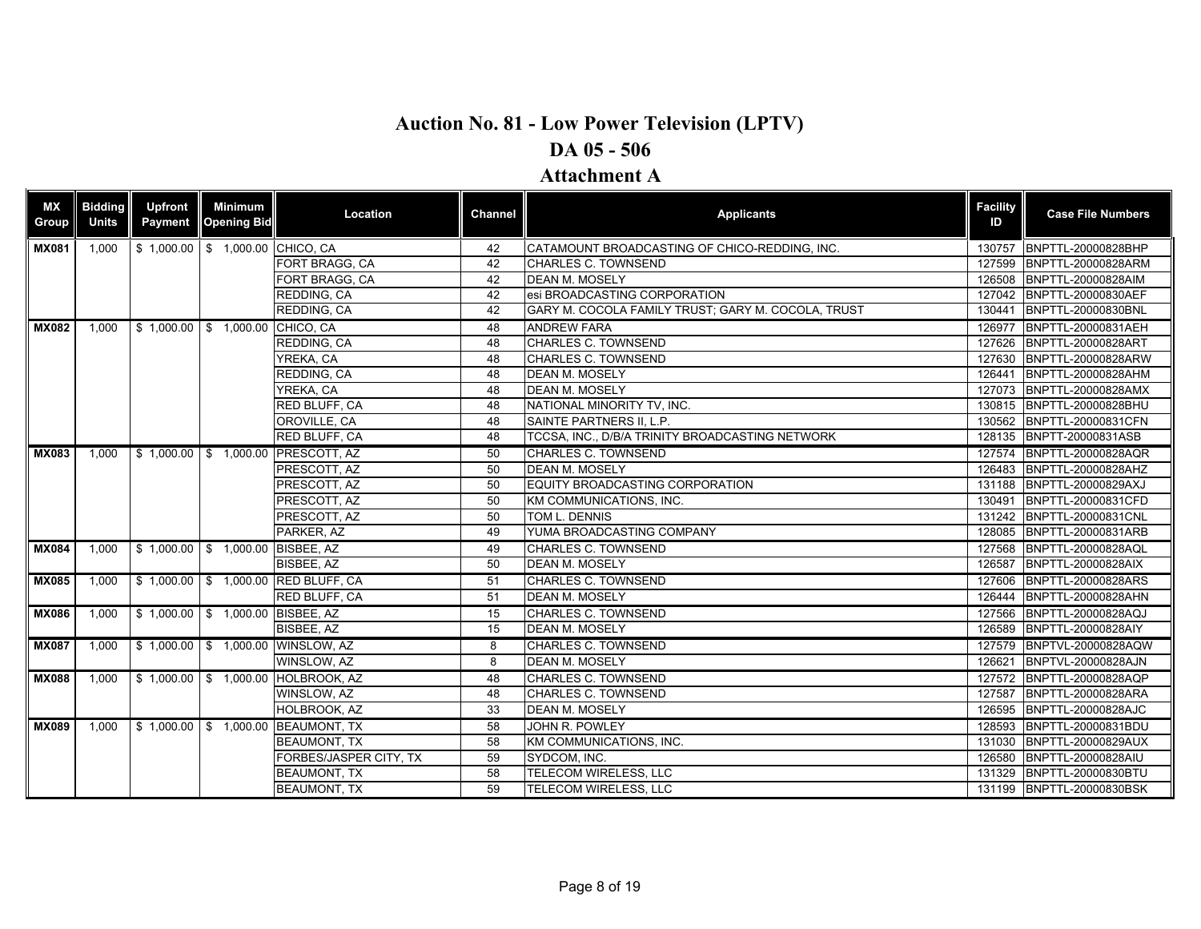| ΜX<br>Group  | <b>Bidding</b><br><b>Units</b> | <b>Upfront</b><br><b>Payment</b> | Minimum<br><b>Opening Bid</b>    | Location                            | Channel | <b>Applicants</b>                                  | <b>Facility</b><br>ID | <b>Case File Numbers</b>  |
|--------------|--------------------------------|----------------------------------|----------------------------------|-------------------------------------|---------|----------------------------------------------------|-----------------------|---------------------------|
| <b>MX081</b> | 1,000                          |                                  | \$1,000.00 \$1,000.00 CHICO, CA  |                                     | 42      | CATAMOUNT BROADCASTING OF CHICO-REDDING, INC.      | 130757                | BNPTTL-20000828BHP        |
|              |                                |                                  |                                  | FORT BRAGG, CA                      | 42      | CHARLES C. TOWNSEND                                | 127599                | BNPTTL-20000828ARM        |
|              |                                |                                  |                                  | FORT BRAGG, CA                      | 42      | <b>DEAN M. MOSELY</b>                              | 126508                | BNPTTL-20000828AIM        |
|              |                                |                                  |                                  | REDDING, CA                         | 42      | esi BROADCASTING CORPORATION                       |                       | 127042 BNPTTL-20000830AEF |
|              |                                |                                  |                                  | REDDING, CA                         | 42      | GARY M. COCOLA FAMILY TRUST; GARY M. COCOLA, TRUST | 130441                | BNPTTL-20000830BNL        |
| <b>MX082</b> | 1,000                          |                                  | \$1,000.00 \$1,000.00 CHICO, CA  |                                     | 48      | <b>ANDREW FARA</b>                                 | 126977                | BNPTTL-20000831AEH        |
|              |                                |                                  |                                  | REDDING, CA                         | 48      | CHARLES C. TOWNSEND                                | 127626                | BNPTTL-20000828ART        |
|              |                                |                                  |                                  | YREKA, CA                           | 48      | CHARLES C. TOWNSEND                                | 127630                | BNPTTL-20000828ARW        |
|              |                                |                                  |                                  | REDDING, CA                         | 48      | <b>DEAN M. MOSELY</b>                              | 126441                | BNPTTL-20000828AHM        |
|              |                                |                                  |                                  | YREKA, CA                           | 48      | <b>DEAN M. MOSELY</b>                              | 127073                | BNPTTL-20000828AMX        |
|              |                                |                                  |                                  | RED BLUFF, CA                       | 48      | NATIONAL MINORITY TV, INC.                         |                       | 130815 BNPTTL-20000828BHU |
|              |                                |                                  |                                  | OROVILLE, CA                        | 48      | <b>SAINTE PARTNERS II. L.P.</b>                    |                       | 130562 BNPTTL-20000831CFN |
|              |                                |                                  |                                  | RED BLUFF, CA                       | 48      | TCCSA, INC., D/B/A TRINITY BROADCASTING NETWORK    |                       | 128135 BNPTT-20000831ASB  |
| <b>MX083</b> | 1.000                          |                                  |                                  | \$1,000.00 \$1,000.00 PRESCOTT, AZ  | 50      | <b>CHARLES C. TOWNSEND</b>                         | 127574                | BNPTTL-20000828AQR        |
|              |                                |                                  |                                  | PRESCOTT, AZ                        | 50      | <b>DEAN M. MOSELY</b>                              | 126483                | BNPTTL-20000828AHZ        |
|              |                                |                                  |                                  | PRESCOTT, AZ                        | 50      | EQUITY BROADCASTING CORPORATION                    | 131188                | BNPTTL-20000829AXJ        |
|              |                                |                                  |                                  | PRESCOTT, AZ                        | 50      | KM COMMUNICATIONS, INC.                            | 130491                | BNPTTL-20000831CFD        |
|              |                                |                                  |                                  | PRESCOTT, AZ                        | 50      | TOM L. DENNIS                                      |                       | 131242 BNPTTL-20000831CNL |
|              |                                |                                  |                                  | PARKER, AZ                          | 49      | YUMA BROADCASTING COMPANY                          | 128085                | BNPTTL-20000831ARB        |
| <b>MX084</b> | 1,000                          |                                  | \$1,000.00 \$1,000.00 BISBEE, AZ |                                     | 49      | CHARLES C. TOWNSEND                                | 127568                | <b>BNPTTL-20000828AQL</b> |
|              |                                |                                  |                                  | BISBEE, AZ                          | 50      | <b>DEAN M. MOSELY</b>                              | 126587                | <b>BNPTTL-20000828AIX</b> |
| <b>MX085</b> | 1,000                          |                                  |                                  | \$1,000.00 \$1,000.00 RED BLUFF, CA | 51      | <b>CHARLES C. TOWNSEND</b>                         | 127606                | BNPTTL-20000828ARS        |
|              |                                |                                  |                                  | <b>RED BLUFF, CA</b>                | 51      | <b>DEAN M. MOSELY</b>                              | 126444                | BNPTTL-20000828AHN        |
| <b>MX086</b> | 1,000                          |                                  | \$1,000.00 \$1,000.00 BISBEE, AZ |                                     | 15      | CHARLES C. TOWNSEND                                | 127566                | BNPTTL-20000828AQJ        |
|              |                                |                                  |                                  | BISBEE, AZ                          | 15      | <b>DEAN M. MOSELY</b>                              | 126589                | BNPTTL-20000828AIY        |
| <b>MX087</b> | 1,000                          |                                  |                                  | \$1,000.00 \$1,000.00 WINSLOW, AZ   | 8       | <b>CHARLES C. TOWNSEND</b>                         | 127579                | BNPTVL-20000828AQW        |
|              |                                |                                  |                                  | WINSLOW, AZ                         | 8       | <b>DEAN M. MOSELY</b>                              | 126621                | BNPTVL-20000828AJN        |
| <b>MX088</b> | 1.000                          |                                  |                                  | \$1,000.00 \$1,000.00 HOLBROOK, AZ  | 48      | <b>CHARLES C. TOWNSEND</b>                         |                       | 127572 BNPTTL-20000828AQP |
|              |                                |                                  |                                  | WINSLOW, AZ                         | 48      | CHARLES C. TOWNSEND                                | 127587                | BNPTTL-20000828ARA        |
|              |                                |                                  |                                  | HOLBROOK, AZ                        | 33      | <b>DEAN M. MOSELY</b>                              | 126595                | BNPTTL-20000828AJC        |
| <b>MX089</b> | 1,000                          |                                  |                                  | \$1,000.00 \$1,000.00 BEAUMONT, TX  | 58      | JOHN R. POWLEY                                     | 128593                | BNPTTL-20000831BDU        |
|              |                                |                                  |                                  | <b>BEAUMONT, TX</b>                 | 58      | KM COMMUNICATIONS, INC.                            | 131030                | BNPTTL-20000829AUX        |
|              |                                |                                  |                                  | FORBES/JASPER CITY, TX              | 59      | SYDCOM, INC.                                       |                       | 126580 BNPTTL-20000828AIU |
|              |                                |                                  |                                  | <b>BEAUMONT, TX</b>                 | 58      | TELECOM WIRELESS, LLC                              | 131329                | BNPTTL-20000830BTU        |
|              |                                |                                  |                                  | <b>BEAUMONT, TX</b>                 | 59      | <b>TELECOM WIRELESS, LLC</b>                       |                       | 131199 BNPTTL-20000830BSK |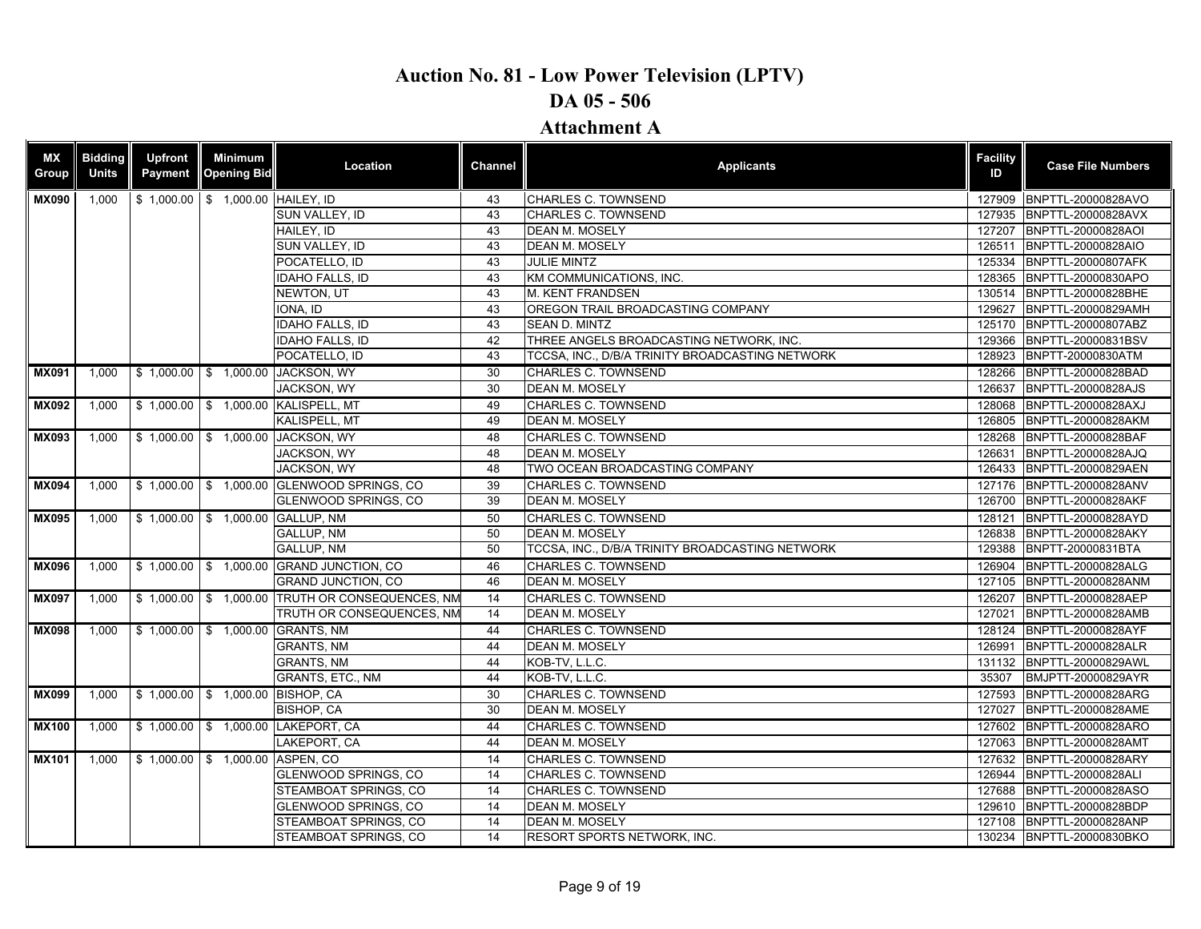| <b>MX</b><br>Group | <b>Bidding</b><br><b>Units</b> | <b>Upfront</b><br>Payment | <b>Minimum</b><br><b>Opening Bid</b> | Location                                        | Channel | <b>Applicants</b>                               | <b>Facility</b><br>ID | <b>Case File Numbers</b>  |
|--------------------|--------------------------------|---------------------------|--------------------------------------|-------------------------------------------------|---------|-------------------------------------------------|-----------------------|---------------------------|
| <b>MX090</b>       | 1.000                          |                           | \$1,000.00 \$1,000.00 HAILEY, ID     |                                                 | 43      | <b>CHARLES C. TOWNSEND</b>                      | 127909                | BNPTTL-20000828AVO        |
|                    |                                |                           |                                      | SUN VALLEY, ID                                  | 43      | <b>CHARLES C. TOWNSEND</b>                      | 127935                | BNPTTL-20000828AVX        |
|                    |                                |                           |                                      | HAILEY, ID                                      | 43      | DEAN M. MOSELY                                  | 127207                | BNPTTL-20000828AOI        |
|                    |                                |                           |                                      | SUN VALLEY, ID                                  | 43      | <b>DEAN M. MOSELY</b>                           | 126511                | <b>BNPTTL-20000828AIO</b> |
|                    |                                |                           |                                      | POCATELLO, ID                                   | 43      | <b>JULIE MINTZ</b>                              | 125334                | BNPTTL-20000807AFK        |
|                    |                                |                           |                                      | <b>IDAHO FALLS, ID</b>                          | 43      | KM COMMUNICATIONS, INC.                         | 128365                | BNPTTL-20000830APO        |
|                    |                                |                           |                                      | NEWTON, UT                                      | 43      | <b>M. KENT FRANDSEN</b>                         | 130514                | BNPTTL-20000828BHE        |
|                    |                                |                           |                                      | IONA. ID                                        | 43      | OREGON TRAIL BROADCASTING COMPANY               | 129627                | BNPTTL-20000829AMH        |
|                    |                                |                           |                                      | <b>IDAHO FALLS, ID</b>                          | 43      | SEAN D. MINTZ                                   | 125170                | BNPTTL-20000807ABZ        |
|                    |                                |                           |                                      | <b>IDAHO FALLS, ID</b>                          | 42      | THREE ANGELS BROADCASTING NETWORK, INC.         | 129366                | BNPTTL-20000831BSV        |
|                    |                                |                           |                                      | POCATELLO, ID                                   | 43      | TCCSA, INC., D/B/A TRINITY BROADCASTING NETWORK | 128923                | BNPTT-20000830ATM         |
| <b>MX091</b>       | 1,000                          |                           |                                      | \$1,000.00   \$1,000.00 JACKSON, WY             | 30      | <b>CHARLES C. TOWNSEND</b>                      | 128266                | BNPTTL-20000828BAD        |
|                    |                                |                           |                                      | <b>JACKSON, WY</b>                              | 30      | <b>DEAN M. MOSELY</b>                           | 126637                | BNPTTL-20000828AJS        |
| <b>MX092</b>       | 1,000                          | \$1,000.00                |                                      | \$ 1,000.00 KALISPELL, MT                       | 49      | <b>CHARLES C. TOWNSEND</b>                      | 128068                | BNPTTL-20000828AXJ        |
|                    |                                |                           |                                      | <b>KALISPELL, MT</b>                            | 49      | <b>DEAN M. MOSELY</b>                           | 126805                | BNPTTL-20000828AKM        |
| <b>MX093</b>       | 1,000                          |                           |                                      | \$1,000.00 \$1,000.00 JACKSON, WY               | 48      | <b>CHARLES C. TOWNSEND</b>                      |                       | 128268 BNPTTL-20000828BAF |
|                    |                                |                           |                                      | JACKSON, WY                                     | 48      | <b>DEAN M. MOSELY</b>                           | 126631                | BNPTTL-20000828AJQ        |
|                    |                                |                           |                                      | <b>JACKSON, WY</b>                              | 48      | TWO OCEAN BROADCASTING COMPANY                  |                       | 126433 BNPTTL-20000829AEN |
| <b>MX094</b>       | 1,000                          |                           |                                      | \$1,000.00 \$1,000.00 GLENWOOD SPRINGS, CO      | 39      | <b>CHARLES C. TOWNSEND</b>                      |                       | 127176 BNPTTL-20000828ANV |
|                    |                                |                           |                                      | GLENWOOD SPRINGS, CO                            | 39      | <b>DEAN M. MOSELY</b>                           | 126700                | <b>BNPTTL-20000828AKF</b> |
| <b>MX095</b>       | 1,000                          |                           |                                      | \$1,000.00 \$1,000.00 GALLUP, NM                | 50      | CHARLES C. TOWNSEND                             | 128121                | BNPTTL-20000828AYD        |
|                    |                                |                           |                                      | <b>GALLUP, NM</b>                               | 50      | <b>DEAN M. MOSELY</b>                           | 126838                | BNPTTL-20000828AKY        |
|                    |                                |                           |                                      | <b>GALLUP, NM</b>                               | 50      | TCCSA, INC., D/B/A TRINITY BROADCASTING NETWORK | 129388                | BNPTT-20000831BTA         |
| <b>MX096</b>       | 1,000                          |                           |                                      | \$1,000.00 \$1,000.00 GRAND JUNCTION, CO        | 46      | <b>CHARLES C. TOWNSEND</b>                      | 126904                | BNPTTL-20000828ALG        |
|                    |                                |                           |                                      | <b>GRAND JUNCTION, CO</b>                       | 46      | <b>DEAN M. MOSELY</b>                           | 127105                | BNPTTL-20000828ANM        |
| <b>MX097</b>       | 1,000                          |                           |                                      | \$1,000.00 \$1,000.00 TRUTH OR CONSEQUENCES, NM | 14      | <b>CHARLES C. TOWNSEND</b>                      | 126207                | BNPTTL-20000828AEP        |
|                    |                                |                           |                                      | TRUTH OR CONSEQUENCES, NM                       | 14      | <b>DEAN M. MOSELY</b>                           | 127021                | BNPTTL-20000828AMB        |
| <b>MX098</b>       | 1,000                          |                           |                                      | \$1,000.00 \$1,000.00 GRANTS, NM                | 44      | CHARLES C. TOWNSEND                             |                       | 128124 BNPTTL-20000828AYF |
|                    |                                |                           |                                      | <b>GRANTS, NM</b>                               | 44      | <b>DEAN M. MOSELY</b>                           | 126991                | BNPTTL-20000828ALR        |
|                    |                                |                           |                                      | <b>GRANTS, NM</b>                               | 44      | KOB-TV, L.L.C.                                  | 131132                | BNPTTL-20000829AWL        |
|                    |                                |                           |                                      | GRANTS, ETC., NM                                | 44      | KOB-TV, L.L.C.                                  | 35307                 | BMJPTT-20000829AYR        |
| <b>MX099</b>       | 1,000                          |                           | \$1,000.00 \$1,000.00 BISHOP, CA     |                                                 | 30      | <b>CHARLES C. TOWNSEND</b>                      | 127593                | BNPTTL-20000828ARG        |
|                    |                                |                           |                                      | <b>BISHOP, CA</b>                               | 30      | <b>DEAN M. MOSELY</b>                           | 127027                | BNPTTL-20000828AME        |
| <b>MX100</b>       | 1,000                          |                           |                                      | \$1,000.00 \$1,000.00 LAKEPORT, CA              | 44      | CHARLES C. TOWNSEND                             |                       | 127602 BNPTTL-20000828ARO |
|                    |                                |                           |                                      | LAKEPORT, CA                                    | 44      | <b>DEAN M. MOSELY</b>                           | 127063                | BNPTTL-20000828AMT        |
| <b>MX101</b>       | 1,000                          |                           | \$1,000.00 \$1,000.00 ASPEN, CO      |                                                 | 14      | <b>CHARLES C. TOWNSEND</b>                      | 127632                | BNPTTL-20000828ARY        |
|                    |                                |                           |                                      | <b>GLENWOOD SPRINGS, CO</b>                     | 14      | CHARLES C. TOWNSEND                             | 126944                | BNPTTL-20000828ALI        |
|                    |                                |                           |                                      | STEAMBOAT SPRINGS, CO                           | 14      | CHARLES C. TOWNSEND                             | 127688                | BNPTTL-20000828ASO        |
|                    |                                |                           |                                      | GLENWOOD SPRINGS, CO                            | 14      | <b>DEAN M. MOSELY</b>                           | 129610                | BNPTTL-20000828BDP        |
|                    |                                |                           |                                      | STEAMBOAT SPRINGS, CO                           | 14      | <b>DEAN M. MOSELY</b>                           | 127108                | BNPTTL-20000828ANP        |
|                    |                                |                           |                                      | STEAMBOAT SPRINGS, CO                           | 14      | RESORT SPORTS NETWORK, INC.                     |                       | 130234 BNPTTL-20000830BKO |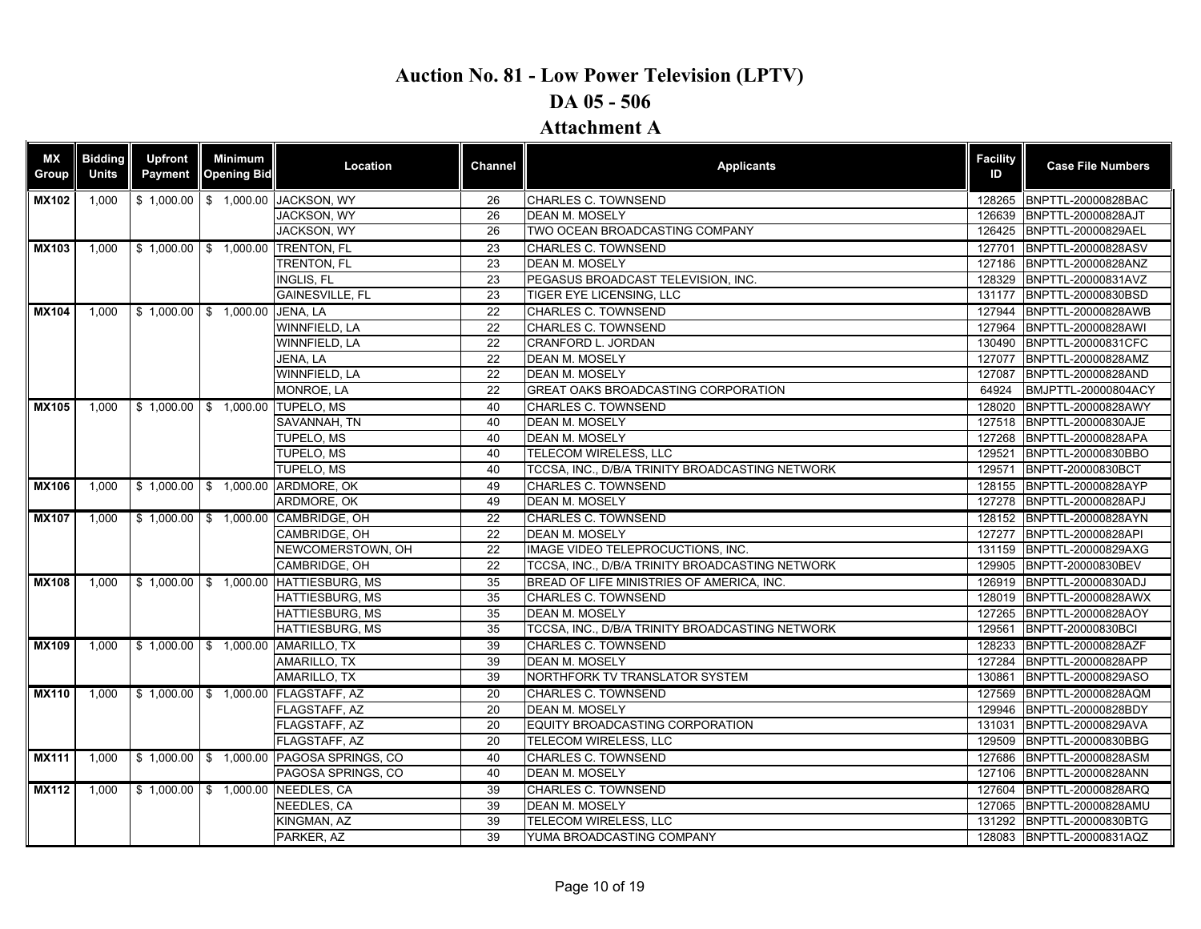| МX<br>Group                | <b>Bidding</b><br><b>Units</b> | <b>Upfront</b><br>Payment | <b>Minimum</b><br><b>Opening Bid</b> | Location                                 | Channel  | <b>Applicants</b>                               | <b>Facility</b><br>ID | <b>Case File Numbers</b>                 |
|----------------------------|--------------------------------|---------------------------|--------------------------------------|------------------------------------------|----------|-------------------------------------------------|-----------------------|------------------------------------------|
| <b>MX102</b>               | 1.000                          |                           |                                      | \$1,000.00   \$1,000.00 JACKSON, WY      | 26       | <b>CHARLES C. TOWNSEND</b>                      | 128265                | BNPTTL-20000828BAC                       |
|                            |                                |                           |                                      | JACKSON, WY                              | 26       | <b>DEAN M. MOSELY</b>                           | 126639                | BNPTTL-20000828AJT                       |
|                            |                                |                           |                                      | JACKSON, WY                              | 26       | TWO OCEAN BROADCASTING COMPANY                  | 126425                | BNPTTL-20000829AEL                       |
| $\overline{\text{MX}}$ 103 | 1,000                          |                           |                                      | \$1,000.00 \$1,000.00 TRENTON, FL        | 23       | CHARLES C. TOWNSEND                             | 127701                | BNPTTL-20000828ASV                       |
|                            |                                |                           |                                      | <b>TRENTON, FL</b>                       | 23       | <b>DEAN M. MOSELY</b>                           | 127186                | BNPTTL-20000828ANZ                       |
|                            |                                |                           |                                      | <b>INGLIS, FL</b>                        | 23       | PEGASUS BROADCAST TELEVISION, INC.              | 128329                | BNPTTL-20000831AVZ                       |
|                            |                                |                           |                                      | <b>GAINESVILLE, FL</b>                   | 23       | <b>TIGER EYE LICENSING, LLC</b>                 | 131177                | BNPTTL-20000830BSD                       |
| <b>MX104</b>               | 1,000                          |                           | \$1,000.00 \$1,000.00 JENA, LA       |                                          | 22       | CHARLES C. TOWNSEND                             | 127944                | BNPTTL-20000828AWB                       |
|                            |                                |                           |                                      | WINNFIELD, LA                            | 22       | <b>CHARLES C. TOWNSEND</b>                      | 127964                | BNPTTL-20000828AWI                       |
|                            |                                |                           |                                      | WINNFIELD, LA                            | 22       | CRANFORD L. JORDAN                              | 130490                | BNPTTL-20000831CFC                       |
|                            |                                |                           |                                      | JENA, LA                                 | 22       | <b>DEAN M. MOSELY</b>                           | 127077                | BNPTTL-20000828AMZ                       |
|                            |                                |                           |                                      | WINNFIELD, LA                            | 22       | DEAN M. MOSELY                                  | 127087                | BNPTTL-20000828AND                       |
|                            |                                |                           |                                      | <b>MONROE, LA</b>                        | 22       | <b>GREAT OAKS BROADCASTING CORPORATION</b>      | 64924                 | BMJPTTL-20000804ACY                      |
| <b>MX105</b>               | 1,000                          |                           |                                      | \$1,000.00 \$1,000.00 TUPELO, MS         | 40       | CHARLES C. TOWNSEND                             | 128020                | BNPTTL-20000828AWY                       |
|                            |                                |                           |                                      | SAVANNAH, TN                             | 40       | <b>DEAN M. MOSELY</b>                           | 127518                | BNPTTL-20000830AJE                       |
|                            |                                |                           |                                      | TUPELO, MS<br>TUPELO, MS                 | 40<br>40 | <b>DEAN M. MOSELY</b><br>TELECOM WIRELESS, LLC  | 127268<br>129521      | BNPTTL-20000828APA<br>BNPTTL-20000830BBO |
|                            |                                |                           |                                      | <b>TUPELO, MS</b>                        | 40       | TCCSA, INC., D/B/A TRINITY BROADCASTING NETWORK | 129571                | BNPTT-20000830BCT                        |
| <b>MX106</b>               |                                |                           |                                      | \$1,000.00 \$1,000.00 ARDMORE, OK        | 49       | <b>CHARLES C. TOWNSEND</b>                      |                       | 128155 BNPTTL-20000828AYP                |
|                            | 1,000                          |                           |                                      | ARDMORE, OK                              | 49       | <b>DEAN M. MOSELY</b>                           | 127278                | BNPTTL-20000828APJ                       |
| <b>MX107</b>               | 1,000                          |                           |                                      | \$1,000.00   \$1,000.00 CAMBRIDGE, OH    | 22       | <b>CHARLES C. TOWNSEND</b>                      | 128152                | BNPTTL-20000828AYN                       |
|                            |                                |                           |                                      | CAMBRIDGE, OH                            | 22       | <b>DEAN M. MOSELY</b>                           | 127277                | BNPTTL-20000828API                       |
|                            |                                |                           |                                      | NEWCOMERSTOWN, OH                        | 22       | IMAGE VIDEO TELEPROCUCTIONS, INC.               |                       | 131159 BNPTTL-20000829AXG                |
|                            |                                |                           |                                      | CAMBRIDGE, OH                            | 22       | TCCSA, INC., D/B/A TRINITY BROADCASTING NETWORK | 129905                | BNPTT-20000830BEV                        |
| <b>MX108</b>               | 1.000                          |                           |                                      | \$1,000.00 \$1,000.00 HATTIESBURG, MS    | 35       | BREAD OF LIFE MINISTRIES OF AMERICA. INC.       |                       | 126919 BNPTTL-20000830ADJ                |
|                            |                                |                           |                                      | <b>HATTIESBURG, MS</b>                   | 35       | <b>CHARLES C. TOWNSEND</b>                      | 128019                | BNPTTL-20000828AWX                       |
|                            |                                |                           |                                      | HATTIESBURG, MS                          | 35       | <b>DEAN M. MOSELY</b>                           | 127265                | BNPTTL-20000828AOY                       |
|                            |                                |                           |                                      | HATTIESBURG, MS                          | 35       | TCCSA, INC., D/B/A TRINITY BROADCASTING NETWORK | 129561                | BNPTT-20000830BCI                        |
| <b>MX109</b>               | 1.000                          |                           |                                      | \$1,000.00 \$1,000.00 AMARILLO, TX       | 39       | <b>CHARLES C. TOWNSEND</b>                      | 128233                | BNPTTL-20000828AZF                       |
|                            |                                |                           |                                      | AMARILLO, TX                             | 39       | <b>DEAN M. MOSELY</b>                           | 127284                | BNPTTL-20000828APP                       |
|                            |                                |                           |                                      | AMARILLO, TX                             | 39       | NORTHFORK TV TRANSLATOR SYSTEM                  | 130861                | BNPTTL-20000829ASO                       |
| <b>MX110</b>               | 1,000                          |                           |                                      | \$1,000.00 \$1,000.00 FLAGSTAFF, AZ      | 20       | CHARLES C. TOWNSEND                             | 127569                | BNPTTL-20000828AQM                       |
|                            |                                |                           |                                      | FLAGSTAFF, AZ                            | 20       | <b>DEAN M. MOSELY</b>                           | 129946                | BNPTTL-20000828BDY                       |
|                            |                                |                           |                                      | FLAGSTAFF, AZ                            | 20       | EQUITY BROADCASTING CORPORATION                 | 131031                | BNPTTL-20000829AVA                       |
|                            |                                |                           |                                      | FLAGSTAFF, AZ                            | 20       | TELECOM WIRELESS, LLC                           | 129509                | BNPTTL-20000830BBG                       |
| <b>MX111</b>               | 1,000                          |                           |                                      | \$1,000.00 \$1,000.00 PAGOSA SPRINGS, CO | 40       | <b>CHARLES C. TOWNSEND</b>                      | 127686                | BNPTTL-20000828ASM                       |
|                            |                                |                           |                                      | PAGOSA SPRINGS, CO                       | 40       | <b>DEAN M. MOSELY</b>                           | 127106                | BNPTTL-20000828ANN                       |
| <b>MX112</b>               | 1,000                          |                           |                                      | \$1,000.00 \$1,000.00 NEEDLES, CA        | 39       | CHARLES C. TOWNSEND                             |                       | 127604 BNPTTL-20000828ARQ                |
|                            |                                |                           |                                      | NEEDLES, CA                              | 39       | <b>DEAN M. MOSELY</b>                           | 127065                | BNPTTL-20000828AMU                       |
|                            |                                |                           |                                      | KINGMAN, AZ                              | 39       | TELECOM WIRELESS, LLC                           | 131292                | BNPTTL-20000830BTG                       |
|                            |                                |                           |                                      | PARKER, AZ                               | 39       | YUMA BROADCASTING COMPANY                       |                       | 128083 BNPTTL-20000831AQZ                |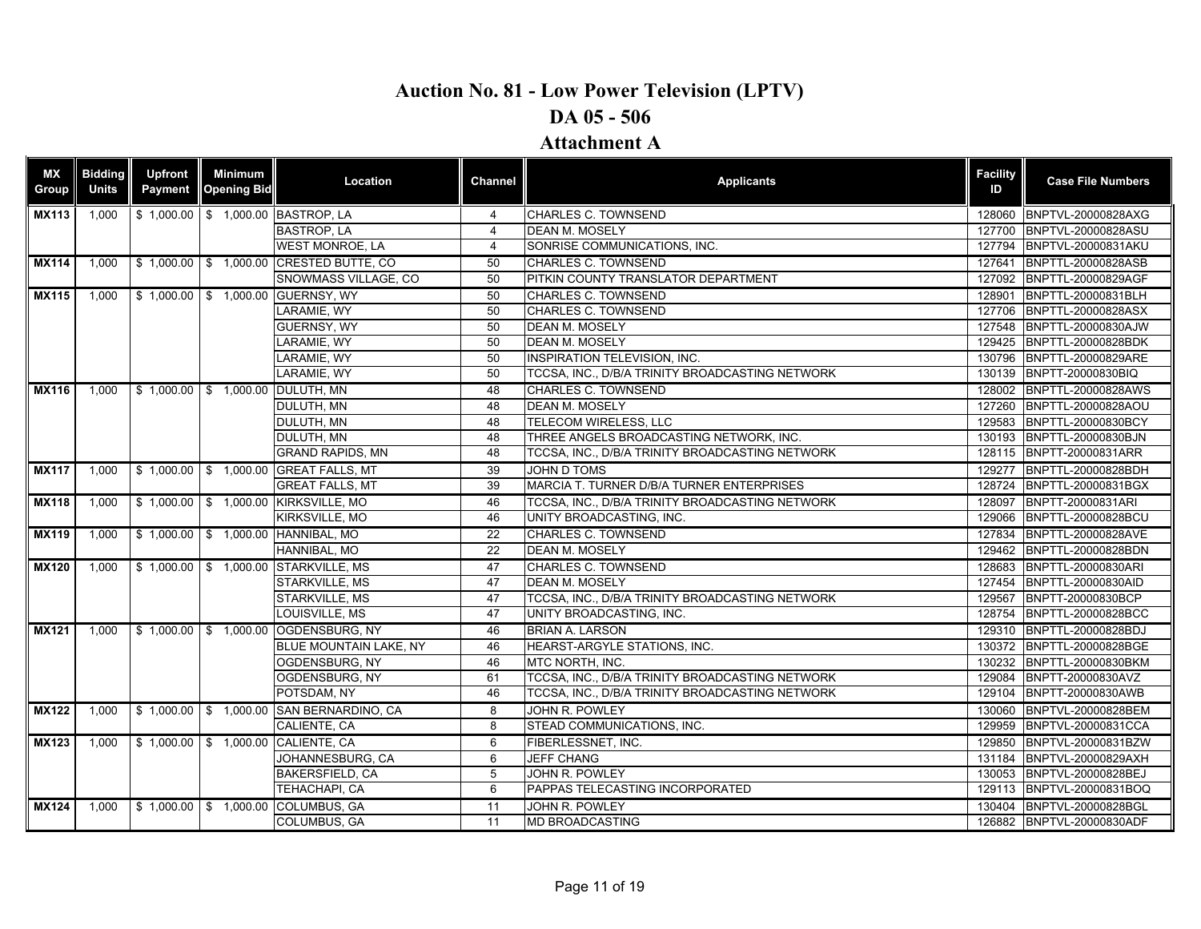| <b>MX</b><br>Group | <b>Bidding</b><br><b>Units</b> | Upfront<br>Payment | <b>Minimum</b><br><b>Opening Bid</b> | Location                                          | Channel         | <b>Applicants</b>                               | <b>Facility</b><br>ID | <b>Case File Numbers</b>                                                                                                                                                                                                                                                                                                                                                                                                                                                                                                                                                                                                                                                                                                                                                                                                                                                                                                        |
|--------------------|--------------------------------|--------------------|--------------------------------------|---------------------------------------------------|-----------------|-------------------------------------------------|-----------------------|---------------------------------------------------------------------------------------------------------------------------------------------------------------------------------------------------------------------------------------------------------------------------------------------------------------------------------------------------------------------------------------------------------------------------------------------------------------------------------------------------------------------------------------------------------------------------------------------------------------------------------------------------------------------------------------------------------------------------------------------------------------------------------------------------------------------------------------------------------------------------------------------------------------------------------|
| <b>MX113</b>       | 1,000                          |                    |                                      | \$1,000.00 \$1,000.00 BASTROP, LA                 | 4               | CHARLES C. TOWNSEND                             | 128060                |                                                                                                                                                                                                                                                                                                                                                                                                                                                                                                                                                                                                                                                                                                                                                                                                                                                                                                                                 |
|                    |                                |                    |                                      | <b>BASTROP, LA</b>                                | 4               | <b>DEAN M. MOSELY</b>                           | 127700                |                                                                                                                                                                                                                                                                                                                                                                                                                                                                                                                                                                                                                                                                                                                                                                                                                                                                                                                                 |
|                    |                                |                    |                                      | <b>WEST MONROE, LA</b>                            | $\overline{4}$  | SONRISE COMMUNICATIONS, INC.                    | 127794                |                                                                                                                                                                                                                                                                                                                                                                                                                                                                                                                                                                                                                                                                                                                                                                                                                                                                                                                                 |
| <b>MX114</b>       | 1.000                          |                    | $$1,000.00$ \$ 1,000.00              | <b>CRESTED BUTTE, CO</b>                          | 50              | <b>CHARLES C. TOWNSEND</b>                      | 127641                | BNPTTL-20000828ASB                                                                                                                                                                                                                                                                                                                                                                                                                                                                                                                                                                                                                                                                                                                                                                                                                                                                                                              |
|                    |                                |                    |                                      | SNOWMASS VILLAGE, CO                              | 50              | PITKIN COUNTY TRANSLATOR DEPARTMENT             | 127092                |                                                                                                                                                                                                                                                                                                                                                                                                                                                                                                                                                                                                                                                                                                                                                                                                                                                                                                                                 |
| <b>MX115</b>       | $1,000$                        |                    |                                      | \$1,000.00 \$1,000.00 GUERNSY, WY                 | 50              | <b>CHARLES C. TOWNSEND</b>                      | 128901                |                                                                                                                                                                                                                                                                                                                                                                                                                                                                                                                                                                                                                                                                                                                                                                                                                                                                                                                                 |
|                    |                                |                    |                                      | LARAMIE, WY                                       | 50              | CHARLES C. TOWNSEND                             | 127706                |                                                                                                                                                                                                                                                                                                                                                                                                                                                                                                                                                                                                                                                                                                                                                                                                                                                                                                                                 |
|                    |                                |                    |                                      | GUERNSY, WY                                       | 50              | <b>DEAN M. MOSELY</b>                           | 127548                |                                                                                                                                                                                                                                                                                                                                                                                                                                                                                                                                                                                                                                                                                                                                                                                                                                                                                                                                 |
|                    |                                |                    |                                      | LARAMIE, WY                                       | 50              | <b>DEAN M. MOSELY</b>                           | 129425                |                                                                                                                                                                                                                                                                                                                                                                                                                                                                                                                                                                                                                                                                                                                                                                                                                                                                                                                                 |
|                    |                                |                    |                                      | ARAMIE. WY                                        | 50              | <b>INSPIRATION TELEVISION. INC.</b>             |                       |                                                                                                                                                                                                                                                                                                                                                                                                                                                                                                                                                                                                                                                                                                                                                                                                                                                                                                                                 |
|                    |                                |                    |                                      | LARAMIE, WY                                       | 50              | TCCSA, INC., D/B/A TRINITY BROADCASTING NETWORK |                       |                                                                                                                                                                                                                                                                                                                                                                                                                                                                                                                                                                                                                                                                                                                                                                                                                                                                                                                                 |
| <b>MX116</b>       | 1.000                          |                    |                                      | \$1,000.00 \$1,000.00 DULUTH, MN                  | 48              | <b>CHARLES C. TOWNSEND</b>                      |                       |                                                                                                                                                                                                                                                                                                                                                                                                                                                                                                                                                                                                                                                                                                                                                                                                                                                                                                                                 |
|                    |                                |                    |                                      | DULUTH, MN                                        | 48              | <b>DEAN M. MOSELY</b>                           | 127260                |                                                                                                                                                                                                                                                                                                                                                                                                                                                                                                                                                                                                                                                                                                                                                                                                                                                                                                                                 |
|                    |                                |                    |                                      | DULUTH, MN                                        | 48              | TELECOM WIRELESS, LLC                           | 129583                |                                                                                                                                                                                                                                                                                                                                                                                                                                                                                                                                                                                                                                                                                                                                                                                                                                                                                                                                 |
|                    |                                |                    |                                      | DULUTH, MN                                        | 48              | THREE ANGELS BROADCASTING NETWORK, INC.         | 130193                |                                                                                                                                                                                                                                                                                                                                                                                                                                                                                                                                                                                                                                                                                                                                                                                                                                                                                                                                 |
|                    |                                |                    |                                      | <b>GRAND RAPIDS, MN</b>                           | 48              | TCCSA, INC., D/B/A TRINITY BROADCASTING NETWORK |                       |                                                                                                                                                                                                                                                                                                                                                                                                                                                                                                                                                                                                                                                                                                                                                                                                                                                                                                                                 |
| <b>MX117</b>       |                                |                    |                                      | 1,000   \$ 1,000.00   \$ 1,000.00 GREAT FALLS, MT | 39              | <b>JOHN D TOMS</b>                              |                       |                                                                                                                                                                                                                                                                                                                                                                                                                                                                                                                                                                                                                                                                                                                                                                                                                                                                                                                                 |
|                    |                                |                    |                                      | <b>GREAT FALLS, MT</b>                            | 39              | MARCIA T. TURNER D/B/A TURNER ENTERPRISES       |                       |                                                                                                                                                                                                                                                                                                                                                                                                                                                                                                                                                                                                                                                                                                                                                                                                                                                                                                                                 |
| <b>MX118</b>       | 1,000                          |                    |                                      | \$1,000.00 \$1,000.00 KIRKSVILLE, MO              | 46              | TCCSA. INC., D/B/A TRINITY BROADCASTING NETWORK | 128097                |                                                                                                                                                                                                                                                                                                                                                                                                                                                                                                                                                                                                                                                                                                                                                                                                                                                                                                                                 |
|                    |                                |                    |                                      | KIRKSVILLE, MO                                    | 46              | UNITY BROADCASTING, INC.                        | 129066                |                                                                                                                                                                                                                                                                                                                                                                                                                                                                                                                                                                                                                                                                                                                                                                                                                                                                                                                                 |
| <b>MX119</b>       | 1,000                          |                    |                                      | \$1,000.00 \$1,000.00 HANNIBAL, MO                | 22              | CHARLES C. TOWNSEND                             |                       |                                                                                                                                                                                                                                                                                                                                                                                                                                                                                                                                                                                                                                                                                                                                                                                                                                                                                                                                 |
|                    |                                |                    |                                      | HANNIBAL, MO                                      | $\overline{22}$ | <b>DEAN M. MOSELY</b>                           | 129462                |                                                                                                                                                                                                                                                                                                                                                                                                                                                                                                                                                                                                                                                                                                                                                                                                                                                                                                                                 |
| <b>MX120</b>       | 1.000                          |                    |                                      | \$1,000.00 \$1,000.00 STARKVILLE, MS              | 47              | <b>CHARLES C. TOWNSEND</b>                      | 128683                |                                                                                                                                                                                                                                                                                                                                                                                                                                                                                                                                                                                                                                                                                                                                                                                                                                                                                                                                 |
|                    |                                |                    |                                      | STARKVILLE, MS                                    | 47              | <b>DEAN M. MOSELY</b>                           | 127454                | BNPTTL-20000830AID                                                                                                                                                                                                                                                                                                                                                                                                                                                                                                                                                                                                                                                                                                                                                                                                                                                                                                              |
|                    |                                |                    |                                      | STARKVILLE, MS                                    | 47              | TCCSA, INC., D/B/A TRINITY BROADCASTING NETWORK | 129567                |                                                                                                                                                                                                                                                                                                                                                                                                                                                                                                                                                                                                                                                                                                                                                                                                                                                                                                                                 |
|                    |                                |                    |                                      | LOUISVILLE, MS                                    | 47              | UNITY BROADCASTING, INC.                        | 128754                | BNPTVL-20000828AXG<br>BNPTVL-20000828ASU<br>BNPTVL-20000831AKU<br>BNPTTL-20000829AGF<br>BNPTTL-20000831BLH<br>BNPTTL-20000828ASX<br>BNPTTL-20000830AJW<br>BNPTTL-20000828BDK<br>130796 BNPTTL-20000829ARE<br>130139 BNPTT-20000830BIQ<br>128002 BNPTTL-20000828AWS<br>BNPTTL-20000828AOU<br>BNPTTL-20000830BCY<br>BNPTTL-20000830BJN<br>128115 BNPTT-20000831ARR<br>129277 BNPTTL-20000828BDH<br>128724 BNPTTL-20000831BGX<br>BNPTT-20000831ARI<br>BNPTTL-20000828BCU<br>127834 BNPTTL-20000828AVE<br>BNPTTL-20000828BDN<br>BNPTTL-20000830ARI<br>BNPTT-20000830BCP<br>BNPTTL-20000828BCC<br>129310 BNPTTL-20000828BDJ<br>BNPTTL-20000828BGE<br>130232 BNPTTL-20000830BKM<br>BNPTT-20000830AVZ<br>BNPTT-20000830AWB<br>BNPTVL-20000828BEM<br>BNPTVL-20000831CCA<br>129850 BNPTVL-20000831BZW<br>BNPTVL-20000829AXH<br>BNPTVL-20000828BEJ<br>129113 BNPTVL-20000831BOQ<br>130404 BNPTVL-20000828BGL<br>126882 BNPTVL-20000830ADF |
| <b>MX121</b>       | 1,000                          |                    |                                      | \$1,000.00 \$1,000.00 OGDENSBURG, NY              | 46              | <b>BRIAN A. LARSON</b>                          |                       |                                                                                                                                                                                                                                                                                                                                                                                                                                                                                                                                                                                                                                                                                                                                                                                                                                                                                                                                 |
|                    |                                |                    |                                      | BLUE MOUNTAIN LAKE, NY                            | 46              | HEARST-ARGYLE STATIONS, INC.                    | 130372                |                                                                                                                                                                                                                                                                                                                                                                                                                                                                                                                                                                                                                                                                                                                                                                                                                                                                                                                                 |
|                    |                                |                    |                                      | OGDENSBURG, NY                                    | 46              | MTC NORTH, INC.                                 |                       |                                                                                                                                                                                                                                                                                                                                                                                                                                                                                                                                                                                                                                                                                                                                                                                                                                                                                                                                 |
|                    |                                |                    |                                      | OGDENSBURG, NY                                    | 61              | TCCSA, INC., D/B/A TRINITY BROADCASTING NETWORK | 129084                |                                                                                                                                                                                                                                                                                                                                                                                                                                                                                                                                                                                                                                                                                                                                                                                                                                                                                                                                 |
|                    |                                |                    |                                      | POTSDAM, NY                                       | 46              | TCCSA, INC., D/B/A TRINITY BROADCASTING NETWORK | 129104                |                                                                                                                                                                                                                                                                                                                                                                                                                                                                                                                                                                                                                                                                                                                                                                                                                                                                                                                                 |
| <b>MX122</b>       | 1.000                          |                    | $$1,000.00$ \$ 1,000.00              | SAN BERNARDINO, CA                                | 8               | JOHN R. POWLEY                                  | 130060                |                                                                                                                                                                                                                                                                                                                                                                                                                                                                                                                                                                                                                                                                                                                                                                                                                                                                                                                                 |
|                    |                                |                    |                                      | CALIENTE, CA                                      | 8               | STEAD COMMUNICATIONS, INC.                      | 129959                |                                                                                                                                                                                                                                                                                                                                                                                                                                                                                                                                                                                                                                                                                                                                                                                                                                                                                                                                 |
| <b>MX123</b>       |                                |                    |                                      | 1,000   \$ 1,000.00   \$ 1,000.00 CALIENTE, CA    | 6               | FIBERLESSNET, INC.                              |                       |                                                                                                                                                                                                                                                                                                                                                                                                                                                                                                                                                                                                                                                                                                                                                                                                                                                                                                                                 |
|                    |                                |                    |                                      | JOHANNESBURG, CA                                  | 6               | <b>JEFF CHANG</b>                               | 131184                |                                                                                                                                                                                                                                                                                                                                                                                                                                                                                                                                                                                                                                                                                                                                                                                                                                                                                                                                 |
|                    |                                |                    |                                      | <b>BAKERSFIELD, CA</b>                            | 5               | JOHN R. POWLEY                                  | 130053                |                                                                                                                                                                                                                                                                                                                                                                                                                                                                                                                                                                                                                                                                                                                                                                                                                                                                                                                                 |
|                    |                                |                    |                                      | TEHACHAPI, CA                                     | 6               | PAPPAS TELECASTING INCORPORATED                 |                       |                                                                                                                                                                                                                                                                                                                                                                                                                                                                                                                                                                                                                                                                                                                                                                                                                                                                                                                                 |
| <b>MX124</b>       | 1.000                          |                    |                                      | \$1,000.00 \$1,000.00 COLUMBUS, GA                | 11              | JOHN R. POWLEY                                  |                       |                                                                                                                                                                                                                                                                                                                                                                                                                                                                                                                                                                                                                                                                                                                                                                                                                                                                                                                                 |
|                    |                                |                    |                                      | <b>COLUMBUS, GA</b>                               | 11              | <b>MD BROADCASTING</b>                          |                       |                                                                                                                                                                                                                                                                                                                                                                                                                                                                                                                                                                                                                                                                                                                                                                                                                                                                                                                                 |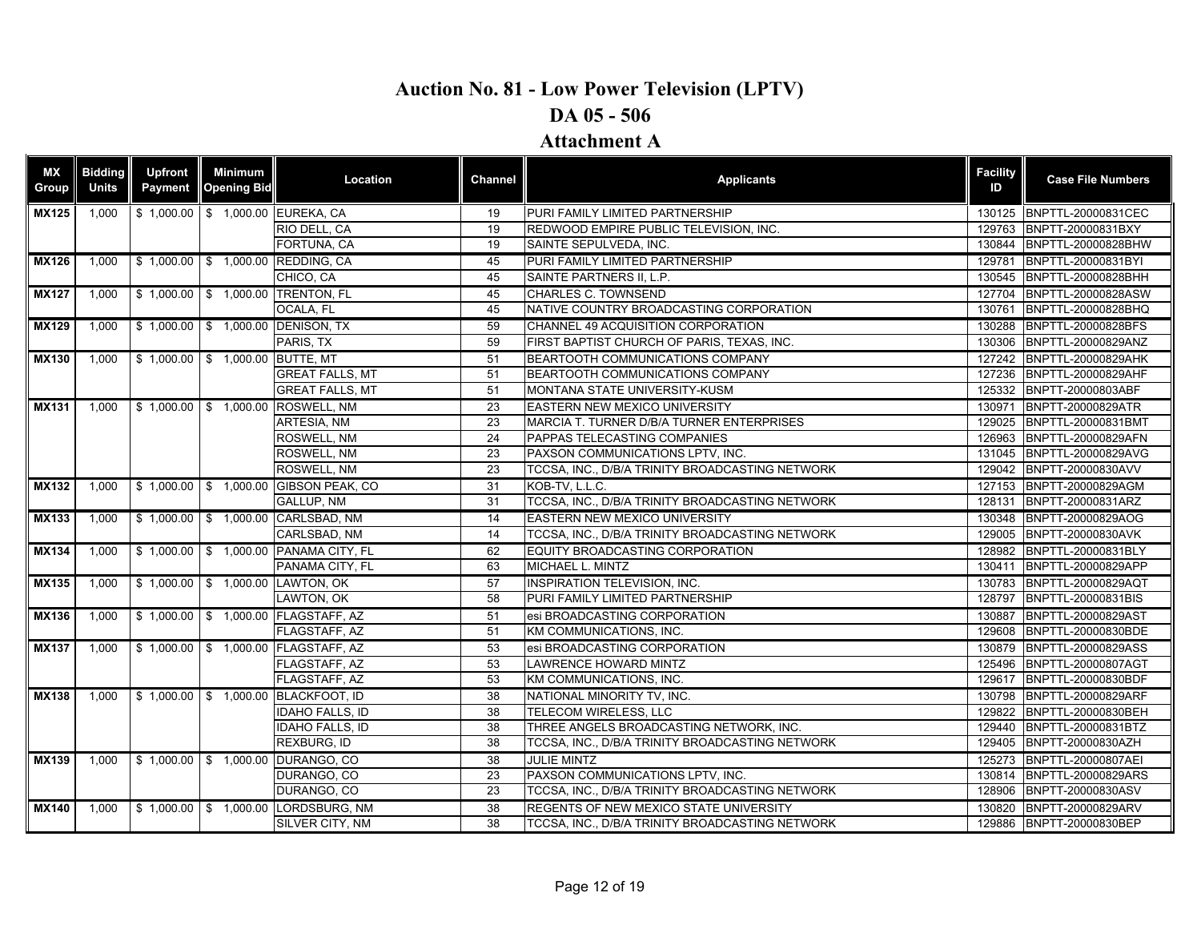| <b>MX</b><br>Group | <b>Bidding</b><br><b>Units</b> | <b>Upfront</b><br>Payment | <b>Minimum</b><br><b>Opening Bid</b>  | Location                                | <b>Channel</b> | <b>Applicants</b>                               | <b>Facility</b><br>ID | <b>Case File Numbers</b>  |
|--------------------|--------------------------------|---------------------------|---------------------------------------|-----------------------------------------|----------------|-------------------------------------------------|-----------------------|---------------------------|
| <b>MX125</b>       | 1,000                          |                           |                                       | \$1,000.00 \$1,000.00 EUREKA, CA        | 19             | PURI FAMILY LIMITED PARTNERSHIP                 |                       | 130125 BNPTTL-20000831CEC |
|                    |                                |                           |                                       | RIO DELL, CA                            | 19             | REDWOOD EMPIRE PUBLIC TELEVISION, INC.          | 129763                | BNPTT-20000831BXY         |
|                    |                                |                           |                                       | FORTUNA, CA                             | 19             | SAINTE SEPULVEDA, INC.                          |                       | 130844 BNPTTL-20000828BHW |
| <b>MX126</b>       | 1,000                          |                           |                                       | \$1,000.00 \$1,000.00 REDDING, CA       | 45             | PURI FAMILY LIMITED PARTNERSHIP                 | 129781                | BNPTTL-20000831BYI        |
|                    |                                |                           |                                       | CHICO, CA                               | 45             | SAINTE PARTNERS II. L.P.                        |                       | 130545 BNPTTL-20000828BHH |
| <b>MX127</b>       | 1,000                          |                           |                                       | \$1,000.00 \$1,000.00 TRENTON, FL       | 45             | <b>CHARLES C. TOWNSEND</b>                      | 127704                | BNPTTL-20000828ASW        |
|                    |                                |                           |                                       | OCALA, FL                               | 45             | NATIVE COUNTRY BROADCASTING CORPORATION         | 130761                | BNPTTL-20000828BHQ        |
| <b>MX129</b>       | 1,000                          |                           |                                       | \$1,000.00 \$1,000.00 DENISON, TX       | 59             | CHANNEL 49 ACQUISITION CORPORATION              | 130288                | BNPTTL-20000828BFS        |
|                    |                                |                           |                                       | PARIS, TX                               | 59             | FIRST BAPTIST CHURCH OF PARIS, TEXAS, INC.      | 130306                | BNPTTL-20000829ANZ        |
| <b>MX130</b>       | 1,000                          |                           | \$1,000.00 \$1,000.00 BUTTE, MT       |                                         | 51             | BEARTOOTH COMMUNICATIONS COMPANY                |                       | 127242 BNPTTL-20000829AHK |
|                    |                                |                           |                                       | <b>GREAT FALLS, MT</b>                  | 51             | BEARTOOTH COMMUNICATIONS COMPANY                | 127236                | BNPTTL-20000829AHF        |
|                    |                                |                           |                                       | <b>GREAT FALLS, MT</b>                  | 51             | MONTANA STATE UNIVERSITY-KUSM                   |                       | 125332 BNPTT-20000803ABF  |
| <b>MX131</b>       | 1,000                          |                           | $\frac{1}{2}$ \$ 1,000.00 \$ 1,000.00 | <b>ROSWELL, NM</b>                      | 23             | <b>EASTERN NEW MEXICO UNIVERSITY</b>            | 130971                | BNPTT-20000829ATR         |
|                    |                                |                           |                                       | ARTESIA, NM                             | 23             | MARCIA T. TURNER D/B/A TURNER ENTERPRISES       | 129025                | BNPTTL-20000831BMT        |
|                    |                                |                           |                                       | ROSWELL, NM                             | 24             | PAPPAS TELECASTING COMPANIES                    | 126963                | BNPTTL-20000829AFN        |
|                    |                                |                           |                                       | ROSWELL, NM                             | 23             | PAXSON COMMUNICATIONS LPTV, INC.                |                       | 131045 BNPTTL-20000829AVG |
|                    |                                |                           |                                       | ROSWELL, NM                             | 23             | TCCSA, INC., D/B/A TRINITY BROADCASTING NETWORK | 129042                | BNPTT-20000830AVV         |
| <b>MX132</b>       | 1,000                          |                           |                                       | \$1,000.00   \$1,000.00 GIBSON PEAK, CO | 31             | KOB-TV, L.L.C.                                  |                       | 127153 BNPTT-20000829AGM  |
|                    |                                |                           |                                       | GALLUP, NM                              | 31             | TCCSA, INC., D/B/A TRINITY BROADCASTING NETWORK | 128131                | BNPTT-20000831ARZ         |
| <b>MX133</b>       | 1.000                          |                           |                                       | \$1,000.00 \$1,000.00 CARLSBAD, NM      | 14             | <b>EASTERN NEW MEXICO UNIVERSITY</b>            |                       | 130348 BNPTT-20000829AOG  |
|                    |                                |                           |                                       | CARLSBAD, NM                            | 14             | TCCSA, INC., D/B/A TRINITY BROADCASTING NETWORK | 129005                | BNPTT-20000830AVK         |
| <b>MX134</b>       | 1,000                          |                           |                                       | \$1,000.00 \$1,000.00 PANAMA CITY, FL   | 62             | EQUITY BROADCASTING CORPORATION                 |                       | 128982 BNPTTL-20000831BLY |
|                    |                                |                           |                                       | PANAMA CITY, FL                         | 63             | MICHAEL L. MINTZ                                | 130411                | BNPTTL-20000829APP        |
| <b>MX135</b>       | 1,000                          |                           |                                       | \$1,000.00 \$1,000.00 LAWTON, OK        | 57             | <b>INSPIRATION TELEVISION, INC.</b>             |                       | 130783 BNPTTL-20000829AQT |
|                    |                                |                           |                                       | LAWTON, OK                              | 58             | PURI FAMILY LIMITED PARTNERSHIP                 | 128797                | BNPTTL-20000831BIS        |
| <b>MX136</b>       | 1,000                          |                           |                                       | \$1,000.00 \$1,000.00 FLAGSTAFF, AZ     | 51             | esi BROADCASTING CORPORATION                    | 130887                | BNPTTL-20000829AST        |
|                    |                                |                           |                                       | FLAGSTAFF, AZ                           | 51             | KM COMMUNICATIONS, INC.                         | 129608                | BNPTTL-20000830BDE        |
| <b>MX137</b>       | 1,000                          |                           |                                       | \$1,000.00 \$1,000.00 FLAGSTAFF, AZ     | 53             | esi BROADCASTING CORPORATION                    | 130879                | BNPTTL-20000829ASS        |
|                    |                                |                           |                                       | FLAGSTAFF, AZ                           | 53             | <b>LAWRENCE HOWARD MINTZ</b>                    | 125496                | BNPTTL-20000807AGT        |
|                    |                                |                           |                                       | FLAGSTAFF, AZ                           | 53             | KM COMMUNICATIONS, INC.                         | 129617                | BNPTTL-20000830BDF        |
| <b>MX138</b>       | 1,000                          |                           |                                       | \$1,000.00 \$1,000.00 BLACKFOOT, ID     | 38             | NATIONAL MINORITY TV, INC.                      | 130798                | BNPTTL-20000829ARF        |
|                    |                                |                           |                                       | <b>IDAHO FALLS, ID</b>                  | 38             | <b>TELECOM WIRELESS, LLC</b>                    | 129822                | BNPTTL-20000830BEH        |
|                    |                                |                           |                                       | <b>IDAHO FALLS, ID</b>                  | 38             | THREE ANGELS BROADCASTING NETWORK. INC.         | 129440                | BNPTTL-20000831BTZ        |
|                    |                                |                           |                                       | <b>REXBURG. ID</b>                      | 38             | TCCSA, INC., D/B/A TRINITY BROADCASTING NETWORK | 129405                | BNPTT-20000830AZH         |
| <b>MX139</b>       | 1,000                          |                           |                                       | \$1,000.00 \$1,000.00 DURANGO, CO       | 38             | <b>JULIE MINTZ</b>                              |                       | 125273 BNPTTL-20000807AEI |
|                    |                                |                           |                                       | DURANGO, CO                             | 23             | PAXSON COMMUNICATIONS LPTV, INC.                | 130814                | <b>BNPTTL-20000829ARS</b> |
|                    |                                |                           |                                       | DURANGO, CO                             | 23             | TCCSA, INC., D/B/A TRINITY BROADCASTING NETWORK | 128906                | BNPTT-20000830ASV         |
| <b>MX140</b>       | 1,000                          |                           |                                       | \$1,000.00 \$1,000.00 LORDSBURG, NM     | 38             | <b>REGENTS OF NEW MEXICO STATE UNIVERSITY</b>   | 130820                | BNPTT-20000829ARV         |
|                    |                                |                           |                                       | SILVER CITY, NM                         | 38             | TCCSA, INC., D/B/A TRINITY BROADCASTING NETWORK |                       | 129886 BNPTT-20000830BEP  |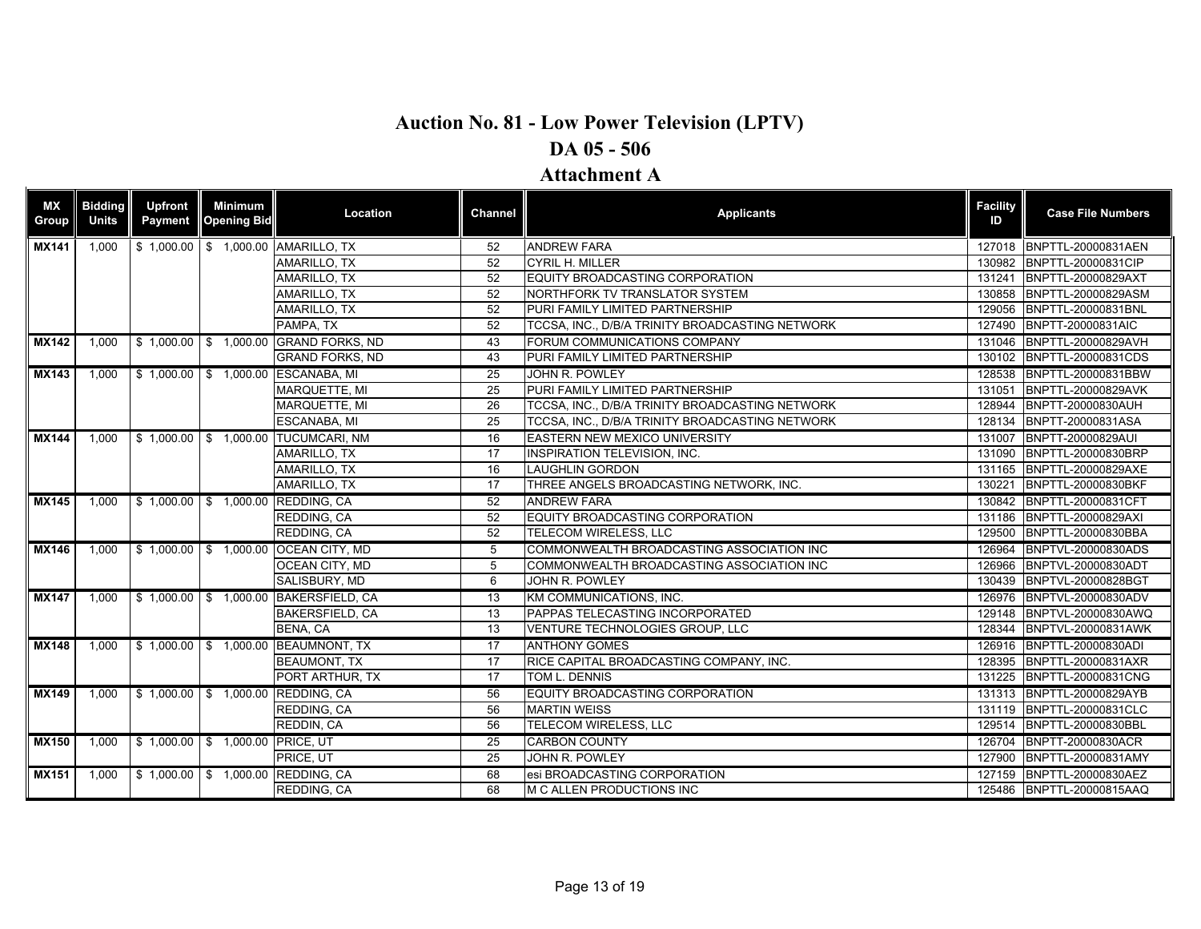| <b>MX</b><br><b>Group</b> | <b>Bidding</b><br><b>Units</b> | <b>Upfront</b><br>Payment | <b>Minimum</b><br><b>Opening Bid</b> | Location                              | <b>Channel</b>  | <b>Applicants</b>                               | <b>Facility</b><br>ID | <b>Case File Numbers</b>  |
|---------------------------|--------------------------------|---------------------------|--------------------------------------|---------------------------------------|-----------------|-------------------------------------------------|-----------------------|---------------------------|
| <b>MX141</b>              | 1,000                          |                           |                                      | \$1,000.00 \$1,000.00 AMARILLO, TX    | 52              | <b>ANDREW FARA</b>                              |                       | 127018 BNPTTL-20000831AEN |
|                           |                                |                           |                                      | AMARILLO, TX                          | 52              | <b>CYRIL H. MILLER</b>                          | 130982                | BNPTTL-20000831CIP        |
|                           |                                |                           |                                      | AMARILLO, TX                          | 52              | EQUITY BROADCASTING CORPORATION                 | 131241                | BNPTTL-20000829AXT        |
|                           |                                |                           |                                      | AMARILLO. TX                          | $\overline{52}$ | NORTHFORK TV TRANSLATOR SYSTEM                  | 130858                | BNPTTL-20000829ASM        |
|                           |                                |                           |                                      | AMARILLO, TX                          | 52              | PURI FAMILY LIMITED PARTNERSHIP                 | 129056                | BNPTTL-20000831BNL        |
|                           |                                |                           |                                      | PAMPA, TX                             | 52              | TCCSA, INC., D/B/A TRINITY BROADCASTING NETWORK |                       | 127490 BNPTT-20000831AIC  |
| <b>MX142</b>              | 1,000                          |                           |                                      | \$1,000.00 \$1,000.00 GRAND FORKS, ND | 43              | FORUM COMMUNICATIONS COMPANY                    |                       | 131046 BNPTTL-20000829AVH |
|                           |                                |                           |                                      | <b>GRAND FORKS, ND</b>                | 43              | PURI FAMILY LIMITED PARTNERSHIP                 |                       | 130102 BNPTTL-20000831CDS |
| <b>MX143</b>              | 1,000                          |                           |                                      | \$1,000.00 \$1,000.00 ESCANABA, MI    | 25              | JOHN R. POWLEY                                  | 128538                | BNPTTL-20000831BBW        |
|                           |                                |                           |                                      | <b>MARQUETTE, MI</b>                  | 25              | PURI FAMILY LIMITED PARTNERSHIP                 | 131051                | BNPTTL-20000829AVK        |
|                           |                                |                           |                                      | <b>MARQUETTE, MI</b>                  | 26              | TCCSA, INC., D/B/A TRINITY BROADCASTING NETWORK |                       | 128944 BNPTT-20000830AUH  |
|                           |                                |                           |                                      | ESCANABA, MI                          | 25              | TCCSA, INC., D/B/A TRINITY BROADCASTING NETWORK |                       | 128134 BNPTT-20000831ASA  |
| <b>MX144</b>              | 1.000                          |                           |                                      | \$1,000.00 \$1,000.00 TUCUMCARI, NM   | 16              | <b>EASTERN NEW MEXICO UNIVERSITY</b>            |                       | 131007 BNPTT-20000829AUI  |
|                           |                                |                           |                                      | AMARILLO, TX                          | 17              | <b>INSPIRATION TELEVISION. INC.</b>             |                       | 131090 BNPTTL-20000830BRP |
|                           |                                |                           |                                      | AMARILLO, TX                          | 16              | <b>LAUGHLIN GORDON</b>                          | 131165                | BNPTTL-20000829AXE        |
|                           |                                |                           |                                      | <b>AMARILLO, TX</b>                   | 17              | THREE ANGELS BROADCASTING NETWORK. INC.         | 130221                | BNPTTL-20000830BKF        |
| <b>MX145</b>              | 1.000                          |                           |                                      | \$1,000.00 \$1,000.00 REDDING, CA     | 52              | <b>ANDREW FARA</b>                              |                       | 130842 BNPTTL-20000831CFT |
|                           |                                |                           |                                      | <b>REDDING, CA</b>                    | $\overline{52}$ | EQUITY BROADCASTING CORPORATION                 | 131186                | BNPTTL-20000829AXI        |
|                           |                                |                           |                                      | REDDING, CA                           | 52              | TELECOM WIRELESS, LLC                           | 129500                | BNPTTL-20000830BBA        |
| <b>MX146</b>              | 1.000                          |                           |                                      | \$1,000.00 \$1,000.00 OCEAN CITY, MD  | 5               | COMMONWEALTH BROADCASTING ASSOCIATION INC       | 126964                | BNPTVL-20000830ADS        |
|                           |                                |                           |                                      | <b>OCEAN CITY, MD</b>                 | 5               | COMMONWEALTH BROADCASTING ASSOCIATION INC       | 126966                | BNPTVL-20000830ADT        |
|                           |                                |                           |                                      | SALISBURY, MD                         | 6               | JOHN R. POWLEY                                  | 130439                | BNPTVL-20000828BGT        |
| <b>MX147</b>              | 1.000                          |                           |                                      | \$1,000.00 \$1,000.00 BAKERSFIELD, CA | 13              | KM COMMUNICATIONS, INC.                         | 126976                | BNPTVL-20000830ADV        |
|                           |                                |                           |                                      | <b>BAKERSFIELD, CA</b>                | 13              | PAPPAS TELECASTING INCORPORATED                 | 129148                | BNPTVL-20000830AWQ        |
|                           |                                |                           |                                      | BENA, CA                              | 13              | VENTURE TECHNOLOGIES GROUP, LLC                 | 128344                | BNPTVL-20000831AWK        |
| <b>MX148</b>              | 1.000                          |                           |                                      | \$1,000.00 \$1,000.00 BEAUMNONT, TX   | 17              | <b>ANTHONY GOMES</b>                            |                       | 126916 BNPTTL-20000830ADI |
|                           |                                |                           |                                      | <b>BEAUMONT. TX</b>                   | 17              | RICE CAPITAL BROADCASTING COMPANY, INC.         | 128395                | BNPTTL-20000831AXR        |
|                           |                                |                           |                                      | PORT ARTHUR, TX                       | 17              | TOM L. DENNIS                                   |                       | 131225 BNPTTL-20000831CNG |
| <b>MX149</b>              | 1,000                          |                           |                                      | \$1,000.00 \$1,000.00 REDDING, CA     | 56              | EQUITY BROADCASTING CORPORATION                 |                       | 131313 BNPTTL-20000829AYB |
|                           |                                |                           |                                      | REDDING, CA                           | 56              | <b>MARTIN WEISS</b>                             |                       | 131119 BNPTTL-20000831CLC |
|                           |                                |                           |                                      | REDDIN, CA                            | 56              | TELECOM WIRELESS, LLC                           |                       | 129514 BNPTTL-20000830BBL |
| <b>MX150</b>              | 1.000                          |                           | \$1,000.00 \$1,000.00 PRICE, UT      |                                       | 25              | <b>CARBON COUNTY</b>                            |                       | 126704 BNPTT-20000830ACR  |
|                           |                                |                           |                                      | PRICE, UT                             | 25              | JOHN R. POWLEY                                  | 127900                | BNPTTL-20000831AMY        |
| <b>MX151</b>              | 1,000                          |                           |                                      | \$1,000.00 \$1,000.00 REDDING, CA     | 68              | esi BROADCASTING CORPORATION                    |                       | 127159 BNPTTL-20000830AEZ |
|                           |                                |                           |                                      | REDDING, CA                           | 68              | M C ALLEN PRODUCTIONS INC                       |                       | 125486 BNPTTL-20000815AAQ |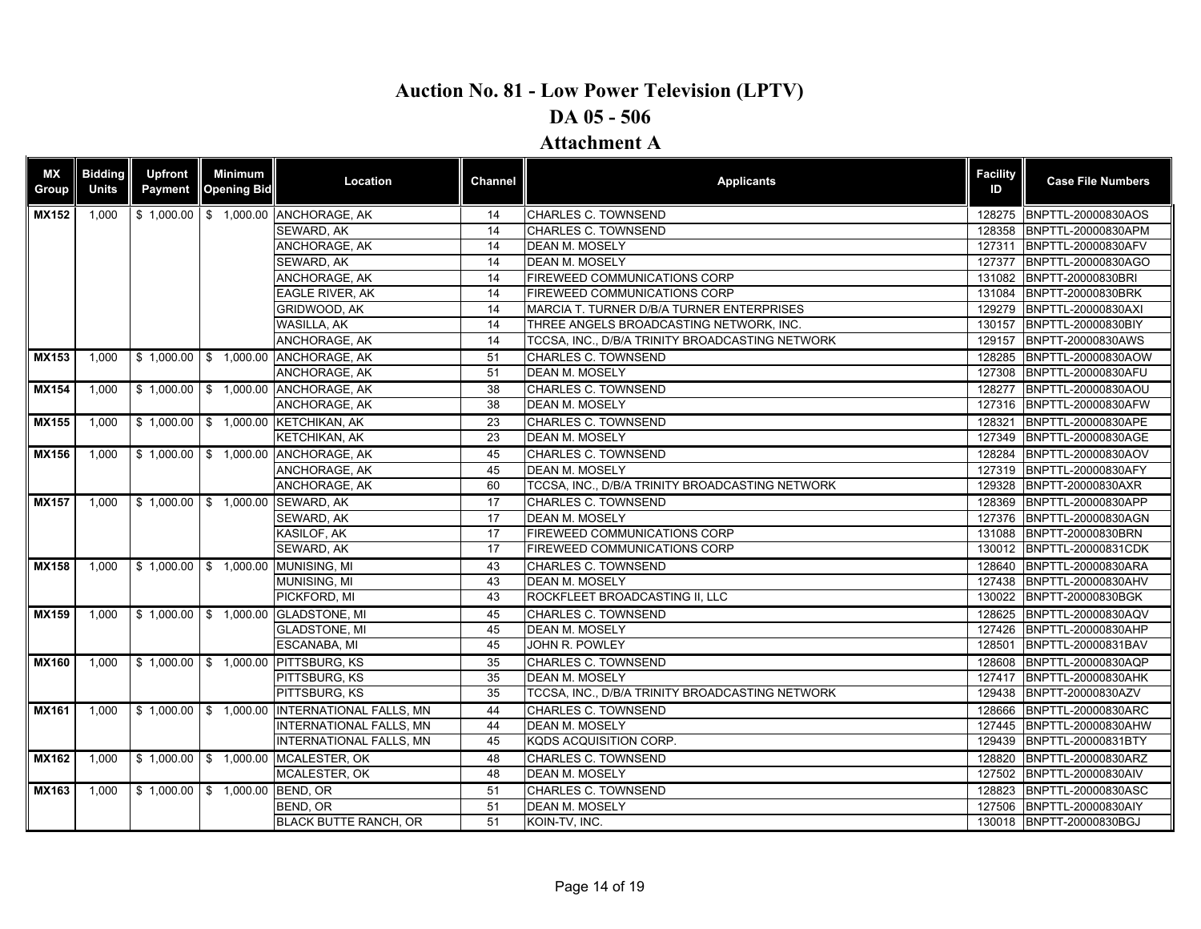| <b>MX</b><br><b>Bidding</b><br>Upfront<br><b>Minimum</b><br>Location<br><b>Applicants</b><br>Channel<br><b>Units</b><br>Group<br>Payment<br><b>Opening Bid</b><br><b>MX152</b><br>\$1,000.00<br>\$ 1,000.00 ANCHORAGE, AK<br><b>CHARLES C. TOWNSEND</b><br>1,000<br>14<br>CHARLES C. TOWNSEND<br>SEWARD, AK<br>14<br>ANCHORAGE, AK<br>14<br><b>DEAN M. MOSELY</b><br>SEWARD, AK<br>14<br><b>DEAN M. MOSELY</b><br>ANCHORAGE, AK<br>14<br><b>FIREWEED COMMUNICATIONS CORP</b> | <b>Facility</b><br>ID<br>128275<br>128358<br>127311<br>127377<br>131084<br>129279<br>130157 | <b>Case File Numbers</b><br>BNPTTL-20000830AOS<br>BNPTTL-20000830APM<br>BNPTTL-20000830AFV<br>BNPTTL-20000830AGO<br>131082 BNPTT-20000830BRI<br>BNPTT-20000830BRK |
|------------------------------------------------------------------------------------------------------------------------------------------------------------------------------------------------------------------------------------------------------------------------------------------------------------------------------------------------------------------------------------------------------------------------------------------------------------------------------|---------------------------------------------------------------------------------------------|-------------------------------------------------------------------------------------------------------------------------------------------------------------------|
|                                                                                                                                                                                                                                                                                                                                                                                                                                                                              |                                                                                             |                                                                                                                                                                   |
|                                                                                                                                                                                                                                                                                                                                                                                                                                                                              |                                                                                             |                                                                                                                                                                   |
|                                                                                                                                                                                                                                                                                                                                                                                                                                                                              |                                                                                             |                                                                                                                                                                   |
|                                                                                                                                                                                                                                                                                                                                                                                                                                                                              |                                                                                             |                                                                                                                                                                   |
|                                                                                                                                                                                                                                                                                                                                                                                                                                                                              |                                                                                             |                                                                                                                                                                   |
|                                                                                                                                                                                                                                                                                                                                                                                                                                                                              |                                                                                             |                                                                                                                                                                   |
| <b>EAGLE RIVER, AK</b><br>FIREWEED COMMUNICATIONS CORP<br>14                                                                                                                                                                                                                                                                                                                                                                                                                 |                                                                                             |                                                                                                                                                                   |
| GRIDWOOD, AK<br>14<br>MARCIA T. TURNER D/B/A TURNER ENTERPRISES                                                                                                                                                                                                                                                                                                                                                                                                              |                                                                                             | BNPTTL-20000830AXI                                                                                                                                                |
| WASILLA, AK<br>THREE ANGELS BROADCASTING NETWORK, INC.<br>14                                                                                                                                                                                                                                                                                                                                                                                                                 |                                                                                             | BNPTTL-20000830BIY                                                                                                                                                |
| ANCHORAGE, AK<br>14<br>TCCSA. INC., D/B/A TRINITY BROADCASTING NETWORK                                                                                                                                                                                                                                                                                                                                                                                                       | 129157                                                                                      | BNPTT-20000830AWS                                                                                                                                                 |
| \$1,000.00 \$1,000.00 ANCHORAGE, AK<br><b>CHARLES C. TOWNSEND</b><br>51<br><b>MX153</b><br>1.000                                                                                                                                                                                                                                                                                                                                                                             |                                                                                             | 128285 BNPTTL-20000830AOW                                                                                                                                         |
| <b>DEAN M. MOSELY</b><br>ANCHORAGE, AK<br>51                                                                                                                                                                                                                                                                                                                                                                                                                                 | 127308                                                                                      | BNPTTL-20000830AFU                                                                                                                                                |
| <b>MX154</b><br>\$1,000.00   \$1,000.00 ANCHORAGE, AK<br>38<br><b>CHARLES C. TOWNSEND</b><br>1,000                                                                                                                                                                                                                                                                                                                                                                           | 128277                                                                                      | BNPTTL-20000830AOU                                                                                                                                                |
| 38<br>ANCHORAGE, AK<br><b>DEAN M. MOSELY</b>                                                                                                                                                                                                                                                                                                                                                                                                                                 |                                                                                             | 127316 BNPTTL-20000830AFW                                                                                                                                         |
| \$ 1,000.00 \$ 1,000.00 KETCHIKAN, AK<br>23<br><b>CHARLES C. TOWNSEND</b><br><b>MX155</b><br>1,000                                                                                                                                                                                                                                                                                                                                                                           |                                                                                             | 128321 BNPTTL-20000830APE                                                                                                                                         |
| 23<br><b>DEAN M. MOSELY</b><br><b>KETCHIKAN, AK</b>                                                                                                                                                                                                                                                                                                                                                                                                                          | 127349                                                                                      | BNPTTL-20000830AGE                                                                                                                                                |
| <b>MX156</b><br>\$1,000.00 \$1,000.00 ANCHORAGE, AK<br><b>CHARLES C. TOWNSEND</b><br>1,000<br>45                                                                                                                                                                                                                                                                                                                                                                             | 128284                                                                                      | BNPTTL-20000830AOV                                                                                                                                                |
| 45<br><b>DEAN M. MOSELY</b><br>ANCHORAGE, AK                                                                                                                                                                                                                                                                                                                                                                                                                                 | 127319                                                                                      | BNPTTL-20000830AFY                                                                                                                                                |
| TCCSA, INC., D/B/A TRINITY BROADCASTING NETWORK<br>ANCHORAGE, AK<br>60                                                                                                                                                                                                                                                                                                                                                                                                       | 129328                                                                                      | BNPTT-20000830AXR                                                                                                                                                 |
| $$1,000.00$ \$ 1,000.00<br><b>SEWARD, AK</b><br><b>CHARLES C. TOWNSEND</b><br><b>MX157</b><br>1.000<br>17                                                                                                                                                                                                                                                                                                                                                                    |                                                                                             | 128369 BNPTTL-20000830APP                                                                                                                                         |
| SEWARD, AK<br>17<br><b>DEAN M. MOSELY</b>                                                                                                                                                                                                                                                                                                                                                                                                                                    | 127376                                                                                      | BNPTTL-20000830AGN                                                                                                                                                |
| KASILOF, AK<br>17<br>FIREWEED COMMUNICATIONS CORP                                                                                                                                                                                                                                                                                                                                                                                                                            | 131088                                                                                      | BNPTT-20000830BRN                                                                                                                                                 |
| SEWARD, AK<br>17<br><b>FIREWEED COMMUNICATIONS CORP</b>                                                                                                                                                                                                                                                                                                                                                                                                                      |                                                                                             | 130012 BNPTTL-20000831CDK                                                                                                                                         |
| \$1,000.00 \$1,000.00 MUNISING, MI<br><b>CHARLES C. TOWNSEND</b><br><b>MX158</b><br>1.000<br>43                                                                                                                                                                                                                                                                                                                                                                              |                                                                                             | 128640 BNPTTL-20000830ARA                                                                                                                                         |
| 43<br><b>MUNISING, MI</b><br><b>DEAN M. MOSELY</b>                                                                                                                                                                                                                                                                                                                                                                                                                           | 127438                                                                                      | BNPTTL-20000830AHV                                                                                                                                                |
| PICKFORD, MI<br>43<br>ROCKFLEET BROADCASTING II, LLC                                                                                                                                                                                                                                                                                                                                                                                                                         |                                                                                             | 130022 BNPTT-20000830BGK                                                                                                                                          |
| 1,000 \$ 1,000.00 \$ 1,000.00 GLADSTONE, MI<br><b>CHARLES C. TOWNSEND</b><br><b>MX159</b><br>45                                                                                                                                                                                                                                                                                                                                                                              |                                                                                             | 128625 BNPTTL-20000830AQV                                                                                                                                         |
| 45<br><b>DEAN M. MOSELY</b><br><b>GLADSTONE, MI</b>                                                                                                                                                                                                                                                                                                                                                                                                                          | 127426                                                                                      | BNPTTL-20000830AHP                                                                                                                                                |
| ESCANABA, MI<br>45<br>JOHN R. POWLEY                                                                                                                                                                                                                                                                                                                                                                                                                                         | 128501                                                                                      | BNPTTL-20000831BAV                                                                                                                                                |
| \$1,000.00 \$1,000.00 PITTSBURG, KS<br>35<br>CHARLES C. TOWNSEND<br><b>MX160</b><br>1,000                                                                                                                                                                                                                                                                                                                                                                                    | 128608                                                                                      | BNPTTL-20000830AQP                                                                                                                                                |
| 35<br><b>DEAN M. MOSELY</b><br>PITTSBURG, KS                                                                                                                                                                                                                                                                                                                                                                                                                                 | 127417                                                                                      | <b>BNPTTL-20000830AHK</b>                                                                                                                                         |
| PITTSBURG, KS<br>35<br>TCCSA, INC., D/B/A TRINITY BROADCASTING NETWORK                                                                                                                                                                                                                                                                                                                                                                                                       | 129438                                                                                      | BNPTT-20000830AZV                                                                                                                                                 |
| <b>MX161</b><br>\$1,000.00 \$1,000.00 INTERNATIONAL FALLS, MN<br><b>CHARLES C. TOWNSEND</b><br>1.000<br>44                                                                                                                                                                                                                                                                                                                                                                   | 128666                                                                                      | BNPTTL-20000830ARC                                                                                                                                                |
| 44<br><b>DEAN M. MOSELY</b><br>INTERNATIONAL FALLS, MN                                                                                                                                                                                                                                                                                                                                                                                                                       | 127445                                                                                      | BNPTTL-20000830AHW                                                                                                                                                |
| <b>INTERNATIONAL FALLS, MN</b><br>45<br>KQDS ACQUISITION CORP.                                                                                                                                                                                                                                                                                                                                                                                                               | 129439                                                                                      | BNPTTL-20000831BTY                                                                                                                                                |
| \$1,000.00 \$1,000.00 MCALESTER, OK<br><b>CHARLES C. TOWNSEND</b><br><b>MX162</b><br>1.000<br>48                                                                                                                                                                                                                                                                                                                                                                             | 128820                                                                                      | BNPTTL-20000830ARZ                                                                                                                                                |
| <b>MCALESTER, OK</b><br>48<br><b>DEAN M. MOSELY</b>                                                                                                                                                                                                                                                                                                                                                                                                                          | 127502                                                                                      | BNPTTL-20000830AIV                                                                                                                                                |
| <b>MX163</b><br>\$1,000.00 \$1,000.00 BEND, OR<br>51<br><b>CHARLES C. TOWNSEND</b><br>1,000                                                                                                                                                                                                                                                                                                                                                                                  | 128823                                                                                      | BNPTTL-20000830ASC                                                                                                                                                |
| 51<br><b>DEAN M. MOSELY</b><br>BEND. OR                                                                                                                                                                                                                                                                                                                                                                                                                                      | 127506                                                                                      | BNPTTL-20000830AIY                                                                                                                                                |
| <b>BLACK BUTTE RANCH. OR</b><br>51<br>KOIN-TV, INC.                                                                                                                                                                                                                                                                                                                                                                                                                          |                                                                                             | 130018 BNPTT-20000830BGJ                                                                                                                                          |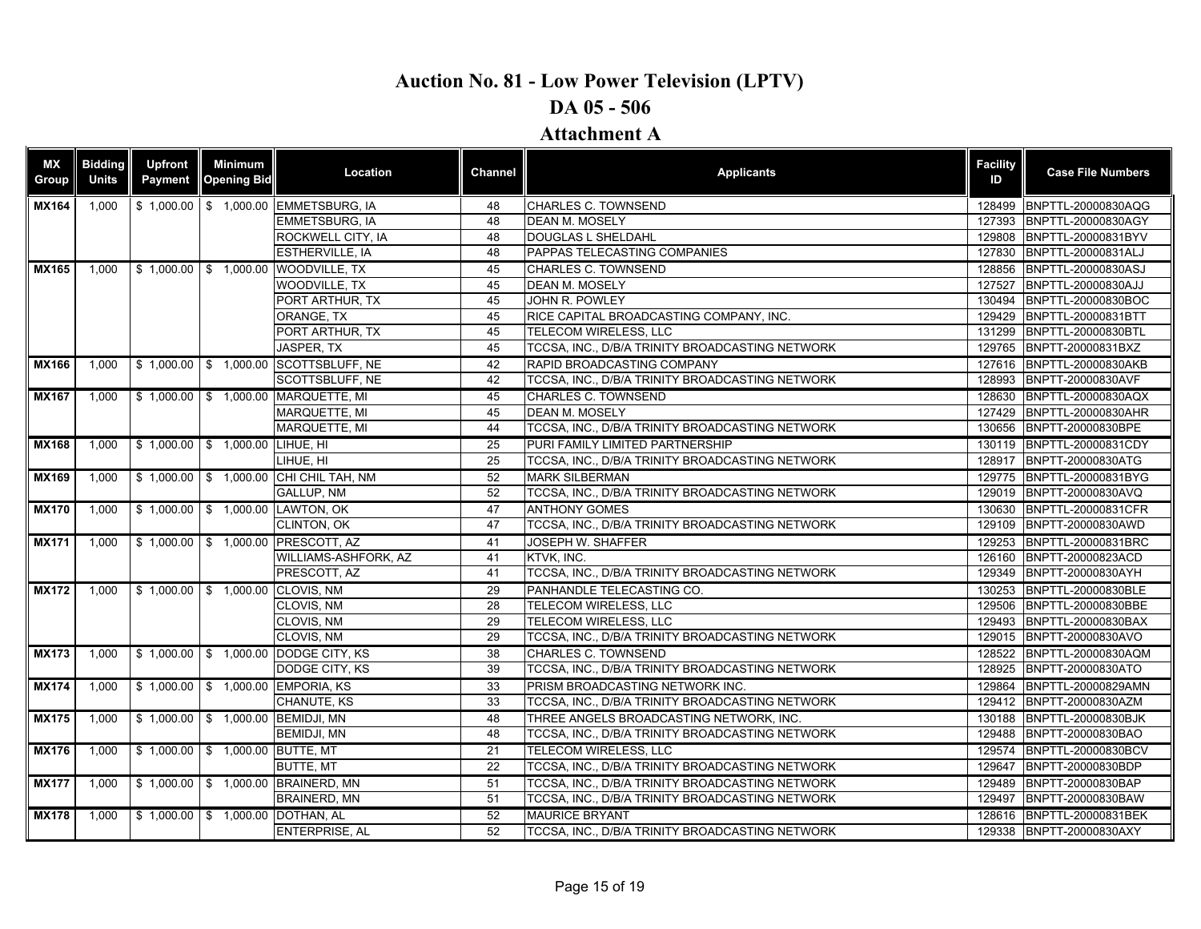|              |       | Payment | <b>Opening Bid</b>                | Location                               | Channel | <b>Applicants</b>                               | <b>Facility</b><br>ID | <b>Case File Numbers</b>  |
|--------------|-------|---------|-----------------------------------|----------------------------------------|---------|-------------------------------------------------|-----------------------|---------------------------|
| <b>MX164</b> | 1,000 |         |                                   | \$1,000.00 \$1,000.00 EMMETSBURG, IA   | 48      | <b>CHARLES C. TOWNSEND</b>                      |                       | 128499 BNPTTL-20000830AQG |
|              |       |         |                                   | <b>EMMETSBURG. IA</b>                  | 48      | <b>DEAN M. MOSELY</b>                           | 127393                | BNPTTL-20000830AGY        |
|              |       |         |                                   | ROCKWELL CITY, IA                      | 48      | DOUGLAS L SHELDAHL                              |                       | 129808 BNPTTL-20000831BYV |
|              |       |         |                                   | <b>ESTHERVILLE, IA</b>                 | 48      | <b>PAPPAS TELECASTING COMPANIES</b>             | 127830                | BNPTTL-20000831ALJ        |
| <b>MX165</b> | 1,000 |         |                                   | \$1,000.00 \$1,000.00 WOODVILLE, TX    | 45      | <b>CHARLES C. TOWNSEND</b>                      |                       | 128856 BNPTTL-20000830ASJ |
|              |       |         |                                   | <b>WOODVILLE, TX</b>                   | 45      | <b>DEAN M. MOSELY</b>                           | 127527                | BNPTTL-20000830AJJ        |
|              |       |         |                                   | PORT ARTHUR, TX                        | 45      | JOHN R. POWLEY                                  | 130494                | BNPTTL-20000830BOC        |
|              |       |         |                                   | ORANGE, TX                             | 45      | RICE CAPITAL BROADCASTING COMPANY, INC.         |                       | 129429 BNPTTL-20000831BTT |
|              |       |         |                                   | PORT ARTHUR, TX                        | 45      | TELECOM WIRELESS, LLC                           |                       | 131299 BNPTTL-20000830BTL |
|              |       |         |                                   | JASPER, TX                             | 45      | TCCSA, INC., D/B/A TRINITY BROADCASTING NETWORK |                       | 129765 BNPTT-20000831BXZ  |
| <b>MX166</b> | 1,000 |         |                                   | \$1,000.00 \$1,000.00 SCOTTSBLUFF, NE  | 42      | RAPID BROADCASTING COMPANY                      |                       | 127616 BNPTTL-20000830AKB |
|              |       |         |                                   | SCOTTSBLUFF, NE                        | 42      | TCCSA, INC., D/B/A TRINITY BROADCASTING NETWORK |                       | 128993 BNPTT-20000830AVF  |
| <b>MX167</b> | 1,000 |         |                                   | \$ 1,000.00 \$ 1,000.00 MARQUETTE, MI  | 45      | CHARLES C. TOWNSEND                             |                       | 128630 BNPTTL-20000830AQX |
|              |       |         |                                   | <b>MARQUETTE, MI</b>                   | 45      | <b>DEAN M. MOSELY</b>                           |                       | 127429 BNPTTL-20000830AHR |
|              |       |         |                                   | MARQUETTE, MI                          | 44      | TCCSA, INC., D/B/A TRINITY BROADCASTING NETWORK |                       | 130656 BNPTT-20000830BPE  |
| <b>MX168</b> | 1,000 |         | \$1,000.00 \$1,000.00 LIHUE, HI   |                                        | 25      | PURI FAMILY LIMITED PARTNERSHIP                 |                       | 130119 BNPTTL-20000831CDY |
|              |       |         |                                   | LIHUE, HI                              | 25      | TCCSA, INC., D/B/A TRINITY BROADCASTING NETWORK |                       | 128917 BNPTT-20000830ATG  |
| <b>MX169</b> | 1,000 |         |                                   | \$1,000.00 \$1,000.00 CHI CHIL TAH, NM | 52      | <b>MARK SILBERMAN</b>                           |                       | 129775 BNPTTL-20000831BYG |
|              |       |         |                                   | <b>GALLUP, NM</b>                      | 52      | TCCSA, INC., D/B/A TRINITY BROADCASTING NETWORK |                       | 129019 BNPTT-20000830AVQ  |
| <b>MX170</b> | 1,000 |         |                                   | \$1,000.00 \$1,000.00 LAWTON, OK       | 47      | <b>ANTHONY GOMES</b>                            |                       | 130630 BNPTTL-20000831CFR |
|              |       |         |                                   | <b>CLINTON, OK</b>                     | 47      | TCCSA, INC., D/B/A TRINITY BROADCASTING NETWORK |                       | 129109 BNPTT-20000830AWD  |
| <b>MX171</b> | 1,000 |         |                                   | \$1,000.00 \$1,000.00 PRESCOTT, AZ     | 41      | <b>JOSEPH W. SHAFFER</b>                        |                       | 129253 BNPTTL-20000831BRC |
|              |       |         |                                   | WILLIAMS-ASHFORK, AZ                   | 41      | KTVK, INC.                                      |                       | 126160 BNPTT-20000823ACD  |
|              |       |         |                                   | PRESCOTT, AZ                           | 41      | TCCSA, INC., D/B/A TRINITY BROADCASTING NETWORK |                       | 129349 BNPTT-20000830AYH  |
| <b>MX172</b> | 1,000 |         | \$1,000.00 \$1,000.00 CLOVIS, NM  |                                        | 29      | PANHANDLE TELECASTING CO.                       |                       | 130253 BNPTTL-20000830BLE |
|              |       |         |                                   | CLOVIS, NM                             | 28      | TELECOM WIRELESS, LLC                           |                       | 129506 BNPTTL-20000830BBE |
|              |       |         |                                   | CLOVIS, NM                             | 29      | TELECOM WIRELESS, LLC                           |                       | 129493 BNPTTL-20000830BAX |
|              |       |         |                                   | CLOVIS, NM                             | 29      | TCCSA, INC., D/B/A TRINITY BROADCASTING NETWORK |                       | 129015 BNPTT-20000830AVO  |
| <b>MX173</b> | 1,000 |         |                                   | \$1,000.00 \$1,000.00 DODGE CITY, KS   | 38      | <b>CHARLES C. TOWNSEND</b>                      |                       | 128522 BNPTTL-20000830AQM |
|              |       |         |                                   | DODGE CITY, KS                         | 39      | TCCSA, INC., D/B/A TRINITY BROADCASTING NETWORK |                       | 128925 BNPTT-20000830ATO  |
| <b>MX174</b> | 1,000 |         |                                   | \$1,000.00 \$1,000.00 EMPORIA, KS      | 33      | PRISM BROADCASTING NETWORK INC.                 |                       | 129864 BNPTTL-20000829AMN |
|              |       |         |                                   | CHANUTE, KS                            | 33      | TCCSA, INC., D/B/A TRINITY BROADCASTING NETWORK |                       | 129412 BNPTT-20000830AZM  |
| <b>MX175</b> | 1,000 |         | \$1,000.00 \$1,000.00 BEMIDJI, MN |                                        | 48      | THREE ANGELS BROADCASTING NETWORK, INC.         |                       | 130188 BNPTTL-20000830BJK |
|              |       |         |                                   | BEMIDJI, MN                            | 48      | TCCSA, INC., D/B/A TRINITY BROADCASTING NETWORK |                       | 129488 BNPTT-20000830BAO  |
| <b>MX176</b> | 1,000 |         | \$1,000.00 \$1,000.00 BUTTE, MT   |                                        | 21      | TELECOM WIRELESS. LLC                           |                       | 129574 BNPTTL-20000830BCV |
|              |       |         |                                   | <b>BUTTE, MT</b>                       | 22      | TCCSA, INC., D/B/A TRINITY BROADCASTING NETWORK | 129647                | BNPTT-20000830BDP         |
| <b>MX177</b> | 1,000 |         |                                   | \$1,000.00 \$1,000.00 BRAINERD, MN     | 51      | TCCSA. INC., D/B/A TRINITY BROADCASTING NETWORK |                       | 129489 BNPTT-20000830BAP  |
|              |       |         |                                   | <b>BRAINERD, MN</b>                    | 51      | TCCSA, INC., D/B/A TRINITY BROADCASTING NETWORK |                       | 129497 BNPTT-20000830BAW  |
| <b>MX178</b> | 1,000 |         | \$1,000.00 \$1,000.00 DOTHAN, AL  |                                        | 52      | <b>MAURICE BRYANT</b>                           |                       | 128616 BNPTTL-20000831BEK |
|              |       |         |                                   | <b>ENTERPRISE, AL</b>                  | 52      | TCCSA, INC., D/B/A TRINITY BROADCASTING NETWORK |                       | 129338 BNPTT-20000830AXY  |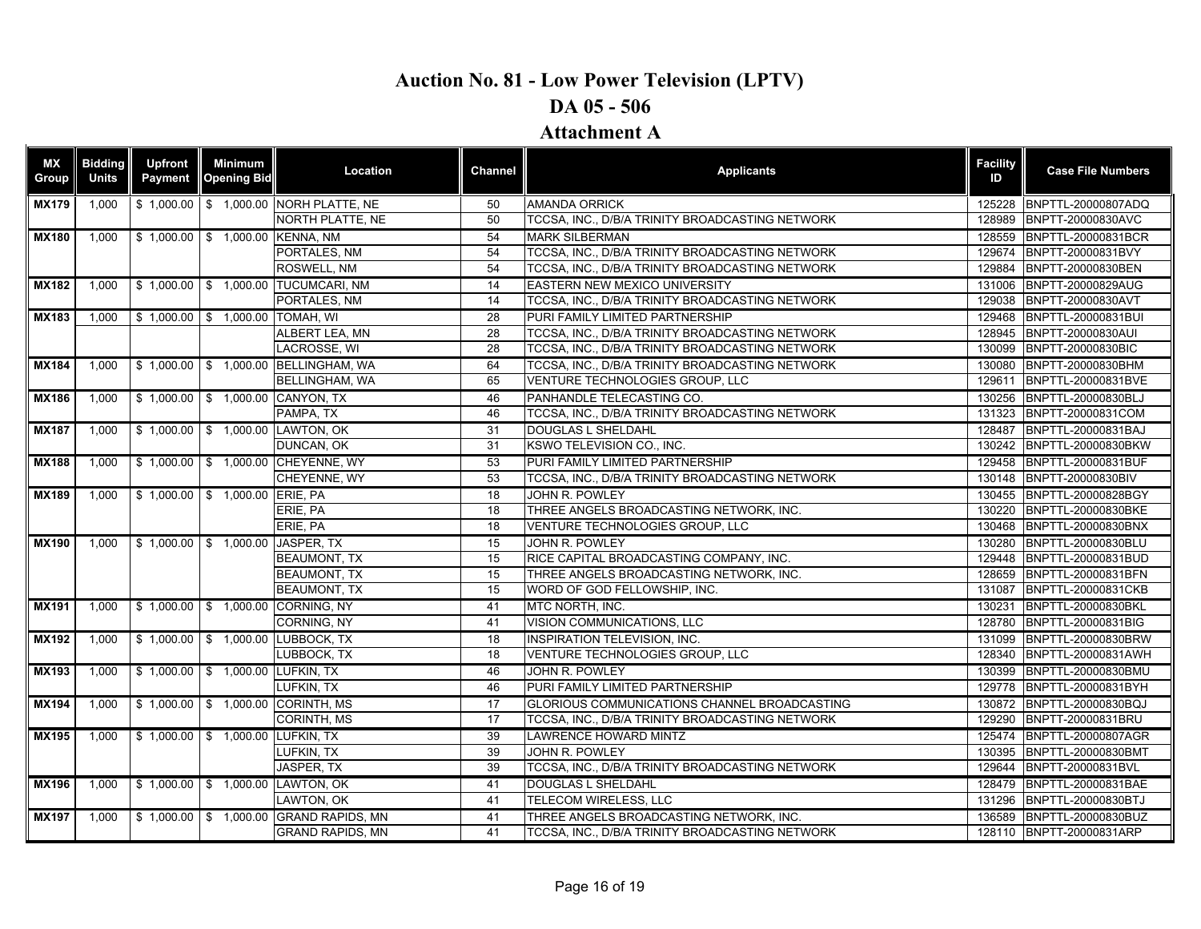| ΜX<br><b>Group</b> | <b>Bidding</b><br><b>Units</b> | <b>Upfront</b><br>Payment | Minimum<br><b>Opening Bid</b>    | Location                               | <b>Channel</b> | <b>Applicants</b>                                   | <b>Facility</b><br>ID | <b>Case File Numbers</b>  |
|--------------------|--------------------------------|---------------------------|----------------------------------|----------------------------------------|----------------|-----------------------------------------------------|-----------------------|---------------------------|
| <b>MX179</b>       | 1.000                          |                           |                                  | \$1,000.00 \$1,000.00 NORH PLATTE, NE  | 50             | <b>AMANDA ORRICK</b>                                |                       | 125228 BNPTTL-20000807ADQ |
|                    |                                |                           |                                  | NORTH PLATTE, NE                       | 50             | TCCSA, INC., D/B/A TRINITY BROADCASTING NETWORK     | 128989                | BNPTT-20000830AVC         |
| <b>MX180</b>       | 1,000                          |                           | \$1,000.00 \$1,000.00 KENNA, NM  |                                        | 54             | <b>MARK SILBERMAN</b>                               |                       | 128559 BNPTTL-20000831BCR |
|                    |                                |                           |                                  | PORTALES, NM                           | 54             | TCCSA, INC., D/B/A TRINITY BROADCASTING NETWORK     |                       | 129674 BNPTT-20000831BVY  |
|                    |                                |                           |                                  | <b>ROSWELL, NM</b>                     | 54             | TCCSA. INC., D/B/A TRINITY BROADCASTING NETWORK     |                       | 129884 BNPTT-20000830BEN  |
| <b>MX182</b>       | 1,000                          |                           |                                  | \$ 1,000.00 \$ 1,000.00 TUCUMCARI, NM  | 14             | EASTERN NEW MEXICO UNIVERSITY                       |                       | 131006 BNPTT-20000829AUG  |
|                    |                                |                           |                                  | PORTALES, NM                           | 14             | TCCSA, INC., D/B/A TRINITY BROADCASTING NETWORK     |                       | 129038 BNPTT-20000830AVT  |
| <b>MX183</b>       | 1,000                          |                           | \$1,000.00 \$1,000.00 TOMAH, WI  |                                        | 28             | PURI FAMILY LIMITED PARTNERSHIP                     |                       | 129468 BNPTTL-20000831BUI |
|                    |                                |                           |                                  | ALBERT LEA. MN                         | 28             | TCCSA. INC., D/B/A TRINITY BROADCASTING NETWORK     |                       | 128945 BNPTT-20000830AUI  |
|                    |                                |                           |                                  | LACROSSE, WI                           | 28             | TCCSA, INC., D/B/A TRINITY BROADCASTING NETWORK     |                       | 130099 BNPTT-20000830BIC  |
| <b>MX184</b>       | 1.000                          |                           |                                  | \$1,000.00 \$1,000.00 BELLINGHAM, WA   | 64             | TCCSA. INC., D/B/A TRINITY BROADCASTING NETWORK     |                       | 130080 BNPTT-20000830BHM  |
|                    |                                |                           |                                  | <b>BELLINGHAM, WA</b>                  | 65             | VENTURE TECHNOLOGIES GROUP, LLC                     |                       | 129611 BNPTTL-20000831BVE |
| <b>MX186</b>       | 1.000                          |                           |                                  | \$1,000.00 \$1,000.00 CANYON, TX       | 46             | PANHANDLE TELECASTING CO.                           |                       | 130256 BNPTTL-20000830BLJ |
|                    |                                |                           |                                  | PAMPA, TX                              | 46             | TCCSA, INC., D/B/A TRINITY BROADCASTING NETWORK     |                       | 131323 BNPTT-20000831COM  |
| <b>MX187</b>       | 1,000                          |                           |                                  | \$1,000.00 \$1,000.00 LAWTON, OK       | 31             | DOUGLAS L SHELDAHL                                  |                       | 128487 BNPTTL-20000831BAJ |
|                    |                                |                           |                                  | DUNCAN, OK                             | 31             | KSWO TELEVISION CO., INC.                           |                       | 130242 BNPTTL-20000830BKW |
| <b>MX188</b>       | 1,000                          |                           |                                  | \$1,000.00 \$1,000.00 CHEYENNE, WY     | 53             | PURI FAMILY LIMITED PARTNERSHIP                     |                       | 129458 BNPTTL-20000831BUF |
|                    |                                |                           |                                  | CHEYENNE, WY                           | 53             | TCCSA, INC., D/B/A TRINITY BROADCASTING NETWORK     |                       | 130148 BNPTT-20000830BIV  |
| <b>MX189</b>       | 1,000                          |                           | \$1,000.00 \$1,000.00 ERIE, PA   |                                        | 18             | JOHN R. POWLEY                                      |                       | 130455 BNPTTL-20000828BGY |
|                    |                                |                           |                                  | ERIE, PA                               | 18             | THREE ANGELS BROADCASTING NETWORK, INC.             |                       | 130220 BNPTTL-20000830BKE |
|                    |                                |                           |                                  | ERIE, PA                               | 18             | VENTURE TECHNOLOGIES GROUP, LLC                     |                       | 130468 BNPTTL-20000830BNX |
| <b>MX190</b>       | 1,000                          |                           | \$1,000.00 \$1,000.00 JASPER, TX |                                        | 15             | JOHN R. POWLEY                                      |                       | 130280 BNPTTL-20000830BLU |
|                    |                                |                           |                                  | <b>BEAUMONT, TX</b>                    | 15             | RICE CAPITAL BROADCASTING COMPANY, INC.             |                       | 129448 BNPTTL-20000831BUD |
|                    |                                |                           |                                  | <b>BEAUMONT, TX</b>                    | 15             | THREE ANGELS BROADCASTING NETWORK, INC.             |                       | 128659 BNPTTL-20000831BFN |
|                    |                                |                           |                                  | <b>BEAUMONT, TX</b>                    | 15             | WORD OF GOD FELLOWSHIP, INC.                        |                       | 131087 BNPTTL-20000831CKB |
| <b>MX191</b>       | 1,000                          |                           |                                  | \$1,000.00 \$1,000.00 CORNING, NY      | 41             | <b>MTC NORTH. INC.</b>                              |                       | 130231 BNPTTL-20000830BKL |
|                    |                                |                           |                                  | CORNING, NY                            | 41             | VISION COMMUNICATIONS, LLC                          |                       | 128780 BNPTTL-20000831BIG |
| <b>MX192</b>       | 1,000                          |                           |                                  | \$1,000.00 \$1,000.00 LUBBOCK, TX      | 18             | <b>INSPIRATION TELEVISION. INC.</b>                 |                       | 131099 BNPTTL-20000830BRW |
|                    |                                |                           |                                  | LUBBOCK, TX                            | 18             | VENTURE TECHNOLOGIES GROUP, LLC                     |                       | 128340 BNPTTL-20000831AWH |
| <b>MX193</b>       | 1,000                          |                           | \$1,000.00 \$1,000.00 LUFKIN, TX |                                        | 46             | JOHN R. POWLEY                                      |                       | 130399 BNPTTL-20000830BMU |
|                    |                                |                           |                                  | LUFKIN, TX                             | 46             | PURI FAMILY LIMITED PARTNERSHIP                     |                       | 129778 BNPTTL-20000831BYH |
| <b>MX194</b>       | 1.000                          |                           |                                  | \$1,000.00 \$1,000.00 CORINTH, MS      | 17             | <b>GLORIOUS COMMUNICATIONS CHANNEL BROADCASTING</b> |                       | 130872 BNPTTL-20000830BQJ |
|                    |                                |                           |                                  | CORINTH, MS                            | 17             | TCCSA, INC., D/B/A TRINITY BROADCASTING NETWORK     |                       | 129290 BNPTT-20000831BRU  |
| <b>MX195</b>       | 1.000                          |                           | \$1,000.00 \$1,000.00 LUFKIN, TX |                                        | 39             | <b>LAWRENCE HOWARD MINTZ</b>                        |                       | 125474 BNPTTL-20000807AGR |
|                    |                                |                           |                                  | LUFKIN, TX                             | 39             | JOHN R. POWLEY                                      | 130395                | BNPTTL-20000830BMT        |
|                    |                                |                           |                                  | JASPER, TX                             | 39             | TCCSA, INC., D/B/A TRINITY BROADCASTING NETWORK     | 129644                | BNPTT-20000831BVL         |
| <b>MX196</b>       | 1,000                          |                           |                                  | \$1,000.00 \$1,000.00 LAWTON, OK       | 41             | DOUGLAS L SHELDAHL                                  |                       | 128479 BNPTTL-20000831BAE |
|                    |                                |                           |                                  | LAWTON, OK                             | 41             | TELECOM WIRELESS, LLC                               |                       | 131296 BNPTTL-20000830BTJ |
| $\overline{MX197}$ | 1,000                          |                           |                                  | \$1,000.00 \$1,000.00 GRAND RAPIDS, MN | 41             | THREE ANGELS BROADCASTING NETWORK, INC.             |                       | 136589 BNPTTL-20000830BUZ |
|                    |                                |                           |                                  | <b>GRAND RAPIDS, MN</b>                | 41             | TCCSA, INC., D/B/A TRINITY BROADCASTING NETWORK     |                       | 128110 BNPTT-20000831ARP  |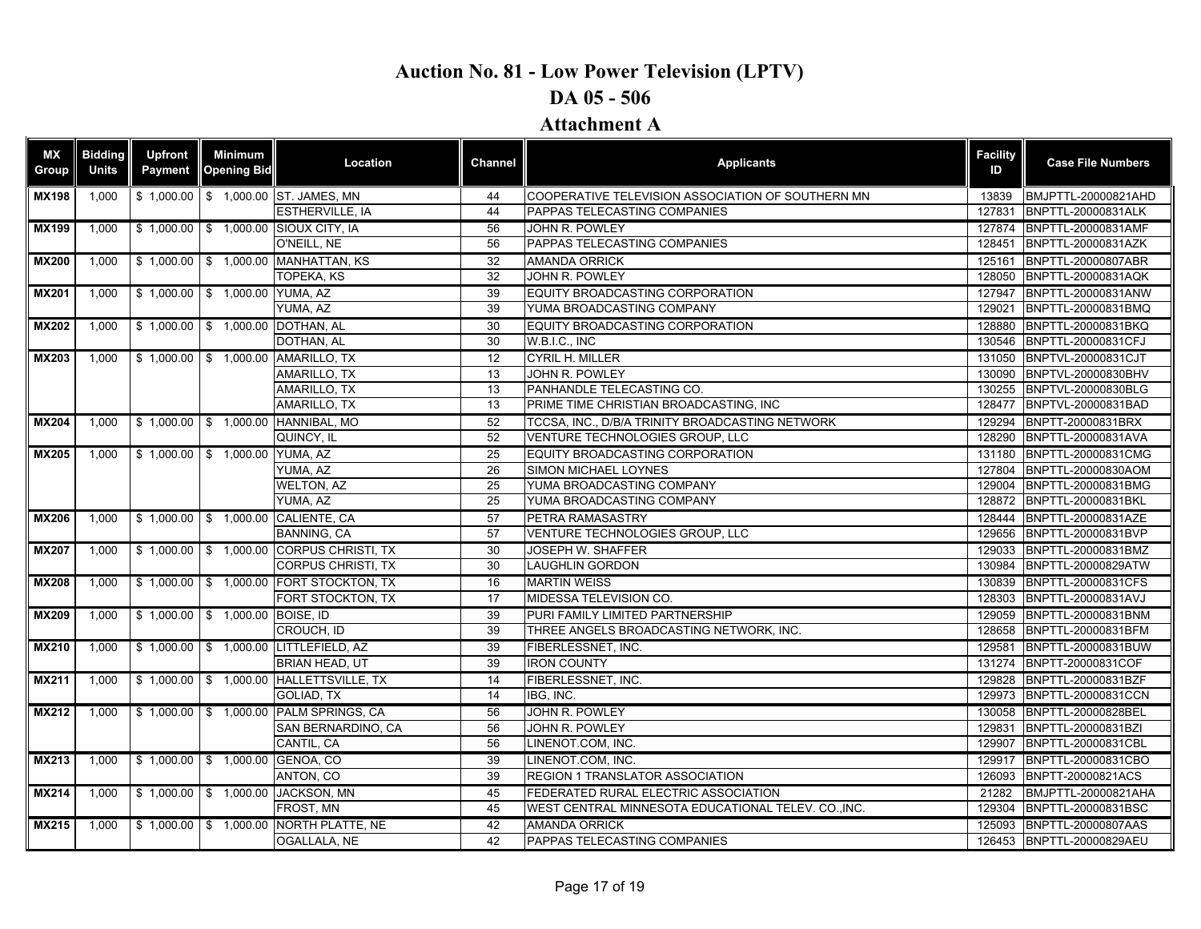### **DA 05 - 506**

| ΜX<br>Group  | <b>Biddina</b><br><b>Units</b> | <b>Upfront</b><br>Payment | Minimum<br><b>Opening Bid</b>    | Location                                 | Channel         | <b>Applicants</b>                                   | <b>Facility</b><br>ID | <b>Case File Numbers</b>  |
|--------------|--------------------------------|---------------------------|----------------------------------|------------------------------------------|-----------------|-----------------------------------------------------|-----------------------|---------------------------|
| <b>MX198</b> | 1,000                          |                           |                                  | \$1,000.00 \$1,000.00 ST. JAMES, MN      | 44              | COOPERATIVE TELEVISION ASSOCIATION OF SOUTHERN MN   | 13839                 | BMJPTTL-20000821AHD       |
|              |                                |                           |                                  | ESTHERVILLE, IA                          | 44              | PAPPAS TELECASTING COMPANIES                        | 127831                | BNPTTL-20000831ALK        |
| <b>MX199</b> | 1.000                          |                           |                                  | \$1,000.00 \$1,000.00 SIOUX CITY, IA     | 56              | JOHN R. POWLEY                                      | 127874                | BNPTTL-20000831AMF        |
|              |                                |                           |                                  | O'NEILL, NE                              | 56              | PAPPAS TELECASTING COMPANIES                        | 128451                | BNPTTL-20000831AZK        |
| <b>MX200</b> | 1.000                          |                           |                                  | \$1,000.00 \$1,000.00 MANHATTAN, KS      | 32              | <b>AMANDA ORRICK</b>                                | 125161                | BNPTTL-20000807ABR        |
|              |                                |                           |                                  | <b>TOPEKA, KS</b>                        | 32              | JOHN R. POWLEY                                      | 128050                | BNPTTL-20000831AQK        |
| <b>MX201</b> | 1,000                          |                           | \$1,000.00 \$1,000.00 YUMA, AZ   |                                          | 39              | EQUITY BROADCASTING CORPORATION                     | 127947                | BNPTTL-20000831ANW        |
|              |                                |                           |                                  | YUMA, AZ                                 | $\overline{39}$ | YUMA BROADCASTING COMPANY                           | 129021                | BNPTTL-20000831BMQ        |
| <b>MX202</b> | 1,000                          |                           | \$1,000.00 \$1,000.00 DOTHAN, AL |                                          | 30              | EQUITY BROADCASTING CORPORATION                     | 128880                | BNPTTL-20000831BKQ        |
|              |                                |                           |                                  | DOTHAN, AL                               | $\overline{30}$ | W.B.I.C., INC                                       | 130546                | BNPTTL-20000831CFJ        |
| <b>MX203</b> | 1,000                          |                           |                                  | \$1,000.00 \$1,000.00 AMARILLO, TX       | 12              | <b>CYRIL H. MILLER</b>                              | 131050                | BNPTVL-20000831CJT        |
|              |                                |                           |                                  | AMARILLO. TX                             | 13              | JOHN R. POWLEY                                      | 130090                | BNPTVL-20000830BHV        |
|              |                                |                           |                                  | AMARILLO, TX                             | $\overline{13}$ | PANHANDLE TELECASTING CO.                           | 130255                | BNPTVL-20000830BLG        |
|              |                                |                           |                                  | <b>AMARILLO, TX</b>                      | $\overline{13}$ | PRIME TIME CHRISTIAN BROADCASTING, INC              | 128477                | BNPTVL-20000831BAD        |
| <b>MX204</b> | 1,000                          |                           |                                  | \$1,000.00 \$1,000.00 HANNIBAL, MO       | 52              | TCCSA, INC., D/B/A TRINITY BROADCASTING NETWORK     | 129294                | BNPTT-20000831BRX         |
|              |                                |                           |                                  | QUINCY. IL                               | 52              | VENTURE TECHNOLOGIES GROUP, LLC                     | 128290                | BNPTTL-20000831AVA        |
| <b>MX205</b> | 1,000                          |                           | \$1,000.00 \$1,000.00 YUMA, AZ   |                                          | 25              | EQUITY BROADCASTING CORPORATION                     | 131180                | BNPTTL-20000831CMG        |
|              |                                |                           |                                  | YUMA, AZ                                 | 26              | SIMON MICHAEL LOYNES                                | 127804                | BNPTTL-20000830AOM        |
|              |                                |                           |                                  | <b>WELTON, AZ</b>                        | 25              | YUMA BROADCASTING COMPANY                           | 129004                | BNPTTL-20000831BMG        |
|              |                                |                           |                                  | YUMA, AZ                                 | $\overline{25}$ | YUMA BROADCASTING COMPANY                           | 128872                | <b>BNPTTL-20000831BKL</b> |
| <b>MX206</b> | 1.000                          |                           |                                  | \$1,000.00 \$1,000.00 CALIENTE, CA       | $\overline{57}$ | PETRA RAMASASTRY                                    | 128444                | BNPTTL-20000831AZE        |
|              |                                |                           |                                  | <b>BANNING, CA</b>                       | 57              | VENTURE TECHNOLOGIES GROUP, LLC                     | 129656                | BNPTTL-20000831BVP        |
| <b>MX207</b> | 1.000                          |                           |                                  | \$1,000.00 \$1,000.00 CORPUS CHRISTI, TX | 30              | <b>JOSEPH W. SHAFFER</b>                            | 129033                | BNPTTL-20000831BMZ        |
|              |                                |                           |                                  | <b>CORPUS CHRISTI, TX</b>                | 30              | <b>LAUGHLIN GORDON</b>                              | 130984                | BNPTTL-20000829ATW        |
| <b>MX208</b> | 1.000                          |                           |                                  | S 1,000.00 S 1,000.00 FORT STOCKTON, TX  | $\overline{16}$ | <b>MARTIN WEISS</b>                                 |                       | 130839 BNPTTL-20000831CFS |
|              |                                |                           |                                  | FORT STOCKTON, TX                        | 17              | MIDESSA TELEVISION CO.                              | 128303                | BNPTTL-20000831AVJ        |
| <b>MX209</b> | 1.000                          |                           | \$1,000.00 \$1,000.00 BOISE, ID  |                                          | $\overline{39}$ | PURI FAMILY LIMITED PARTNERSHIP                     | 129059                | BNPTTL-20000831BNM        |
|              |                                |                           |                                  | CROUCH, ID                               | 39              | THREE ANGELS BROADCASTING NETWORK, INC.             | 128658                | BNPTTL-20000831BFM        |
| <b>MX210</b> | 1.000                          |                           |                                  | \$1,000.00 \$1,000.00 LITTLEFIELD, AZ    | $\overline{39}$ | FIBERLESSNET, INC.                                  | 129581                | BNPTTL-20000831BUW        |
|              |                                |                           |                                  | <b>BRIAN HEAD, UT</b>                    | 39              | <b>IRON COUNTY</b>                                  | 131274                | BNPTT-20000831COF         |
| <b>MX211</b> | 1,000                          |                           |                                  | \$1,000.00 \$1,000.00 HALLETTSVILLE, TX  | 14              | FIBERLESSNET, INC.                                  |                       | 129828 BNPTTL-20000831BZF |
|              |                                |                           |                                  | <b>GOLIAD. TX</b>                        | 14              | IBG. INC.                                           | 129973                | <b>BNPTTL-20000831CCN</b> |
| <b>MX212</b> | 1,000                          |                           |                                  | \$1,000.00 \$1,000.00 PALM SPRINGS, CA   | 56              | JOHN R. POWLEY                                      | 130058                | BNPTTL-20000828BEL        |
|              |                                |                           |                                  | SAN BERNARDINO, CA                       | 56              | JOHN R. POWLEY                                      | 129831                | BNPTTL-20000831BZI        |
|              |                                |                           |                                  | CANTIL, CA                               | 56              | LINENOT.COM, INC.                                   | 129907                | BNPTTL-20000831CBL        |
| MX213        | 1,000                          |                           | \$1,000.00 \$1,000.00 GENOA, CO  |                                          | 39              | LINENOT.COM, INC.                                   | 129917                | BNPTTL-20000831CBO        |
|              |                                |                           |                                  | ANTON, CO                                | 39              | REGION 1 TRANSLATOR ASSOCIATION                     | 126093                | BNPTT-20000821ACS         |
| <b>MX214</b> | 1,000                          |                           |                                  | \$1,000.00 \$1,000.00 JACKSON, MN        | 45              | <b>FEDERATED RURAL ELECTRIC ASSOCIATION</b>         | 21282                 | BMJPTTL-20000821AHA       |
|              |                                |                           |                                  | FROST, MN                                | 45              | WEST CENTRAL MINNESOTA EDUCATIONAL TELEV. CO., INC. | 129304                | BNPTTL-20000831BSC        |
| <b>MX215</b> | 1.000                          |                           |                                  | \$1,000.00 \$1,000.00 NORTH PLATTE, NE   | 42              | <b>AMANDA ORRICK</b>                                | 125093                | <b>BNPTTL-20000807AAS</b> |
|              |                                |                           |                                  | OGALLALA, NE                             | 42              | PAPPAS TELECASTING COMPANIES                        |                       | 126453 BNPTTL-20000829AEU |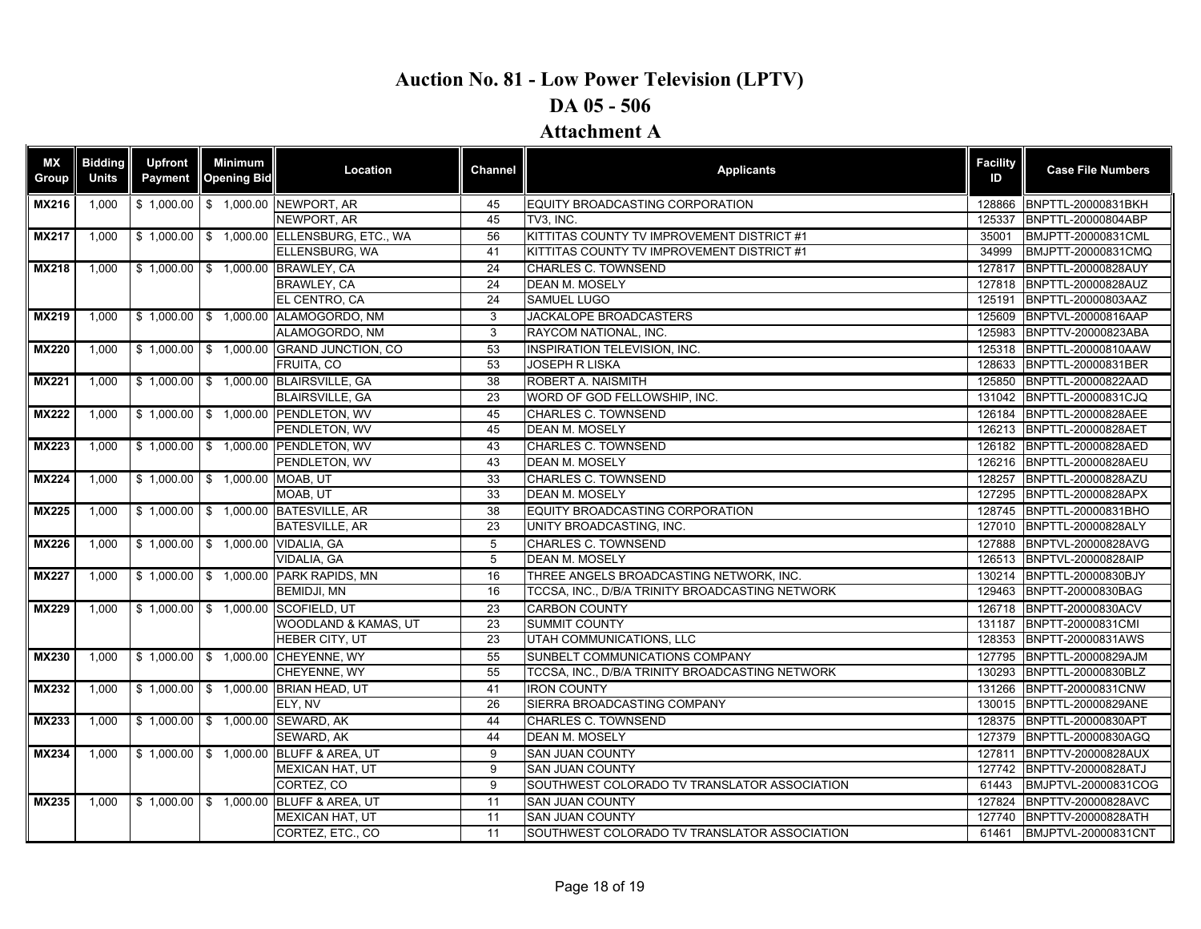| ΜX<br>Group  | <b>Bidding</b><br><b>Units</b> | <b>Upfront</b><br>Payment | <b>Minimum</b><br><b>Opening Bid</b> | Location                                   | <b>Channel</b>  | <b>Applicants</b>                               | <b>Facility</b><br>ID | <b>Case File Numbers</b>  |
|--------------|--------------------------------|---------------------------|--------------------------------------|--------------------------------------------|-----------------|-------------------------------------------------|-----------------------|---------------------------|
| <b>MX216</b> | 1,000                          |                           |                                      | \$1,000.00 \$1,000.00 NEWPORT, AR          | 45              | EQUITY BROADCASTING CORPORATION                 | 128866                | BNPTTL-20000831BKH        |
|              |                                |                           |                                      | NEWPORT, AR                                | 45              | TV3. INC.                                       | 125337                | BNPTTL-20000804ABP        |
| <b>MX217</b> | 1,000                          |                           |                                      | \$1,000.00 \$1,000.00 ELLENSBURG, ETC., WA | 56              | KITTITAS COUNTY TV IMPROVEMENT DISTRICT #1      | 35001                 | BMJPTT-20000831CML        |
|              |                                |                           |                                      | ELLENSBURG, WA                             | 41              | KITTITAS COUNTY TV IMPROVEMENT DISTRICT #1      | 34999                 | BMJPTT-20000831CMQ        |
| <b>MX218</b> | 1,000                          |                           |                                      | \$1,000.00 \$1,000.00 BRAWLEY, CA          | 24              | <b>CHARLES C. TOWNSEND</b>                      |                       | 127817 BNPTTL-20000828AUY |
|              |                                |                           |                                      | BRAWLEY, CA                                | 24              | <b>DEAN M. MOSELY</b>                           | 127818                | BNPTTL-20000828AUZ        |
|              |                                |                           |                                      | EL CENTRO, CA                              | 24              | SAMUEL LUGO                                     | 125191                | BNPTTL-20000803AAZ        |
| <b>MX219</b> | 1.000                          |                           |                                      | \$1,000.00 \$1,000.00 ALAMOGORDO, NM       | 3               | <b>JACKALOPE BROADCASTERS</b>                   | 125609                | BNPTVL-20000816AAP        |
|              |                                |                           |                                      | ALAMOGORDO, NM                             | 3               | RAYCOM NATIONAL, INC.                           | 125983                | BNPTTV-20000823ABA        |
| <b>MX220</b> | 1,000                          |                           |                                      | \$1,000.00 \$1,000.00 GRAND JUNCTION, CO   | 53              | <b>INSPIRATION TELEVISION, INC.</b>             | 125318                | BNPTTL-20000810AAW        |
|              |                                |                           |                                      | FRUITA, CO                                 | 53              | <b>JOSEPH R LISKA</b>                           | 128633                | BNPTTL-20000831BER        |
| <b>MX221</b> | 1,000                          |                           |                                      | \$1,000.00 \$1,000.00 BLAIRSVILLE, GA      | 38              | ROBERT A. NAISMITH                              | 125850                | BNPTTL-20000822AAD        |
|              |                                |                           |                                      | <b>BLAIRSVILLE, GA</b>                     | 23              | WORD OF GOD FELLOWSHIP, INC.                    | 131042                | BNPTTL-20000831CJQ        |
| <b>MX222</b> | 1,000                          |                           |                                      | \$1,000.00 \$1,000.00 PENDLETON, WV        | 45              | CHARLES C. TOWNSEND                             | 126184                | BNPTTL-20000828AEE        |
|              |                                |                           |                                      | PENDLETON, WV                              | 45              | <b>DEAN M. MOSELY</b>                           | 126213                | BNPTTL-20000828AET        |
| <b>MX223</b> | 1,000                          |                           |                                      | \$1,000.00 \$1,000.00 PENDLETON, WV        | 43              | CHARLES C. TOWNSEND                             |                       | 126182 BNPTTL-20000828AED |
|              |                                |                           |                                      | PENDLETON, WV                              | 43              | <b>DEAN M. MOSELY</b>                           | 126216                | BNPTTL-20000828AEU        |
| <b>MX224</b> | 1,000                          |                           | \$1,000.00 \$1,000.00 MOAB, UT       |                                            | 33              | <b>CHARLES C. TOWNSEND</b>                      | 128257                | BNPTTL-20000828AZU        |
|              |                                |                           |                                      | MOAB, UT                                   | 33              | DEAN M. MOSELY                                  |                       | 127295 BNPTTL-20000828APX |
| <b>MX225</b> | 1,000                          |                           |                                      | \$1,000.00 \$1,000.00 BATESVILLE, AR       | $\overline{38}$ | EQUITY BROADCASTING CORPORATION                 |                       | 128745 BNPTTL-20000831BHO |
|              |                                |                           |                                      | <b>BATESVILLE, AR</b>                      | 23              | UNITY BROADCASTING, INC.                        |                       | 127010 BNPTTL-20000828ALY |
| <b>MX226</b> | 1,000                          |                           | \$1,000.00 \$1,000.00 VIDALIA, GA    |                                            | 5               | <b>CHARLES C. TOWNSEND</b>                      | 127888                | BNPTVL-20000828AVG        |
|              |                                |                           |                                      | VIDALIA, GA                                | 5               | DEAN M. MOSELY                                  |                       | 126513 BNPTVL-20000828AIP |
| <b>MX227</b> | 1,000                          |                           |                                      | \$1,000.00 \$1,000.00 PARK RAPIDS, MN      | 16              | THREE ANGELS BROADCASTING NETWORK. INC.         |                       | 130214 BNPTTL-20000830BJY |
|              |                                |                           |                                      | <b>BEMIDJI, MN</b>                         | 16              | TCCSA, INC., D/B/A TRINITY BROADCASTING NETWORK |                       | 129463 BNPTT-20000830BAG  |
| <b>MX229</b> | 1,000                          |                           |                                      | \$1,000.00 \$1,000.00 SCOFIELD, UT         | 23              | <b>CARBON COUNTY</b>                            |                       | 126718 BNPTT-20000830ACV  |
|              |                                |                           |                                      | WOODLAND & KAMAS, UT                       | 23              | <b>SUMMIT COUNTY</b>                            |                       | 131187 BNPTT-20000831CMI  |
|              |                                |                           |                                      | HEBER CITY, UT                             | 23              | UTAH COMMUNICATIONS, LLC                        |                       | 128353 BNPTT-20000831AWS  |
| <b>MX230</b> | 1,000                          |                           |                                      | \$1,000.00 \$1,000.00 CHEYENNE, WY         | 55              | SUNBELT COMMUNICATIONS COMPANY                  | 127795                | BNPTTL-20000829AJM        |
|              |                                |                           |                                      | CHEYENNE, WY                               | 55              | TCCSA, INC., D/B/A TRINITY BROADCASTING NETWORK | 130293                | BNPTTL-20000830BLZ        |
| <b>MX232</b> | 1,000                          |                           |                                      | \$1,000.00 \$1,000.00 BRIAN HEAD, UT       | 41              | <b>IRON COUNTY</b>                              |                       | 131266 BNPTT-20000831CNW  |
|              |                                |                           |                                      | ELY, NV                                    | 26              | SIERRA BROADCASTING COMPANY                     |                       | 130015 BNPTTL-20000829ANE |
| MX233        | 1,000                          |                           |                                      | \$1,000.00 \$1,000.00 SEWARD, AK           | 44              | <b>CHARLES C. TOWNSEND</b>                      | 128375                | BNPTTL-20000830APT        |
|              |                                |                           |                                      | SEWARD, AK                                 | 44              | DEAN M. MOSELY                                  |                       | 127379 BNPTTL-20000830AGQ |
| <b>MX234</b> | 1,000                          |                           |                                      | \$1,000.00 \$1,000.00 BLUFF & AREA, UT     | 9               | <b>SAN JUAN COUNTY</b>                          |                       | 127811 BNPTTV-20000828AUX |
|              |                                |                           |                                      | <b>MEXICAN HAT, UT</b>                     | 9               | <b>SAN JUAN COUNTY</b>                          |                       | 127742 BNPTTV-20000828ATJ |
|              |                                |                           |                                      | CORTEZ, CO                                 | 9               | SOUTHWEST COLORADO TV TRANSLATOR ASSOCIATION    | 61443                 | BMJPTVL-20000831COG       |
| <b>MX235</b> | 1,000                          |                           |                                      | \$1,000.00 \$1,000.00 BLUFF & AREA, UT     | 11              | <b>SAN JUAN COUNTY</b>                          |                       | 127824 BNPTTV-20000828AVC |
|              |                                |                           |                                      | MEXICAN HAT, UT                            | 11              | SAN JUAN COUNTY                                 | 127740                | BNPTTV-20000828ATH        |
|              |                                |                           |                                      | CORTEZ, ETC., CO                           | 11              | SOUTHWEST COLORADO TV TRANSLATOR ASSOCIATION    |                       | 61461 BMJPTVL-20000831CNT |